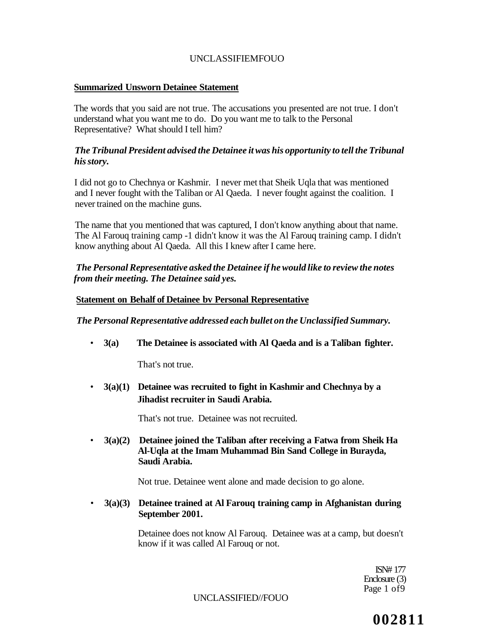## **Summarized Unsworn Detainee Statement**

The words that you said are not true. The accusations you presented are not true. I don't understand what you want me to do. Do you want me to talk to the Personal Representative? What should I tell him?

## *The Tribunal President advised the Detainee it was his opportunity to tell the Tribunal his story.*

I did not go to Chechnya or Kashmir. I never met that Sheik Uqla that was mentioned and I never fought with the Taliban or Al Qaeda. I never fought against the coalition. I never trained on the machine guns.

The name that you mentioned that was captured, I don't know anything about that name. The Al Farouq training camp -1 didn't know it was the Al Farouq training camp. I didn't know anything about Al Qaeda. All this I knew after I came here.

# *The Personal Representative asked the Detainee if he would like to review the notes from their meeting. The Detainee said yes.*

## **Statement on Behalf of Detainee bv Personal Representative**

*The Personal Representative addressed each bullet on the Unclassified Summary.* 

• **3(a) The Detainee is associated with Al Qaeda and is a Taliban fighter.** 

That's not true.

• **3(a)(1) Detainee was recruited to fight in Kashmir and Chechnya by a Jihadist recruiter in Saudi Arabia.** 

That's not true. Detainee was not recruited.

• **3(a)(2) Detainee joined the Taliban after receiving a Fatwa from Sheik Ha Al-Uqla at the Imam Muhammad Bin Sand College in Burayda, Saudi Arabia.** 

Not true. Detainee went alone and made decision to go alone.

• **3(a)(3) Detainee trained at Al Farouq training camp in Afghanistan during September 2001.** 

> Detainee does not know Al Farouq. Detainee was at a camp, but doesn't know if it was called Al Farouq or not.

> > ISN# 177 Enclosure (3) Page 1 of 9

UNCLASSIFIED//FOUO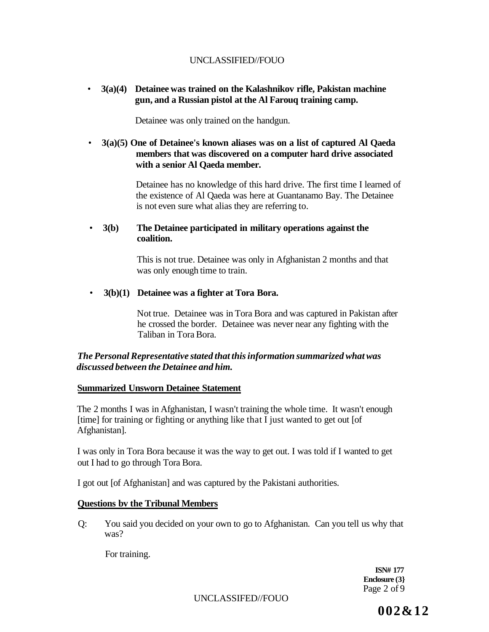# • **3(a)(4) Detainee was trained on the Kalashnikov rifle, Pakistan machine gun, and a Russian pistol at the Al Farouq training camp.**

Detainee was only trained on the handgun.

# • **3(a)(5) One of Detainee's known aliases was on a list of captured Al Qaeda members that was discovered on a computer hard drive associated with a senior Al Qaeda member.**

Detainee has no knowledge of this hard drive. The first time I learned of the existence of Al Qaeda was here at Guantanamo Bay. The Detainee is not even sure what alias they are referring to.

## • **3(b) The Detainee participated in military operations against the coalition.**

This is not true. Detainee was only in Afghanistan 2 months and that was only enough time to train.

## • **3(b)(1) Detainee was a fighter at Tora Bora.**

Not true. Detainee was in Tora Bora and was captured in Pakistan after he crossed the border. Detainee was never near any fighting with the Taliban in Tora Bora.

## *The Personal Representative stated that this information summarized what was discussed between the Detainee and him.*

#### **Summarized Unsworn Detainee Statement**

The 2 months I was in Afghanistan, I wasn't training the whole time. It wasn't enough [time] for training or fighting or anything like that I just wanted to get out [of Afghanistan].

I was only in Tora Bora because it was the way to get out. I was told if I wanted to get out I had to go through Tora Bora.

I got out [of Afghanistan] and was captured by the Pakistani authorities.

## **Questions bv the Tribunal Members**

Q: You said you decided on your own to go to Afghanistan. Can you tell us why that was?

For training.

**ISN# 177 Enclosure (3}**  Page 2 of 9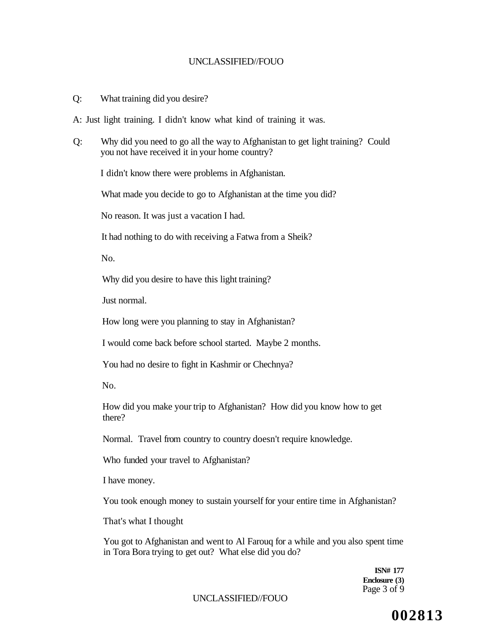Q: What training did you desire?

A: Just light training. I didn't know what kind of training it was.

Q: Why did you need to go all the way to Afghanistan to get light training? Could you not have received it in your home country?

I didn't know there were problems in Afghanistan.

What made you decide to go to Afghanistan at the time you did?

No reason. It was just a vacation I had.

It had nothing to do with receiving a Fatwa from a Sheik?

No.

Why did you desire to have this light training?

Just normal.

How long were you planning to stay in Afghanistan?

I would come back before school started. Maybe 2 months.

You had no desire to fight in Kashmir or Chechnya?

No.

How did you make your trip to Afghanistan? How did you know how to get there?

Normal. Travel from country to country doesn't require knowledge.

Who funded your travel to Afghanistan?

I have money.

You took enough money to sustain yourself for your entire time in Afghanistan?

That's what I thought

You got to Afghanistan and went to Al Farouq for a while and you also spent time in Tora Bora trying to get out? What else did you do?

> **ISN# 177 Enclosure (3)**  Page 3 of 9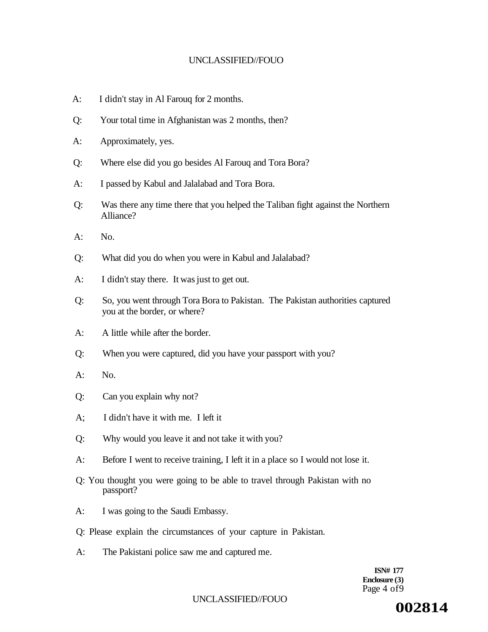- A: I didn't stay in Al Farouq for 2 months.
- Q: Your total time in Afghanistan was 2 months, then?
- A: Approximately, yes.
- Q: Where else did you go besides Al Farouq and Tora Bora?
- A: I passed by Kabul and Jalalabad and Tora Bora.
- Q: Was there any time there that you helped the Taliban fight against the Northern Alliance?
- $A: N_0$
- Q: What did you do when you were in Kabul and Jalalabad?
- A: I didn't stay there. It was just to get out.
- Q: So, you went through Tora Bora to Pakistan. The Pakistan authorities captured you at the border, or where?
- A: A little while after the border.
- Q: When you were captured, did you have your passport with you?
- A: No.
- Q: Can you explain why not?
- A; I didn't have it with me. I left it
- Q: Why would you leave it and not take it with you?
- A: Before I went to receive training, I left it in a place so I would not lose it.
- Q: You thought you were going to be able to travel through Pakistan with no passport?
- A: I was going to the Saudi Embassy.
- Q: Please explain the circumstances of your capture in Pakistan.
- A: The Pakistani police saw me and captured me.

**ISN# 177 Enclosure (3)**  Page 4 of9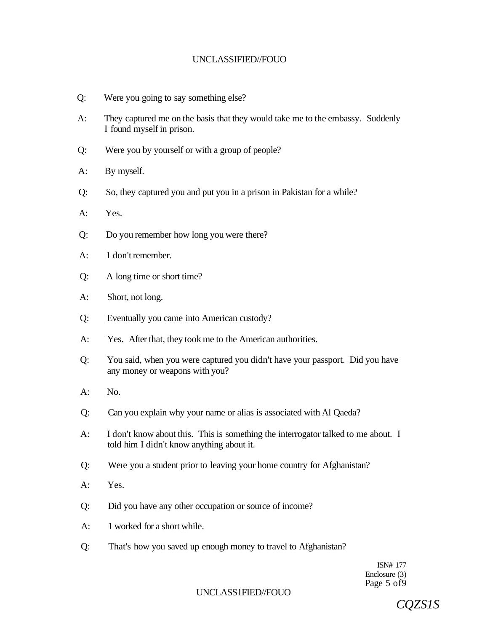- Q: Were you going to say something else?
- A: They captured me on the basis that they would take me to the embassy. Suddenly I found myself in prison.
- Q: Were you by yourself or with a group of people?
- A: By myself.
- Q: So, they captured you and put you in a prison in Pakistan for a while?
- A: Yes.
- Q: Do you remember how long you were there?
- A: 1 don't remember.
- Q: A long time or short time?
- A: Short, not long.
- Q: Eventually you came into American custody?
- A: Yes. After that, they took me to the American authorities.
- Q: You said, when you were captured you didn't have your passport. Did you have any money or weapons with you?
- A: No.
- Q: Can you explain why your name or alias is associated with Al Qaeda?
- A: I don't know about this. This is something the interrogator talked to me about. I told him I didn't know anything about it.
- Q: Were you a student prior to leaving your home country for Afghanistan?
- A: Yes.
- Q: Did you have any other occupation or source of income?
- A: 1 worked for a short while.
- Q: That's how you saved up enough money to travel to Afghanistan?

ISN# 177 Enclosure (3) Page 5 of9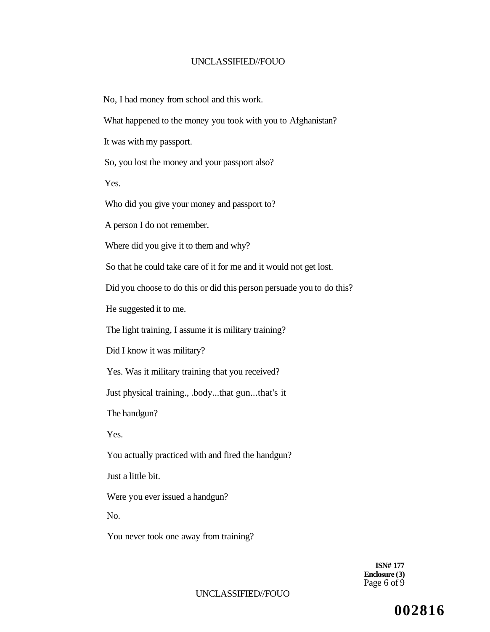No, I had money from school and this work.

What happened to the money you took with you to Afghanistan?

It was with my passport.

So, you lost the money and your passport also?

Yes.

Who did you give your money and passport to?

A person I do not remember.

Where did you give it to them and why?

So that he could take care of it for me and it would not get lost.

Did you choose to do this or did this person persuade you to do this?

He suggested it to me.

The light training, I assume it is military training?

Did I know it was military?

Yes. Was it military training that you received?

Just physical training., .body...that gun...that's it

The handgun?

Yes.

You actually practiced with and fired the handgun?

Just a little bit.

Were you ever issued a handgun?

No.

You never took one away from training?

**ISN# 177 Enclosure (3)**  Page  $6$  of  $9$ 

#### UNCLASSIFIED//FOUO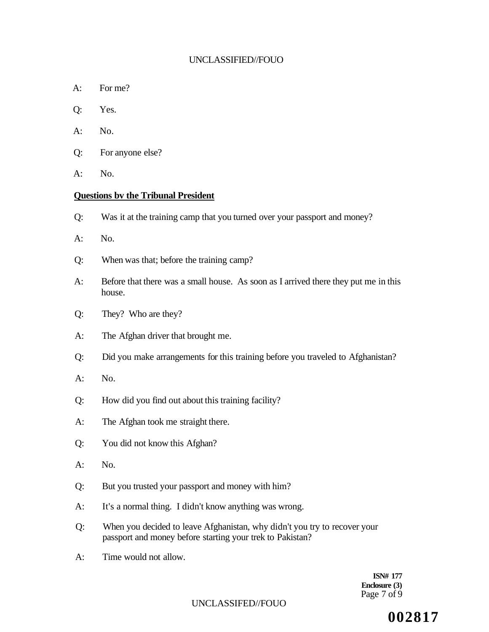- A: For me?
- Q: Yes.
- A: No.
- Q: For anyone else?
- A: No.

#### **Questions bv the Tribunal President**

- Q: Was it at the training camp that you turned over your passport and money?
- $A:$  No.
- Q: When was that; before the training camp?
- A: Before that there was a small house. As soon as I arrived there they put me in this house.
- Q: They? Who are they?
- A: The Afghan driver that brought me.
- Q: Did you make arrangements for this training before you traveled to Afghanistan?
- A: No.
- Q: How did you find out about this training facility?
- A: The Afghan took me straight there.
- Q: You did not know this Afghan?
- A: No.
- Q: But you trusted your passport and money with him?
- A: It's a normal thing. I didn't know anything was wrong.
- Q: When you decided to leave Afghanistan, why didn't you try to recover your passport and money before starting your trek to Pakistan?
- A: Time would not allow.

**ISN# 177 Enclosure (3)**  Page 7 of 9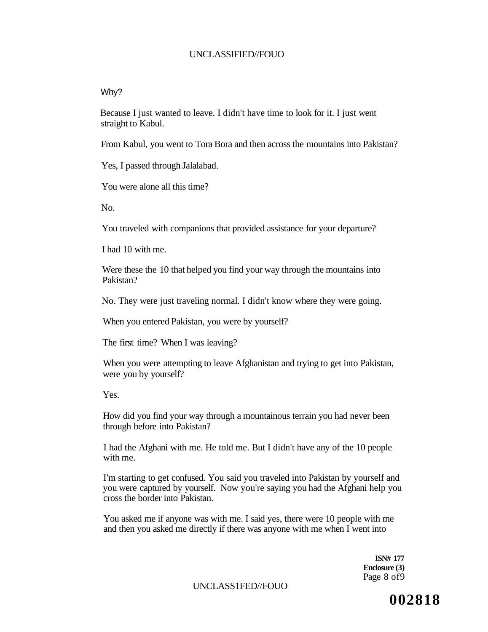#### Why?

Because I just wanted to leave. I didn't have time to look for it. I just went straight to Kabul.

From Kabul, you went to Tora Bora and then across the mountains into Pakistan?

Yes, I passed through Jalalabad.

You were alone all this time?

No.

You traveled with companions that provided assistance for your departure?

I had 10 with me.

Were these the 10 that helped you find your way through the mountains into Pakistan?

No. They were just traveling normal. I didn't know where they were going.

When you entered Pakistan, you were by yourself?

The first time? When I was leaving?

When you were attempting to leave Afghanistan and trying to get into Pakistan, were you by yourself?

Yes.

How did you find your way through a mountainous terrain you had never been through before into Pakistan?

I had the Afghani with me. He told me. But I didn't have any of the 10 people with me.

I'm starting to get confused. You said you traveled into Pakistan by yourself and you were captured by yourself. Now you're saying you had the Afghani help you cross the border into Pakistan.

You asked me if anyone was with me. I said yes, there were 10 people with me and then you asked me directly if there was anyone with me when I went into

> **ISN# 177 Enclosure (3)**  Page 8 of9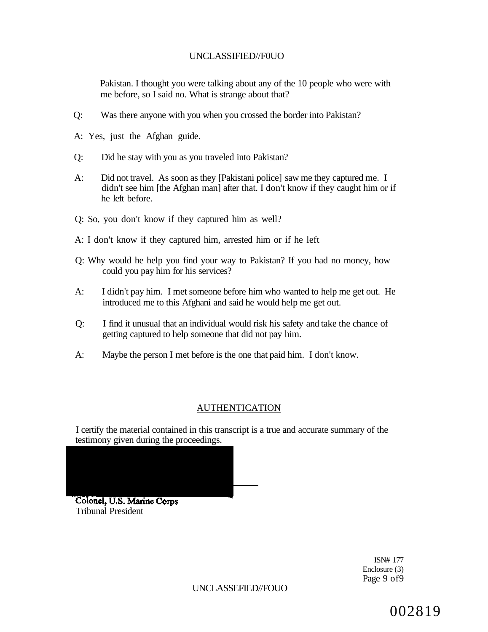Pakistan. I thought you were talking about any of the 10 people who were with me before, so I said no. What is strange about that?

- Q: Was there anyone with you when you crossed the border into Pakistan?
- A: Yes, just the Afghan guide.
- Q: Did he stay with you as you traveled into Pakistan?
- A: Did not travel. As soon as they [Pakistani police] saw me they captured me. I didn't see him [the Afghan man] after that. I don't know if they caught him or if he left before.
- Q: So, you don't know if they captured him as well?
- A: I don't know if they captured him, arrested him or if he left
- Q: Why would he help you find your way to Pakistan? If you had no money, how could you pay him for his services?
- A: I didn't pay him. I met someone before him who wanted to help me get out. He introduced me to this Afghani and said he would help me get out.
- Q: I find it unusual that an individual would risk his safety and take the chance of getting captured to help someone that did not pay him.
- A: Maybe the person I met before is the one that paid him. I don't know.

# AUTHENTICATION

I certify the material contained in this transcript is a true and accurate summary of the testimony given during the proceedings.

Colonel, U.S. Marine Corps Tribunal President

> ISN# 177 Enclosure (3) Page 9 of9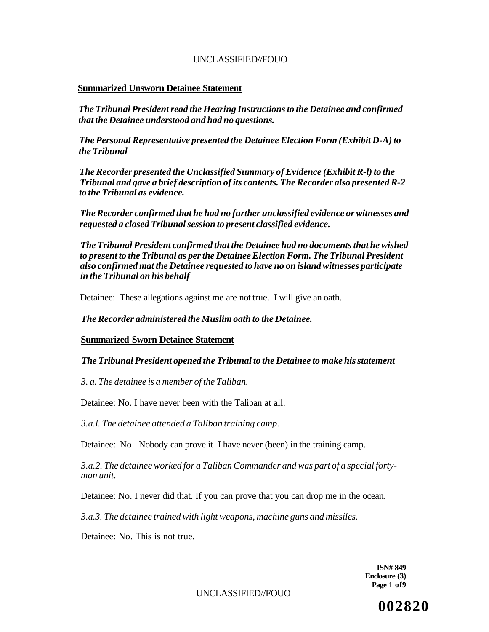#### **Summarized Unsworn Detainee Statement**

*The Tribunal President read the Hearing Instructions to the Detainee and confirmed that the Detainee understood and had no questions.* 

*The Personal Representative presented the Detainee Election Form (Exhibit D-A) to the Tribunal* 

*The Recorder presented the Unclassified Summary of Evidence (Exhibit R-l) to the Tribunal and gave a brief description of its contents. The Recorder also presented R-2 to the Tribunal as evidence.* 

*The Recorder confirmed that he had no further unclassified evidence or witnesses and requested a closed Tribunal session to present classified evidence.* 

*The Tribunal President confirmed that the Detainee had no documents that he wished to present to the Tribunal as per the Detainee Election Form. The Tribunal President also confirmed mat the Detainee requested to have no on island witnesses participate in the Tribunal on his behalf* 

Detainee: These allegations against me are not true. I will give an oath.

*The Recorder administered the Muslim oath to the Detainee.* 

**Summarized Sworn Detainee Statement** 

#### *The Tribunal President opened the Tribunal to the Detainee to make his statement*

*3. a. The detainee is a member of the Taliban.* 

Detainee: No. I have never been with the Taliban at all.

*3.a.l. The detainee attended a Taliban training camp.* 

Detainee: No. Nobody can prove it I have never (been) in the training camp.

*3.a.2. The detainee worked for a Taliban Commander and was part of a special fortyman unit.* 

Detainee: No. I never did that. If you can prove that you can drop me in the ocean.

*3.a.3. The detainee trained with light weapons, machine guns and missiles.* 

Detainee: No. This is not true.

**ISN# 849 Enclosure (3) Page 1 of9** 

UNCLASSIFIED//FOUO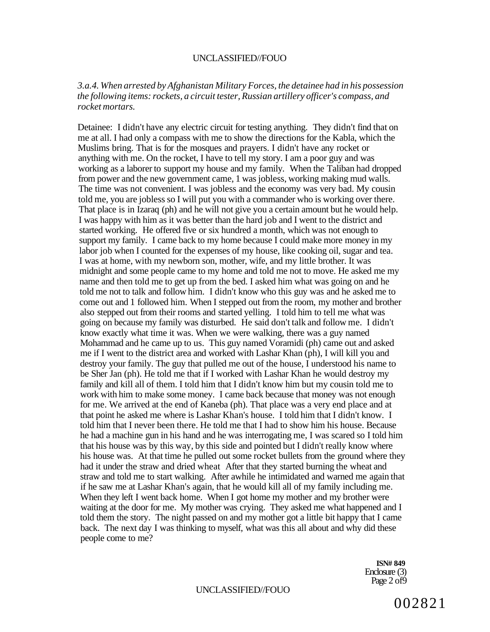#### *3.a.4. When arrested by Afghanistan Military Forces, the detainee had in his possession the following items: rockets, a circuit tester, Russian artillery officer's compass, and rocket mortars.*

Detainee: I didn't have any electric circuit for testing anything. They didn't find that on me at all. I had only a compass with me to show the directions for the Kabla, which the Muslims bring. That is for the mosques and prayers. I didn't have any rocket or anything with me. On the rocket, I have to tell my story. I am a poor guy and was working as a laborer to support my house and my family. When the Taliban had dropped from power and the new government came, 1 was jobless, working making mud walls. The time was not convenient. I was jobless and the economy was very bad. My cousin told me, you are jobless so I will put you with a commander who is working over there. That place is in Izaraq (ph) and he will not give you a certain amount but he would help. I was happy with him as it was better than the hard job and I went to the district and started working. He offered five or six hundred a month, which was not enough to support my family. I came back to my home because I could make more money in my labor job when I counted for the expenses of my house, like cooking oil, sugar and tea. I was at home, with my newborn son, mother, wife, and my little brother. It was midnight and some people came to my home and told me not to move. He asked me my name and then told me to get up from the bed. I asked him what was going on and he told me not to talk and follow him. I didn't know who this guy was and he asked me to come out and 1 followed him. When I stepped out from the room, my mother and brother also stepped out from their rooms and started yelling. I told him to tell me what was going on because my family was disturbed. He said don't talk and follow me. I didn't know exactly what time it was. When we were walking, there was a guy named Mohammad and he came up to us. This guy named Voramidi (ph) came out and asked me if I went to the district area and worked with Lashar Khan (ph), I will kill you and destroy your family. The guy that pulled me out of the house, I understood his name to be Sher Jan (ph). He told me that if I worked with Lashar Khan he would destroy my family and kill all of them. I told him that I didn't know him but my cousin told me to work with him to make some money. I came back because that money was not enough for me. We arrived at the end of Kaneba (ph). That place was a very end place and at that point he asked me where is Lashar Khan's house. I told him that I didn't know. I told him that I never been there. He told me that I had to show him his house. Because he had a machine gun in his hand and he was interrogating me, I was scared so I told him that his house was by this way, by this side and pointed but I didn't really know where his house was. At that time he pulled out some rocket bullets from the ground where they had it under the straw and dried wheat After that they started burning the wheat and straw and told me to start walking. After awhile he intimidated and warned me again that if he saw me at Lashar Khan's again, that he would kill all of my family including me. When they left I went back home. When I got home my mother and my brother were waiting at the door for me. My mother was crying. They asked me what happened and I told them the story. The night passed on and my mother got a little bit happy that I came back. The next day I was thinking to myself, what was this all about and why did these people come to me?

> **ISN# 849**  Enclosure (3) Page 2 of 9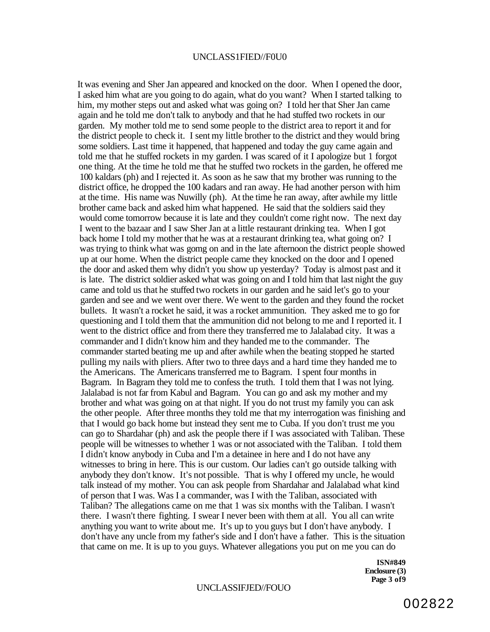#### UNCLASS1FIED//F0U0

It was evening and Sher Jan appeared and knocked on the door. When I opened the door, I asked him what are you going to do again, what do you want? When I started talking to him, my mother steps out and asked what was going on? I told her that Sher Jan came again and he told me don't talk to anybody and that he had stuffed two rockets in our garden. My mother told me to send some people to the district area to report it and for the district people to check it. I sent my little brother to the district and they would bring some soldiers. Last time it happened, that happened and today the guy came again and told me that he stuffed rockets in my garden. I was scared of it I apologize but 1 forgot one thing. At the time he told me that he stuffed two rockets in the garden, he offered me 100 kaldars (ph) and I rejected it. As soon as he saw that my brother was running to the district office, he dropped the 100 kadars and ran away. He had another person with him at the time. His name was Nuwilly (ph). At the time he ran away, after awhile my little brother came back and asked him what happened. He said that the soldiers said they would come tomorrow because it is late and they couldn't come right now. The next day I went to the bazaar and I saw Sher Jan at a little restaurant drinking tea. When I got back home I told my mother that he was at a restaurant drinking tea, what going on? I was trying to think what was gomg on and in the late afternoon the district people showed up at our home. When the district people came they knocked on the door and I opened the door and asked them why didn't you show up yesterday? Today is almost past and it is late. The district soldier asked what was going on and I told him that last night the guy came and told us that he stuffed two rockets in our garden and he said let's go to your garden and see and we went over there. We went to the garden and they found the rocket bullets. It wasn't a rocket he said, it was a rocket ammunition. They asked me to go for questioning and I told them that the ammunition did not belong to me and I reported it. I went to the district office and from there they transferred me to Jalalabad city. It was a commander and I didn't know him and they handed me to the commander. The commander started beating me up and after awhile when the beating stopped he started pulling my nails with pliers. After two to three days and a hard time they handed me to the Americans. The Americans transferred me to Bagram. I spent four months in Bagram. In Bagram they told me to confess the truth. I told them that I was not lying. Jalalabad is not far from Kabul and Bagram. You can go and ask my mother and my brother and what was going on at that night. If you do not trust my family you can ask the other people. After three months they told me that my interrogation was finishing and that I would go back home but instead they sent me to Cuba. If you don't trust me you can go to Shardahar (ph) and ask the people there if I was associated with Taliban. These people will be witnesses to whether 1 was or not associated with the Taliban. I told them I didn't know anybody in Cuba and I'm a detainee in here and I do not have any witnesses to bring in here. This is our custom. Our ladies can't go outside talking with anybody they don't know. It's not possible. That is why I offered my uncle, he would talk instead of my mother. You can ask people from Shardahar and Jalalabad what kind of person that I was. Was I a commander, was I with the Taliban, associated with Taliban? The allegations came on me that 1 was six months with the Taliban. I wasn't there. I wasn't there fighting. I swear I never been with them at all. You all can write anything you want to write about me. It's up to you guys but I don't have anybody. I don't have any uncle from my father's side and I don't have a father. This is the situation that came on me. It is up to you guys. Whatever allegations you put on me you can do

> **ISN#849 Enclosure (3) Page 3 of9**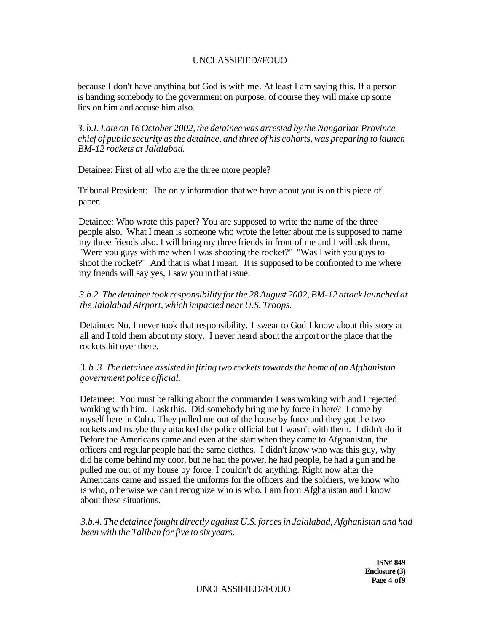because I don't have anything but God is with me. At least I am saying this. If a person is handing somebody to the government on purpose, of course they will make up some lies on him and accuse him also.

*3. b.I. Late on 16 October 2002, the detainee was arrested by the Nangarhar Province chief of public security as the detainee, and three of his cohorts, was preparing to launch BM-12 rockets at Jalalabad.* 

Detainee: First of all who are the three more people?

Tribunal President: The only information that we have about you is on this piece of paper.

Detainee: Who wrote this paper? You are supposed to write the name of the three people also. What I mean is someone who wrote the letter about me is supposed to name my three friends also. I will bring my three friends in front of me and I will ask them, "Were you guys with me when I was shooting the rocket?" "Was I with you guys to shoot the rocket?" And that is what I mean. It is supposed to be confronted to me where my friends will say yes, I saw you in that issue.

*3.b.2. The detainee took responsibility for the 28 August 2002, BM-12 attack launched at the Jalalabad Airport, which impacted near U.S. Troops.* 

Detainee: No. I never took that responsibility. 1 swear to God I know about this story at all and I told them about my story. I never heard about the airport or the place that the rockets hit over there.

*3. b .3. The detainee assisted in firing two rockets towards the home of an Afghanistan government police official.* 

Detainee: You must be talking about the commander I was working with and I rejected working with him. I ask this. Did somebody bring me by force in here? I came by myself here in Cuba. They pulled me out of the house by force and they got the two rockets and maybe they attacked the police official but I wasn't with them. I didn't do it Before the Americans came and even at the start when they came to Afghanistan, the officers and regular people had the same clothes. I didn't know who was this guy, why did he come behind my door, but he had the power, he had people, he had a gun and he pulled me out of my house by force. I couldn't do anything. Right now after the Americans came and issued the uniforms for the officers and the soldiers, we know who is who, otherwise we can't recognize who is who. I am from Afghanistan and I know about these situations.

*3.b.4. The detainee fought directly against U.S. forces in Jalalabad, Afghanistan and had been with the Taliban for five to six years.* 

> **ISN# 849 Enclosure (3) Page 4 of9**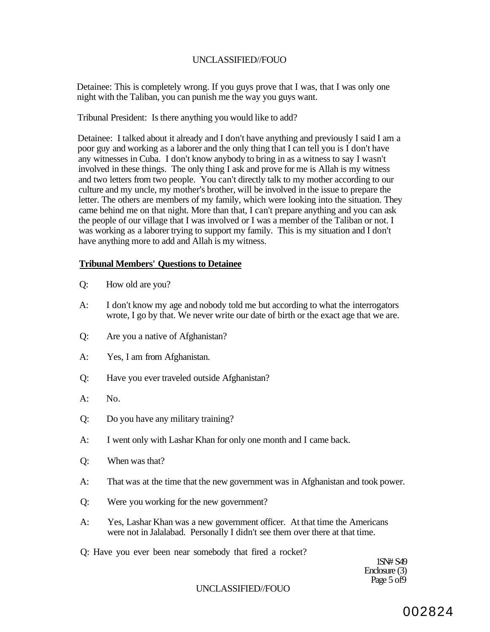Detainee: This is completely wrong. If you guys prove that I was, that I was only one night with the Taliban, you can punish me the way you guys want.

Tribunal President: Is there anything you would like to add?

Detainee: I talked about it already and I don't have anything and previously I said I am a poor guy and working as a laborer and the only thing that I can tell you is I don't have any witnesses in Cuba. I don't know anybody to bring in as a witness to say I wasn't involved in these things. The only thing I ask and prove for me is Allah is my witness and two letters from two people. You can't directly talk to my mother according to our culture and my uncle, my mother's brother, will be involved in the issue to prepare the letter. The others are members of my family, which were looking into the situation. They came behind me on that night. More than that, I can't prepare anything and you can ask the people of our village that I was involved or I was a member of the Taliban or not. I was working as a laborer trying to support my family. This is my situation and I don't have anything more to add and Allah is my witness.

#### **Tribunal Members' Questions to Detainee**

- Q: How old are you?
- A: I don't know my age and nobody told me but according to what the interrogators wrote, I go by that. We never write our date of birth or the exact age that we are.
- Q: Are you a native of Afghanistan?
- A: Yes, I am from Afghanistan.
- Q: Have you ever traveled outside Afghanistan?
- $A:$  No.
- Q: Do you have any military training?
- A: I went only with Lashar Khan for only one month and I came back.
- Q: When was that?
- A: That was at the time that the new government was in Afghanistan and took power.
- Q: Were you working for the new government?
- A: Yes, Lashar Khan was a new government officer. At that time the Americans were not in Jalalabad. Personally I didn't see them over there at that time.
- Q: Have you ever been near somebody that fired a rocket?

1SN# S49 Enclosure (3) Page 5 of 9

#### UNCLASSIFIED//FOUO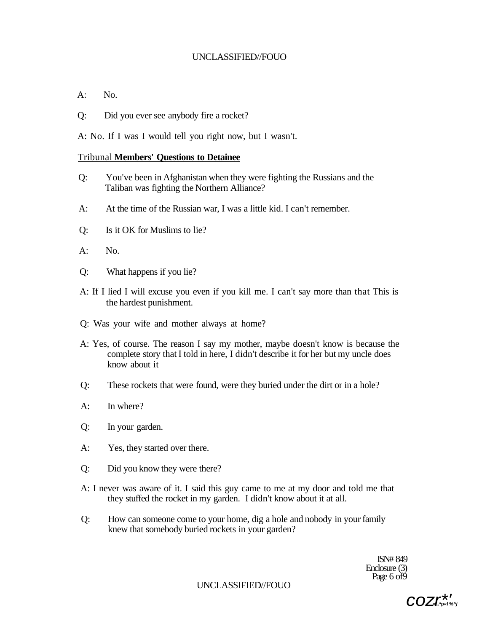- $A:$  No.
- Q: Did you ever see anybody fire a rocket?
- A: No. If I was I would tell you right now, but I wasn't.

#### Tribunal **Members' Questions to Detainee**

- Q: You've been in Afghanistan when they were fighting the Russians and the Taliban was fighting the Northern Alliance?
- A: At the time of the Russian war, I was a little kid. I can't remember.
- Q: Is it OK for Muslims to lie?
- $A:$  No.
- Q: What happens if you lie?
- A: If I lied I will excuse you even if you kill me. I can't say more than that This is the hardest punishment.
- Q: Was your wife and mother always at home?
- A: Yes, of course. The reason I say my mother, maybe doesn't know is because the complete story that I told in here, I didn't describe it for her but my uncle does know about it
- Q: These rockets that were found, were they buried under the dirt or in a hole?
- A: In where?
- Q: In your garden.
- A: Yes, they started over there.
- Q: Did you know they were there?
- A: I never was aware of it. I said this guy came to me at my door and told me that they stuffed the rocket in my garden. I didn't know about it at all.
- Q: How can someone come to your home, dig a hole and nobody in your family knew that somebody buried rockets in your garden?

ISN# 849 Enclosure (3) Page 6 of 9

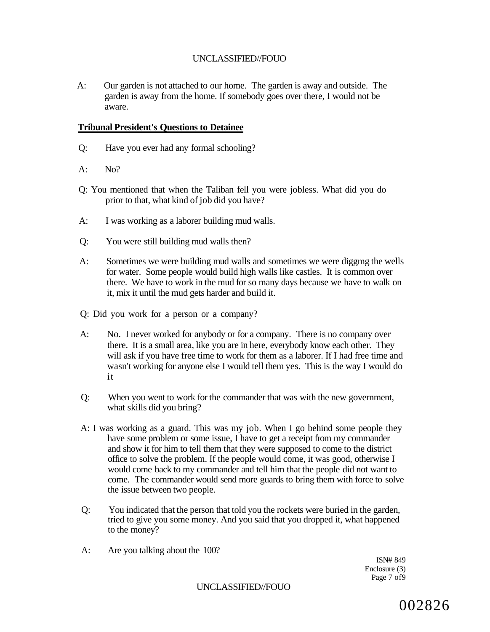A: Our garden is not attached to our home. The garden is away and outside. The garden is away from the home. If somebody goes over there, I would not be aware.

## **Tribunal President's Questions to Detainee**

- Q: Have you ever had any formal schooling?
- $A: \qquad No?$
- Q: You mentioned that when the Taliban fell you were jobless. What did you do prior to that, what kind of job did you have?
- A: I was working as a laborer building mud walls.
- Q: You were still building mud walls then?
- A: Sometimes we were building mud walls and sometimes we were diggmg the wells for water. Some people would build high walls like castles. It is common over there. We have to work in the mud for so many days because we have to walk on it, mix it until the mud gets harder and build it.
- Q: Did you work for a person or a company?
- A: No. I never worked for anybody or for a company. There is no company over there. It is a small area, like you are in here, everybody know each other. They will ask if you have free time to work for them as a laborer. If I had free time and wasn't working for anyone else I would tell them yes. This is the way I would do it
- Q: When you went to work for the commander that was with the new government, what skills did you bring?
- A: I was working as a guard. This was my job. When I go behind some people they have some problem or some issue, I have to get a receipt from my commander and show it for him to tell them that they were supposed to come to the district office to solve the problem. If the people would come, it was good, otherwise I would come back to my commander and tell him that the people did not want to come. The commander would send more guards to bring them with force to solve the issue between two people.
- Q: You indicated that the person that told you the rockets were buried in the garden, tried to give you some money. And you said that you dropped it, what happened to the money?
- A: Are you talking about the 100?

ISN# 849 Enclosure (3) Page 7 of9

UNCLASSIFIED//FOUO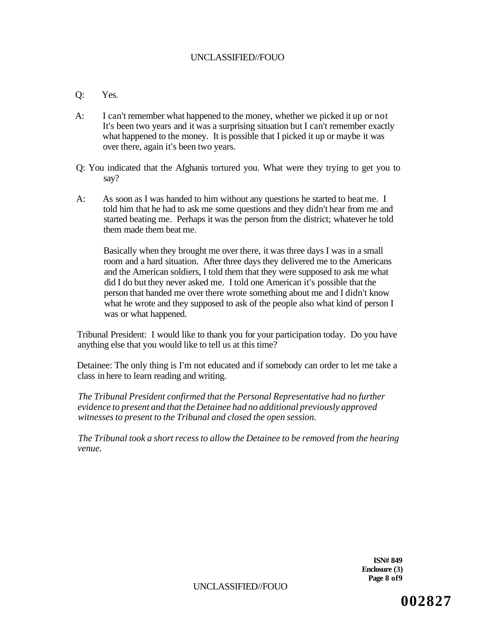# Q: Yes.

- A: I can't remember what happened to the money, whether we picked it up or not It's been two years and it was a surprising situation but I can't remember exactly what happened to the money. It is possible that I picked it up or maybe it was over there, again it's been two years.
- Q: You indicated that the Afghanis tortured you. What were they trying to get you to say?
- A: As soon as I was handed to him without any questions he started to beat me. I told him that he had to ask me some questions and they didn't hear from me and started beating me. Perhaps it was the person from the district; whatever he told them made them beat me.

Basically when they brought me over there, it was three days I was in a small room and a hard situation. After three days they delivered me to the Americans and the American soldiers, I told them that they were supposed to ask me what did I do but they never asked me. I told one American it's possible that the person that handed me over there wrote something about me and I didn't know what he wrote and they supposed to ask of the people also what kind of person I was or what happened.

Tribunal President: I would like to thank you for your participation today. Do you have anything else that you would like to tell us at this time?

Detainee: The only thing is I'm not educated and if somebody can order to let me take a class in here to learn reading and writing.

*The Tribunal President confirmed that the Personal Representative had no further evidence to present and that the Detainee had no additional previously approved witnesses to present to the Tribunal and closed the open session.* 

*The Tribunal took a short recess to allow the Detainee to be removed from the hearing venue.* 

> **ISN# 849 Enclosure (3) Page 8 of9**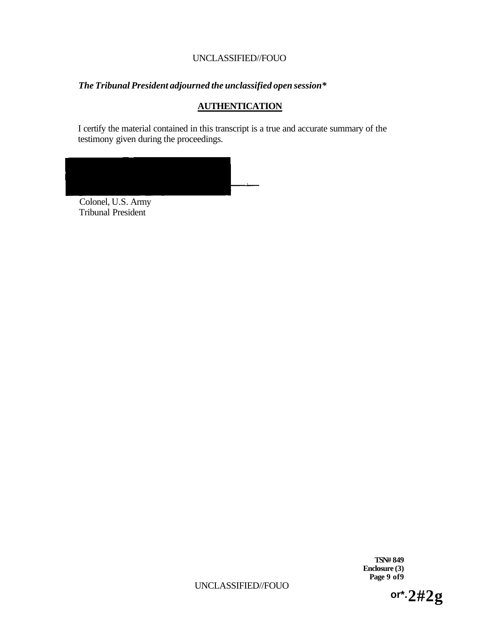# *The Tribunal President adjourned the unclassified open session\**

# **AUTHENTICATION**

I certify the material contained in this transcript is a true and accurate summary of the testimony given during the proceedings.



Colonel, U.S. Army Tribunal President

> **TSN# 849 Enclosure (3) Page 9 of9**

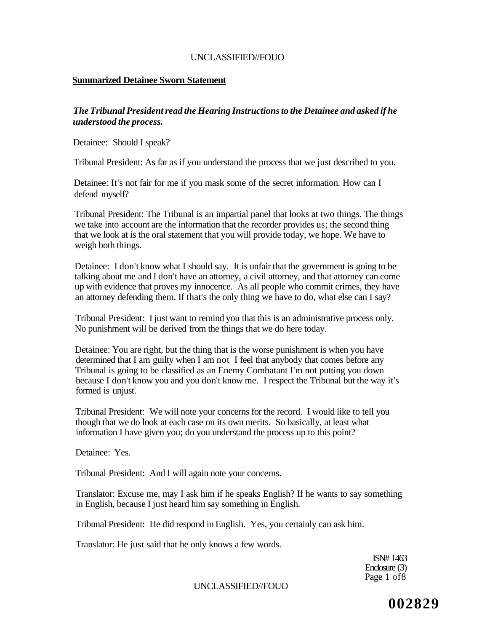## **Summarized Detainee Sworn Statement**

# *The Tribunal President read the Hearing Instructions to the Detainee and asked if he understood the process.*

Detainee: Should I speak?

Tribunal President: As far as if you understand the process that we just described to you.

Detainee: It's not fair for me if you mask some of the secret information. How can I defend myself?

Tribunal President: The Tribunal is an impartial panel that looks at two things. The things we take into account are the information that the recorder provides us; the second thing that we look at is the oral statement that you will provide today, we hope. We have to weigh both things.

Detainee: I don't know what I should say. It is unfair that the government is going to be talking about me and I don't have an attorney, a civil attorney, and that attorney can come up with evidence that proves my innocence. As all people who commit crimes, they have an attorney defending them. If that's the only thing we have to do, what else can I say?

Tribunal President: I just want to remind you that this is an administrative process only. No punishment will be derived from the things that we do here today.

Detainee: You are right, but the thing that is the worse punishment is when you have determined that I am guilty when I am not I feel that anybody that comes before any Tribunal is going to be classified as an Enemy Combatant I'm not putting you down because I don't know you and you don't know me. I respect the Tribunal but the way it's formed is unjust.

Tribunal President: We will note your concerns for the record. I would like to tell you though that we do look at each case on its own merits. So basically, at least what information I have given you; do you understand the process up to this point?

Detainee: Yes.

Tribunal President: And I will again note your concerns.

Translator: Excuse me, may I ask him if he speaks English? If he wants to say something in English, because I just heard him say something in English.

Tribunal President: He did respond in English. Yes, you certainly can ask him.

Translator: He just said that he only knows a few words.

ISN# 1463 Enclosure (3) Page 1 of8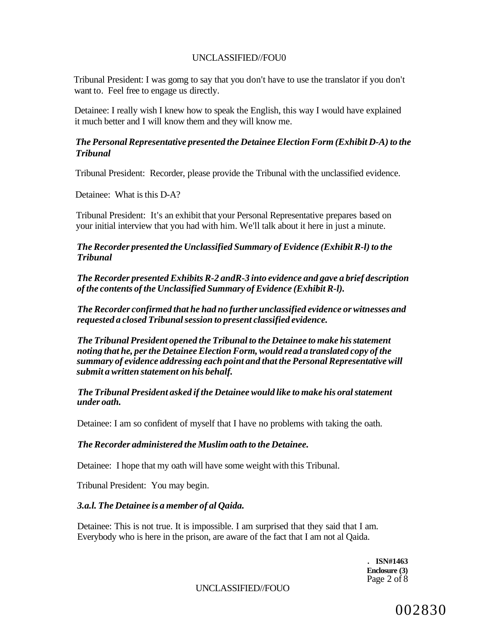Tribunal President: I was gomg to say that you don't have to use the translator if you don't want to. Feel free to engage us directly.

Detainee: I really wish I knew how to speak the English, this way I would have explained it much better and I will know them and they will know me.

# *The Personal Representative presented the Detainee Election Form (Exhibit D-A) to the Tribunal*

Tribunal President: Recorder, please provide the Tribunal with the unclassified evidence.

Detainee: What is this D-A?

Tribunal President: It's an exhibit that your Personal Representative prepares based on your initial interview that you had with him. We'll talk about it here in just a minute.

*The Recorder presented the Unclassified Summary of Evidence (Exhibit R-l) to the Tribunal* 

*The Recorder presented Exhibits R-2 andR-3 into evidence and gave a brief description of the contents of the Unclassified Summary of Evidence (Exhibit R-l).* 

*The Recorder confirmed that he had no further unclassified evidence or witnesses and requested a closed Tribunal session to present classified evidence.* 

*The Tribunal President opened the Tribunal to the Detainee to make his statement noting that he, per the Detainee Election Form, would read a translated copy of the summary of evidence addressing each point and that the Personal Representative will submit a written statement on his behalf.* 

## *The Tribunal President asked if the Detainee would like to make his oral statement under oath.*

Detainee: I am so confident of myself that I have no problems with taking the oath.

## *The Recorder administered the Muslim oath to the Detainee.*

Detainee: I hope that my oath will have some weight with this Tribunal.

Tribunal President: You may begin.

## *3.a.l. The Detainee is a member of al Qaida.*

Detainee: This is not true. It is impossible. I am surprised that they said that I am. Everybody who is here in the prison, are aware of the fact that I am not al Qaida.

> **. ISN#1463 Enclosure (3)**  Page 2 of 8

UNCLASSIFIED//FOUO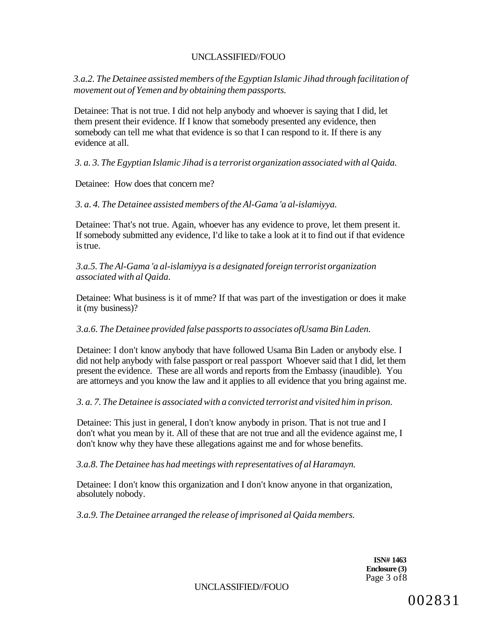*3.a.2. The Detainee assisted members of the Egyptian Islamic Jihad through facilitation of movement out of Yemen and by obtaining them passports.* 

Detainee: That is not true. I did not help anybody and whoever is saying that I did, let them present their evidence. If I know that somebody presented any evidence, then somebody can tell me what that evidence is so that I can respond to it. If there is any evidence at all.

*3. a. 3. The Egyptian Islamic Jihad is a terrorist organization associated with al Qaida.* 

Detainee: How does that concern me?

*3. a. 4. The Detainee assisted members of the Al-Gama 'a al-islamiyya.* 

Detainee: That's not true. Again, whoever has any evidence to prove, let them present it. If somebody submitted any evidence, I'd like to take a look at it to find out if that evidence is true.

*3.a.5. The Al-Gama 'a al-islamiyya is a designated foreign terrorist organization associated with al Qaida.* 

Detainee: What business is it of mme? If that was part of the investigation or does it make it (my business)?

# *3.a.6. The Detainee provided false passports to associates ofUsama Bin Laden.*

Detainee: I don't know anybody that have followed Usama Bin Laden or anybody else. I did not help anybody with false passport or real passport Whoever said that I did, let them present the evidence. These are all words and reports from the Embassy (inaudible). You are attorneys and you know the law and it applies to all evidence that you bring against me.

*3. a. 7. The Detainee is associated with a convicted terrorist and visited him in prison.* 

Detainee: This just in general, I don't know anybody in prison. That is not true and I don't what you mean by it. All of these that are not true and all the evidence against me, I don't know why they have these allegations against me and for whose benefits.

*3.a.8. The Detainee has had meetings with representatives of al Haramayn.* 

Detainee: I don't know this organization and I don't know anyone in that organization, absolutely nobody.

*3.a.9. The Detainee arranged the release of imprisoned al Qaida members.* 

**ISN# 1463 Enclosure (3)**  Page 3 of8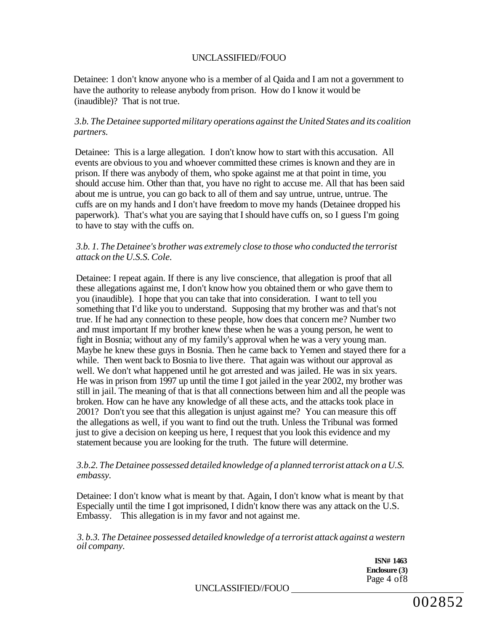Detainee: 1 don't know anyone who is a member of al Qaida and I am not a government to have the authority to release anybody from prison. How do I know it would be (inaudible)? That is not true.

# *3.b. The Detainee supported military operations against the United States and its coalition partners.*

Detainee: This is a large allegation. I don't know how to start with this accusation. All events are obvious to you and whoever committed these crimes is known and they are in prison. If there was anybody of them, who spoke against me at that point in time, you should accuse him. Other than that, you have no right to accuse me. All that has been said about me is untrue, you can go back to all of them and say untrue, untrue, untrue. The cuffs are on my hands and I don't have freedom to move my hands (Detainee dropped his paperwork). That's what you are saying that I should have cuffs on, so I guess I'm going to have to stay with the cuffs on.

## *3.b. 1. The Detainee's brother was extremely close to those who conducted the terrorist attack on the U.S.S. Cole.*

Detainee: I repeat again. If there is any live conscience, that allegation is proof that all these allegations against me, I don't know how you obtained them or who gave them to you (inaudible). I hope that you can take that into consideration. I want to tell you something that I'd like you to understand. Supposing that my brother was and that's not true. If he had any connection to these people, how does that concern me? Number two and must important If my brother knew these when he was a young person, he went to fight in Bosnia; without any of my family's approval when he was a very young man. Maybe he knew these guys in Bosnia. Then he came back to Yemen and stayed there for a while. Then went back to Bosnia to live there. That again was without our approval as well. We don't what happened until he got arrested and was jailed. He was in six years. He was in prison from 1997 up until the time I got jailed in the year 2002, my brother was still in jail. The meaning of that is that all connections between him and all the people was broken. How can he have any knowledge of all these acts, and the attacks took place in 2001? Don't you see that this allegation is unjust against me? You can measure this off the allegations as well, if you want to find out the truth. Unless the Tribunal was formed just to give a decision on keeping us here, I request that you look this evidence and my statement because you are looking for the truth. The future will determine.

## *3.b.2. The Detainee possessed detailed knowledge of a planned terrorist attack on a U.S. embassy.*

Detainee: I don't know what is meant by that. Again, I don't know what is meant by that Especially until the time I got imprisoned, I didn't know there was any attack on the U.S. Embassy. This allegation is in my favor and not against me.

*3. b.3. The Detainee possessed detailed knowledge of a terrorist attack against a western oil company.* 

> **ISN# 1463 Enclosure (3)**  Page 4 of8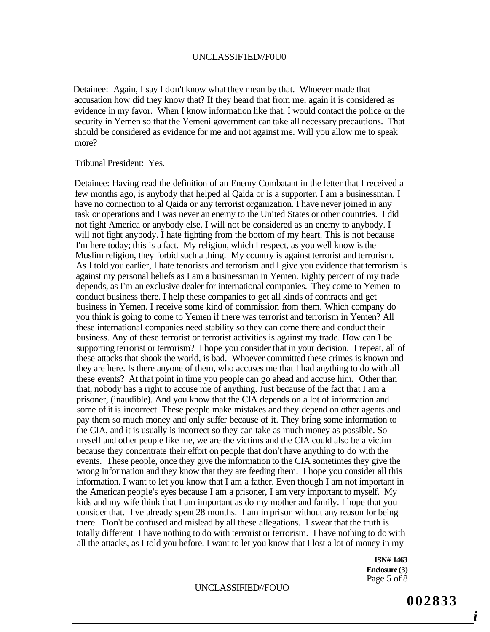#### UNCLASSIF1ED//F0U0

Detainee: Again, I say I don't know what they mean by that. Whoever made that accusation how did they know that? If they heard that from me, again it is considered as evidence in my favor. When I know information like that, I would contact the police or the security in Yemen so that the Yemeni government can take all necessary precautions. That should be considered as evidence for me and not against me. Will you allow me to speak more?

#### Tribunal President: Yes.

Detainee: Having read the definition of an Enemy Combatant in the letter that I received a few months ago, is anybody that helped al Qaida or is a supporter. I am a businessman. I have no connection to al Qaida or any terrorist organization. I have never joined in any task or operations and I was never an enemy to the United States or other countries. I did not fight America or anybody else. I will not be considered as an enemy to anybody. I will not fight anybody. I hate fighting from the bottom of my heart. This is not because I'm here today; this is a fact. My religion, which I respect, as you well know is the Muslim religion, they forbid such a thing. My country is against terrorist and terrorism. As I told you earlier, I hate tenorists and terrorism and I give you evidence that terrorism is against my personal beliefs as I am a businessman in Yemen. Eighty percent of my trade depends, as I'm an exclusive dealer for international companies. They come to Yemen to conduct business there. I help these companies to get all kinds of contracts and get business in Yemen. I receive some kind of commission from them. Which company do you think is going to come to Yemen if there was terrorist and terrorism in Yemen? All these international companies need stability so they can come there and conduct their business. Any of these terrorist or terrorist activities is against my trade. How can I be supporting terrorist or terrorism? I hope you consider that in your decision. I repeat, all of these attacks that shook the world, is bad. Whoever committed these crimes is known and they are here. Is there anyone of them, who accuses me that I had anything to do with all these events? At that point in time you people can go ahead and accuse him. Other than that, nobody has a right to accuse me of anything. Just because of the fact that I am a prisoner, (inaudible). And you know that the CIA depends on a lot of information and some of it is incorrect These people make mistakes and they depend on other agents and pay them so much money and only suffer because of it. They bring some information to the CIA, and it is usually is incorrect so they can take as much money as possible. So myself and other people like me, we are the victims and the CIA could also be a victim because they concentrate their effort on people that don't have anything to do with the events. These people, once they give the information to the CIA sometimes they give the wrong information and they know that they are feeding them. I hope you consider all this information. I want to let you know that I am a father. Even though I am not important in the American people's eyes because I am a prisoner, I am very important to myself. My kids and my wife think that I am important as do my mother and family. I hope that you consider that. I've already spent 28 months. I am in prison without any reason for being there. Don't be confused and mislead by all these allegations. I swear that the truth is totally different I have nothing to do with terrorist or terrorism. I have nothing to do with all the attacks, as I told you before. I want to let you know that I lost a lot of money in my

> **ISN# 1463 Enclosure (3)**  Page 5 of 8

#### UNCLASSIFIED//FOUO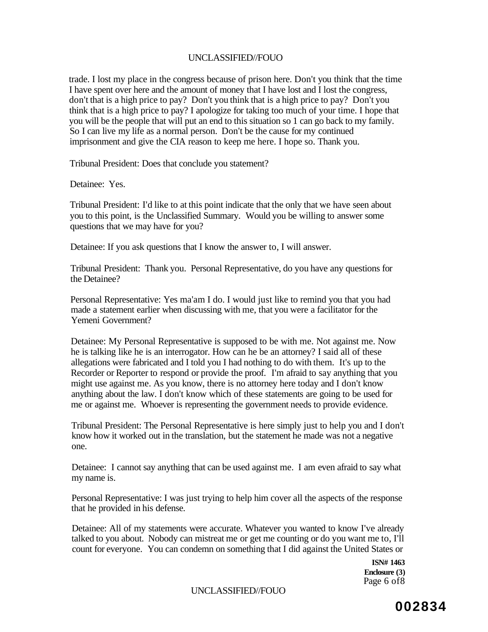trade. I lost my place in the congress because of prison here. Don't you think that the time I have spent over here and the amount of money that I have lost and I lost the congress, don't that is a high price to pay? Don't you think that is a high price to pay? Don't you think that is a high price to pay? I apologize for taking too much of your time. I hope that you will be the people that will put an end to this situation so 1 can go back to my family. So I can live my life as a normal person. Don't be the cause for my continued imprisonment and give the CIA reason to keep me here. I hope so. Thank you.

Tribunal President: Does that conclude you statement?

Detainee: Yes.

Tribunal President: I'd like to at this point indicate that the only that we have seen about you to this point, is the Unclassified Summary. Would you be willing to answer some questions that we may have for you?

Detainee: If you ask questions that I know the answer to, I will answer.

Tribunal President: Thank you. Personal Representative, do you have any questions for the Detainee?

Personal Representative: Yes ma'am I do. I would just like to remind you that you had made a statement earlier when discussing with me, that you were a facilitator for the Yemeni Government?

Detainee: My Personal Representative is supposed to be with me. Not against me. Now he is talking like he is an interrogator. How can he be an attorney? I said all of these allegations were fabricated and I told you I had nothing to do with them. It's up to the Recorder or Reporter to respond or provide the proof. I'm afraid to say anything that you might use against me. As you know, there is no attorney here today and I don't know anything about the law. I don't know which of these statements are going to be used for me or against me. Whoever is representing the government needs to provide evidence.

Tribunal President: The Personal Representative is here simply just to help you and I don't know how it worked out in the translation, but the statement he made was not a negative one.

Detainee: I cannot say anything that can be used against me. I am even afraid to say what my name is.

Personal Representative: I was just trying to help him cover all the aspects of the response that he provided in his defense.

Detainee: All of my statements were accurate. Whatever you wanted to know I've already talked to you about. Nobody can mistreat me or get me counting or do you want me to, I'll count for everyone. You can condemn on something that I did against the United States or

> **ISN# 1463 Enclosure (3)**  Page 6 of8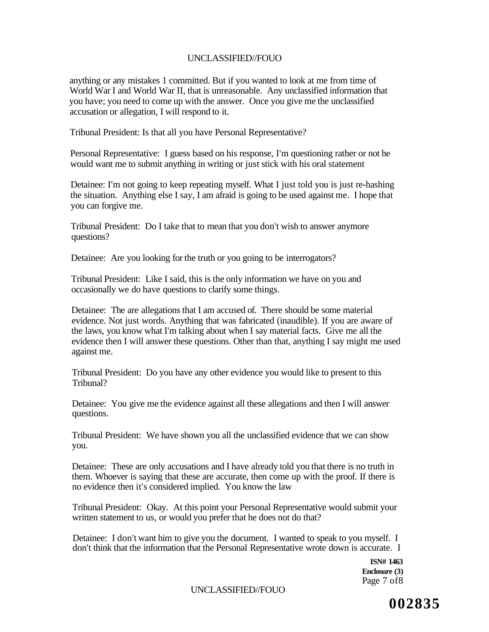anything or any mistakes 1 committed. But if you wanted to look at me from time of World War I and World War II, that is unreasonable. Any unclassified information that you have; you need to come up with the answer. Once you give me the unclassified accusation or allegation, I will respond to it.

Tribunal President: Is that all you have Personal Representative?

Personal Representative: I guess based on his response, I'm questioning rather or not he would want me to submit anything in writing or just stick with his oral statement

Detainee: I'm not going to keep repeating myself. What I just told you is just re-hashing the situation. Anything else I say, I am afraid is going to be used against me. I hope that you can forgive me.

Tribunal President: Do I take that to mean that you don't wish to answer anymore questions?

Detainee: Are you looking for the truth or you going to be interrogators?

Tribunal President: Like I said, this is the only information we have on you and occasionally we do have questions to clarify some things.

Detainee: The are allegations that I am accused of. There should be some material evidence. Not just words. Anything that was fabricated (inaudible). If you are aware of the laws, you know what I'm talking about when I say material facts. Give me all the evidence then I will answer these questions. Other than that, anything I say might me used against me.

Tribunal President: Do you have any other evidence you would like to present to this Tribunal?

Detainee: You give me the evidence against all these allegations and then I will answer questions.

Tribunal President: We have shown you all the unclassified evidence that we can show you.

Detainee: These are only accusations and I have already told you that there is no truth in them. Whoever is saying that these are accurate, then come up with the proof. If there is no evidence then it's considered implied. You know the law

Tribunal President: Okay. At this point your Personal Representative would submit your written statement to us, or would you prefer that he does not do that?

Detainee: I don't want him to give you the document. I wanted to speak to you myself. I don't think that the information that the Personal Representative wrote down is accurate. I

> **ISN# 1463 Enclosure (3)**  Page 7 of8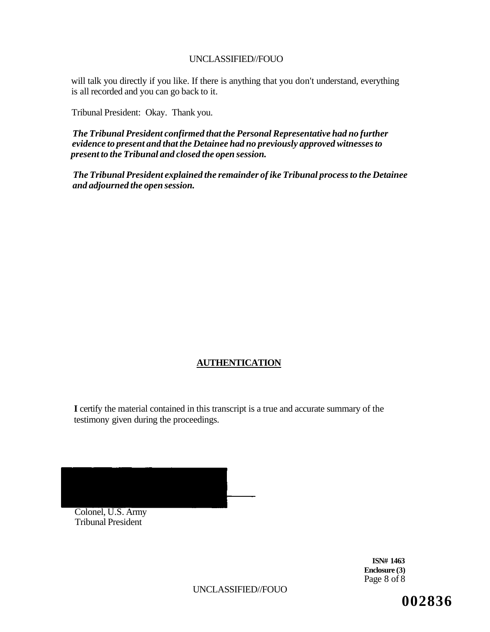will talk you directly if you like. If there is anything that you don't understand, everything is all recorded and you can go back to it.

Tribunal President: Okay. Thank you.

*The Tribunal President confirmed that the Personal Representative had no further evidence to present and that the Detainee had no previously approved witnesses to present to the Tribunal and closed the open session.* 

*The Tribunal President explained the remainder of ike Tribunal process to the Detainee and adjourned the open session.* 

# **AUTHENTICATION**

**I** certify the material contained in this transcript is a true and accurate summary of the testimony given during the proceedings.

Colonel, U.S. Army Tribunal President

> **ISN# 1463 Enclosure (3)**  Page 8 of 8

UNCLASSIFIED//FOUO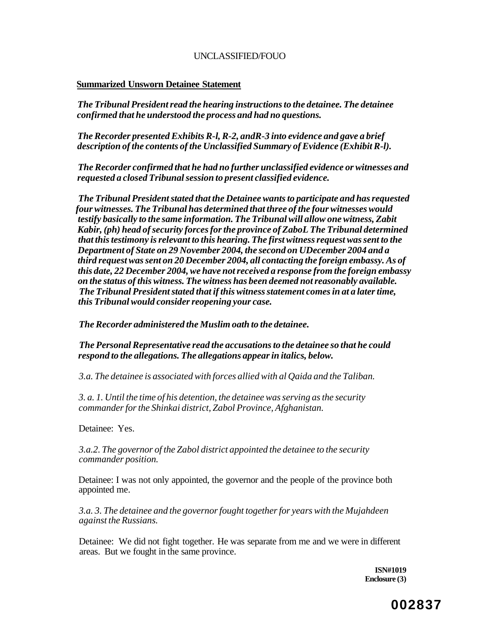## **Summarized Unsworn Detainee Statement**

*The Tribunal President read the hearing instructions to the detainee. The detainee confirmed that he understood the process and had no questions.* 

*The Recorder presented Exhibits R-l, R-2, andR-3 into evidence and gave a brief description of the contents of the Unclassified Summary of Evidence (Exhibit R-l).* 

*The Recorder confirmed that he had no further unclassified evidence or witnesses and requested a closed Tribunal session to present classified evidence.* 

*The Tribunal President stated that the Detainee wants to participate and has requested four witnesses. The Tribunal has determined that three of the four witnesses would testify basically to the same information. The Tribunal will allow one witness, Zabit Kabir, (ph) head of security forces for the province of ZaboL The Tribunal determined that this testimony is relevant to this hearing. The first witness request was sent to the Department of State on 29 November 2004, the second on UDecember 2004 and a third request was sent on 20 December 2004, all contacting the foreign embassy. As of this date, 22 December 2004, we have not received a response from the foreign embassy on the status of this witness. The witness has been deemed not reasonably available. The Tribunal President stated that if this witness statement comes in at a later time, this Tribunal would consider reopening your case.* 

*The Recorder administered the Muslim oath to the detainee.* 

*The Personal Representative read the accusations to the detainee so that he could respond to the allegations. The allegations appear in italics, below.* 

*3.a. The detainee is associated with forces allied with al Qaida and the Taliban.* 

*3. a. 1. Until the time of his detention, the detainee was serving as the security commander for the Shinkai district, Zabol Province, Afghanistan.* 

Detainee: Yes.

*3.a.2. The governor of the Zabol district appointed the detainee to the security commander position.* 

Detainee: I was not only appointed, the governor and the people of the province both appointed me.

*3.a. 3. The detainee and the governor fought together for years with the Mujahdeen against the Russians.* 

Detainee: We did not fight together. He was separate from me and we were in different areas. But we fought in the same province.

> **ISN#1019 Enclosure (3)**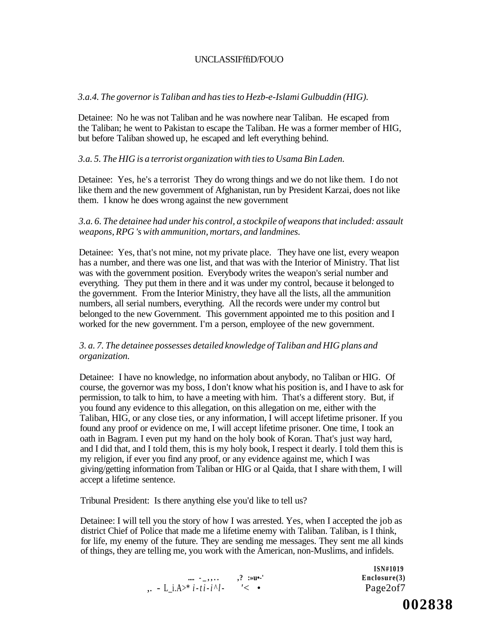# UNCLASSIFffiD/FOUO

#### *3.a.4. The governor is Taliban and has ties to Hezb-e-Islami Gulbuddin (HIG).*

Detainee: No he was not Taliban and he was nowhere near Taliban. He escaped from the Taliban; he went to Pakistan to escape the Taliban. He was a former member of HIG, but before Taliban showed up, he escaped and left everything behind.

## *3.a. 5. The HIG is a terrorist organization with ties to Usama Bin Laden.*

Detainee: Yes, he's a terrorist They do wrong things and we do not like them. I do not like them and the new government of Afghanistan, run by President Karzai, does not like them. I know he does wrong against the new government

## *3.a. 6. The detainee had under his control, a stockpile of weapons that included: assault weapons, RPG 's with ammunition, mortars, and landmines.*

Detainee: Yes, that's not mine, not my private place. They have one list, every weapon has a number, and there was one list, and that was with the Interior of Ministry. That list was with the government position. Everybody writes the weapon's serial number and everything. They put them in there and it was under my control, because it belonged to the government. From the Interior Ministry, they have all the lists, all the ammunition numbers, all serial numbers, everything. All the records were under my control but belonged to the new Government. This government appointed me to this position and I worked for the new government. I'm a person, employee of the new government.

# *3. a. 7. The detainee possesses detailed knowledge of Taliban and HIG plans and organization.*

Detainee: I have no knowledge, no information about anybody, no Taliban or HIG. Of course, the governor was my boss, I don't know what his position is, and I have to ask for permission, to talk to him, to have a meeting with him. That's a different story. But, if you found any evidence to this allegation, on this allegation on me, either with the Taliban, HIG, or any close ties, or any information, I will accept lifetime prisoner. If you found any proof or evidence on me, I will accept lifetime prisoner. One time, I took an oath in Bagram. I even put my hand on the holy book of Koran. That's just way hard, and I did that, and I told them, this is my holy book, I respect it dearly. I told them this is my religion, if ever you find any proof, or any evidence against me, which I was giving/getting information from Taliban or HIG or al Qaida, that I share with them, I will accept a lifetime sentence.

Tribunal President: Is there anything else you'd like to tell us?

Detainee: I will tell you the story of how I was arrested. Yes, when I accepted the job as district Chief of Police that made me a lifetime enemy with Taliban. Taliban, is I think, for life, my enemy of the future. They are sending me messages. They sent me all kinds of things, they are telling me, you work with the American, non-Muslims, and infidels.

|                                                                      | <b>TOTAL TALA</b><br>Enclosure(3) |
|----------------------------------------------------------------------|-----------------------------------|
| $\ldots$ - L_i.A>* <i>i</i> -t <i>i</i> - <i>i</i> ^ <i>l</i> - '< • | Page2of7                          |

**ISN#1019**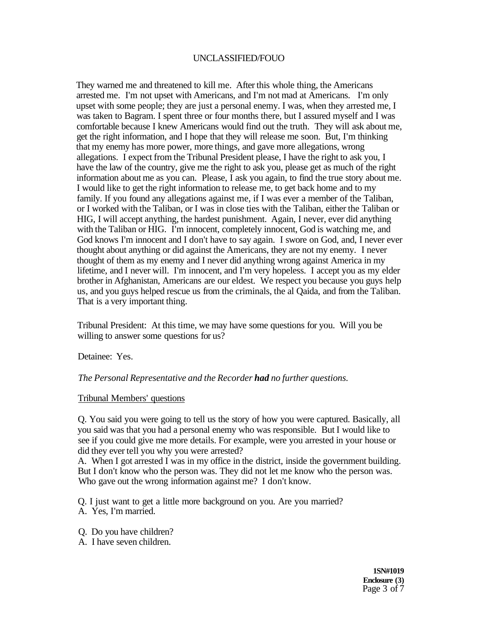They warned me and threatened to kill me. After this whole thing, the Americans arrested me. I'm not upset with Americans, and I'm not mad at Americans. I'm only upset with some people; they are just a personal enemy. I was, when they arrested me, I was taken to Bagram. I spent three or four months there, but I assured myself and I was comfortable because I knew Americans would find out the truth. They will ask about me, get the right information, and I hope that they will release me soon. But, I'm thinking that my enemy has more power, more things, and gave more allegations, wrong allegations. I expect from the Tribunal President please, I have the right to ask you, I have the law of the country, give me the right to ask you, please get as much of the right information about me as you can. Please, I ask you again, to find the true story about me. I would like to get the right information to release me, to get back home and to my family. If you found any allegations against me, if I was ever a member of the Taliban, or I worked with the Taliban, or I was in close ties with the Taliban, either the Taliban or HIG, I will accept anything, the hardest punishment. Again, I never, ever did anything with the Taliban or HIG. I'm innocent, completely innocent, God is watching me, and God knows I'm innocent and I don't have to say again. I swore on God, and, I never ever thought about anything or did against the Americans, they are not my enemy. I never thought of them as my enemy and I never did anything wrong against America in my lifetime, and I never will. I'm innocent, and I'm very hopeless. I accept you as my elder brother in Afghanistan, Americans are our eldest. We respect you because you guys help us, and you guys helped rescue us from the criminals, the al Qaida, and from the Taliban. That is a very important thing.

Tribunal President: At this time, we may have some questions for you. Will you be willing to answer some questions for us?

Detainee: Yes.

*The Personal Representative and the Recorder had no further questions.* 

#### Tribunal Members' questions

Q. You said you were going to tell us the story of how you were captured. Basically, all you said was that you had a personal enemy who was responsible. But I would like to see if you could give me more details. For example, were you arrested in your house or did they ever tell you why you were arrested?

A. When I got arrested I was in my office in the district, inside the government building. But I don't know who the person was. They did not let me know who the person was. Who gave out the wrong information against me? I don't know.

Q. I just want to get a little more background on you. Are you married? A. Yes, I'm married.

- 
- Q. Do you have children?
- A. I have seven children.

**1SN#1019 Enclosure (3)**  Page 3 of 7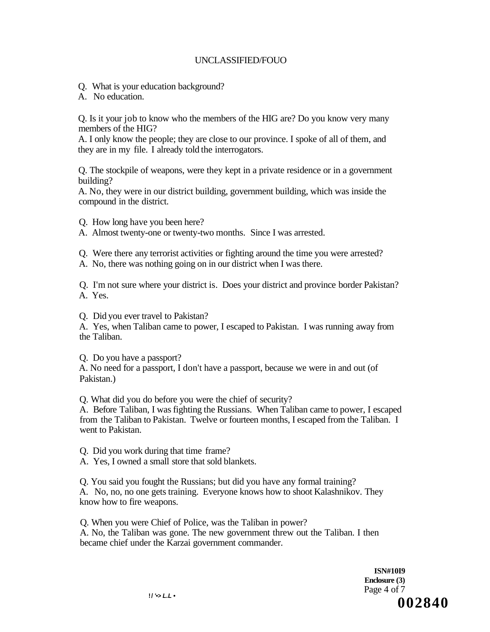- Q. What is your education background?
- A. No education.

Q. Is it your job to know who the members of the HIG are? Do you know very many members of the HIG?

A. I only know the people; they are close to our province. I spoke of all of them, and they are in my file. I already told the interrogators.

Q. The stockpile of weapons, were they kept in a private residence or in a government building?

A. No, they were in our district building, government building, which was inside the compound in the district.

- Q. How long have you been here?
- A. Almost twenty-one or twenty-two months. Since I was arrested.
- Q. Were there any terrorist activities or fighting around the time you were arrested?
- A. No, there was nothing going on in our district when I was there.

Q. I'm not sure where your district is. Does your district and province border Pakistan? A. Yes.

Q. Did you ever travel to Pakistan?

A. Yes, when Taliban came to power, I escaped to Pakistan. I was running away from the Taliban.

Q. Do you have a passport?

A. No need for a passport, I don't have a passport, because we were in and out (of Pakistan.)

Q. What did you do before you were the chief of security?

A. Before Taliban, I was fighting the Russians. When Taliban came to power, I escaped from the Taliban to Pakistan. Twelve or fourteen months, I escaped from the Taliban. I went to Pakistan.

Q. Did you work during that time frame?

A. Yes, I owned a small store that sold blankets.

Q. You said you fought the Russians; but did you have any formal training? A. No, no, no one gets training. Everyone knows how to shoot Kalashnikov. They know how to fire weapons.

Q. When you were Chief of Police, was the Taliban in power? A. No, the Taliban was gone. The new government threw out the Taliban. I then became chief under the Karzai government commander.

> **ISN#10I9 Enclosure (3)**  Page 4 of 7  $\frac{1}{2}$  **002840**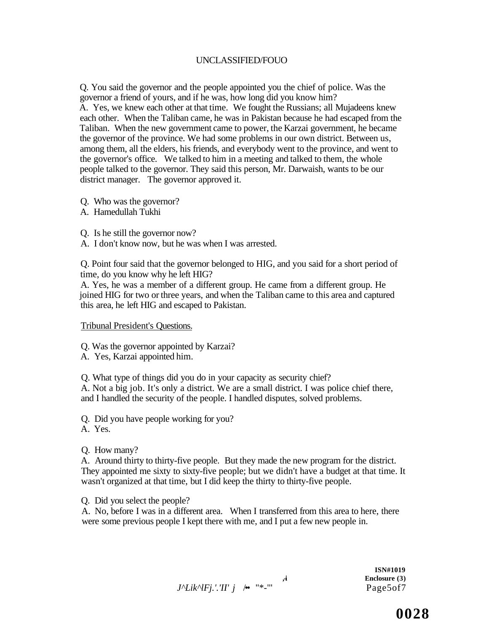Q. You said the governor and the people appointed you the chief of police. Was the governor a friend of yours, and if he was, how long did you know him? A. Yes, we knew each other at that time. We fought the Russians; all Mujadeens knew each other. When the Taliban came, he was in Pakistan because he had escaped from the Taliban. When the new government came to power, the Karzai government, he became the governor of the province. We had some problems in our own district. Between us, among them, all the elders, his friends, and everybody went to the province, and went to the governor's office. We talked to him in a meeting and talked to them, the whole people talked to the governor. They said this person, Mr. Darwaish, wants to be our district manager. The governor approved it.

- Q. Who was the governor?
- A. Hamedullah Tukhi
- Q. Is he still the governor now?
- A. I don't know now, but he was when I was arrested.

Q. Point four said that the governor belonged to HIG, and you said for a short period of time, do you know why he left HIG?

A. Yes, he was a member of a different group. He came from a different group. He joined HIG for two or three years, and when the Taliban came to this area and captured this area, he left HIG and escaped to Pakistan.

Tribunal President's Questions.

Q. Was the governor appointed by Karzai?

A. Yes, Karzai appointed him.

Q. What type of things did you do in your capacity as security chief? A. Not a big job. It's only a district. We are a small district. I was police chief there, and I handled the security of the people. I handled disputes, solved problems.

Q. Did you have people working for you?

A. Yes.

Q. How many?

A. Around thirty to thirty-five people. But they made the new program for the district. They appointed me sixty to sixty-five people; but we didn't have a budget at that time. It wasn't organized at that time, but I did keep the thirty to thirty-five people.

Q. Did you select the people?

A. No, before I was in a different area. When I transferred from this area to here, there were some previous people I kept there with me, and I put a few new people in.

*J^Lik^lFj.'.'II' j* /•• "\*-"' Page5of7

**ISN#1019**  Enclosure (3)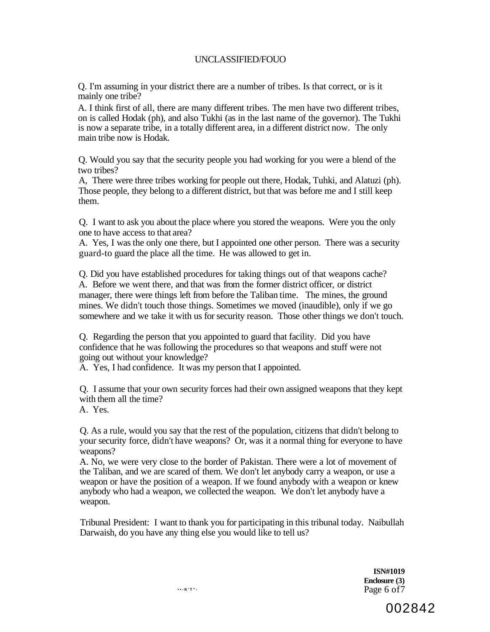Q. I'm assuming in your district there are a number of tribes. Is that correct, or is it mainly one tribe?

A. I think first of all, there are many different tribes. The men have two different tribes, on is called Hodak (ph), and also Tukhi (as in the last name of the governor). The Tukhi is now a separate tribe, in a totally different area, in a different district now. The only main tribe now is Hodak.

Q. Would you say that the security people you had working for you were a blend of the two tribes?

A, There were three tribes working for people out there, Hodak, Tuhki, and Alatuzi (ph). Those people, they belong to a different district, but that was before me and I still keep them.

Q. I want to ask you about the place where you stored the weapons. Were you the only one to have access to that area?

A. Yes, I was the only one there, but I appointed one other person. There was a security guard-to guard the place all the time. He was allowed to get in.

Q. Did you have established procedures for taking things out of that weapons cache? A. Before we went there, and that was from the former district officer, or district manager, there were things left from before the Taliban time. The mines, the ground mines. We didn't touch those things. Sometimes we moved (inaudible), only if we go somewhere and we take it with us for security reason. Those other things we don't touch.

Q. Regarding the person that you appointed to guard that facility. Did you have confidence that he was following the procedures so that weapons and stuff were not going out without your knowledge?

A. Yes, I had confidence. It was my person that I appointed.

Q. I assume that your own security forces had their own assigned weapons that they kept with them all the time?

A. Yes.

Q. As a rule, would you say that the rest of the population, citizens that didn't belong to your security force, didn't have weapons? Or, was it a normal thing for everyone to have weapons?

A. No, we were very close to the border of Pakistan. There were a lot of movement of the Taliban, and we are scared of them. We don't let anybody carry a weapon, or use a weapon or have the position of a weapon. If we found anybody with a weapon or knew anybody who had a weapon, we collected the weapon. We don't let anybody have a weapon.

Tribunal President: I want to thank you for participating in this tribunal today. Naibullah Darwaish, do you have any thing else you would like to tell us?

> **ISN#1019 Enclosure (3)**  Page 6 of7

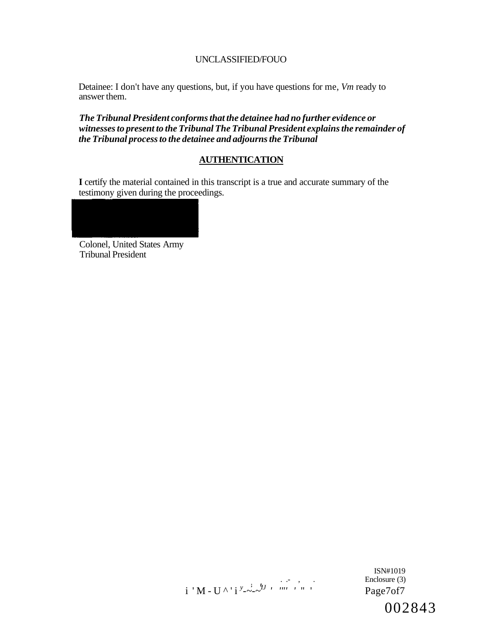Detainee: I don't have any questions, but, if you have questions for me, *Vm* ready to answer them.

*The Tribunal President conforms that the detainee had no further evidence or witnesses to present to the Tribunal The Tribunal President explains the remainder of the Tribunal process to the detainee and adjourns the Tribunal* 

# **AUTHENTICATION**

**I** certify the material contained in this transcript is a true and accurate summary of the testimony given during the proceedings.

Colonel, United States Army Tribunal President



ISN#1019 Enclosure (3) 002843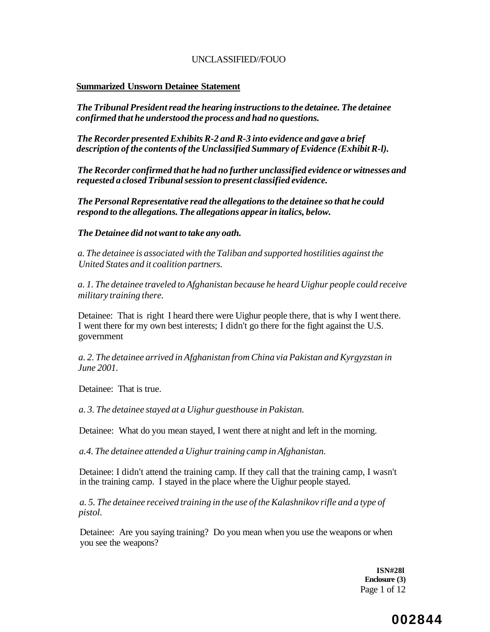#### **Summarized Unsworn Detainee Statement**

*The Tribunal President read the hearing instructions to the detainee. The detainee confirmed that he understood the process and had no questions.* 

*The Recorder presented Exhibits R-2 and R-3 into evidence and gave a brief description of the contents of the Unclassified Summary of Evidence (Exhibit R-l).* 

*The Recorder confirmed that he had no further unclassified evidence or witnesses and requested a closed Tribunal session to present classified evidence.* 

*The Personal Representative read the allegations to the detainee so that he could respond to the allegations. The allegations appear in italics, below.* 

#### *The Detainee did not want to take any oath.*

*a. The detainee is associated with the Taliban and supported hostilities against the United States and it coalition partners.* 

*a. 1. The detainee traveled to Afghanistan because he heard Uighur people could receive military training there.* 

Detainee: That is right I heard there were Uighur people there, that is why I went there. I went there for my own best interests; I didn't go there for the fight against the U.S. government

*a. 2. The detainee arrived in Afghanistan from China via Pakistan and Kyrgyzstan in June 2001.* 

Detainee: That is true.

*a. 3. The detainee stayed at a Uighur guesthouse in Pakistan.* 

Detainee: What do you mean stayed, I went there at night and left in the morning.

*a.4. The detainee attended a Uighur training camp in Afghanistan.* 

Detainee: I didn't attend the training camp. If they call that the training camp, I wasn't in the training camp. I stayed in the place where the Uighur people stayed.

*a. 5. The detainee received training in the use of the Kalashnikov rifle and a type of pistol.* 

Detainee: Are you saying training? Do you mean when you use the weapons or when you see the weapons?

> **ISN#28l Enclosure (3)**  Page 1 of 12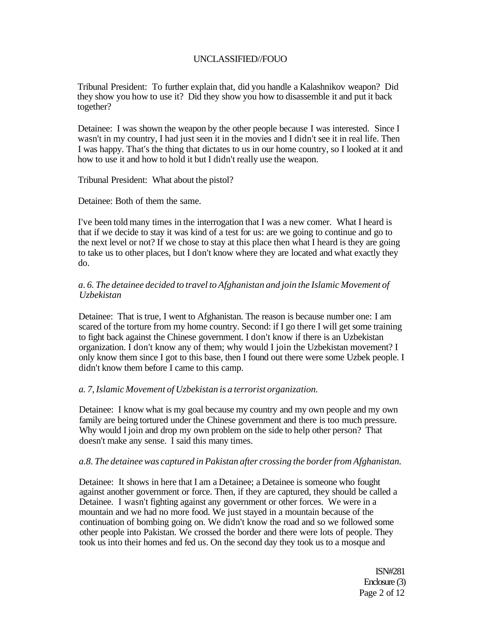Tribunal President: To further explain that, did you handle a Kalashnikov weapon? Did they show you how to use it? Did they show you how to disassemble it and put it back together?

Detainee: I was shown the weapon by the other people because I was interested. Since I wasn't in my country, I had just seen it in the movies and I didn't see it in real life. Then I was happy. That's the thing that dictates to us in our home country, so I looked at it and how to use it and how to hold it but I didn't really use the weapon.

Tribunal President: What about the pistol?

Detainee: Both of them the same.

I've been told many times in the interrogation that I was a new comer. What I heard is that if we decide to stay it was kind of a test for us: are we going to continue and go to the next level or not? If we chose to stay at this place then what I heard is they are going to take us to other places, but I don't know where they are located and what exactly they do.

## *a. 6. The detainee decided to travel to Afghanistan and join the Islamic Movement of Uzbekistan*

Detainee: That is true, I went to Afghanistan. The reason is because number one: I am scared of the torture from my home country. Second: if I go there I will get some training to fight back against the Chinese government. I don't know if there is an Uzbekistan organization. I don't know any of them; why would I join the Uzbekistan movement? I only know them since I got to this base, then I found out there were some Uzbek people. I didn't know them before I came to this camp.

#### *a. 7, Islamic Movement of Uzbekistan is a terrorist organization.*

Detainee: I know what is my goal because my country and my own people and my own family are being tortured under the Chinese government and there is too much pressure. Why would I join and drop my own problem on the side to help other person? That doesn't make any sense. I said this many times.

#### *a.8. The detainee was captured in Pakistan after crossing the border from Afghanistan.*

Detainee: It shows in here that I am a Detainee; a Detainee is someone who fought against another government or force. Then, if they are captured, they should be called a Detainee. I wasn't fighting against any government or other forces. We were in a mountain and we had no more food. We just stayed in a mountain because of the continuation of bombing going on. We didn't know the road and so we followed some other people into Pakistan. We crossed the border and there were lots of people. They took us into their homes and fed us. On the second day they took us to a mosque and

> ISN#281 Enclosure (3) Page 2 of 12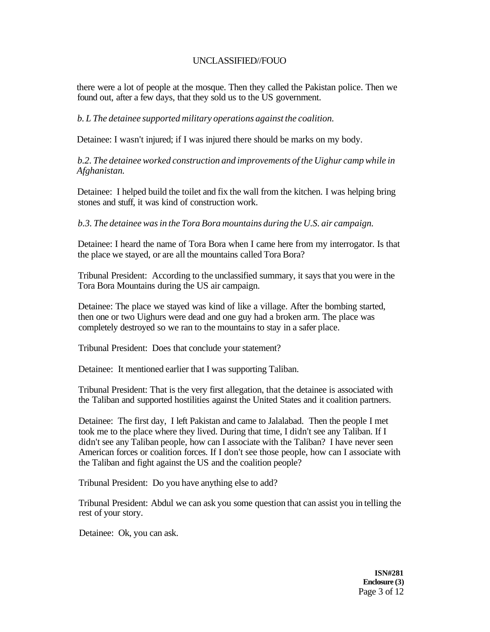there were a lot of people at the mosque. Then they called the Pakistan police. Then we found out, after a few days, that they sold us to the US government.

*b. L The detainee supported military operations against the coalition.* 

Detainee: I wasn't injured; if I was injured there should be marks on my body.

*b.2. The detainee worked construction and improvements of the Uighur camp while in Afghanistan.* 

Detainee: I helped build the toilet and fix the wall from the kitchen. I was helping bring stones and stuff, it was kind of construction work.

*b.3. The detainee was in the Tora Bora mountains during the U.S. air campaign.* 

Detainee: I heard the name of Tora Bora when I came here from my interrogator. Is that the place we stayed, or are all the mountains called Tora Bora?

Tribunal President: According to the unclassified summary, it says that you were in the Tora Bora Mountains during the US air campaign.

Detainee: The place we stayed was kind of like a village. After the bombing started, then one or two Uighurs were dead and one guy had a broken arm. The place was completely destroyed so we ran to the mountains to stay in a safer place.

Tribunal President: Does that conclude your statement?

Detainee: It mentioned earlier that I was supporting Taliban.

Tribunal President: That is the very first allegation, that the detainee is associated with the Taliban and supported hostilities against the United States and it coalition partners.

Detainee: The first day, I left Pakistan and came to Jalalabad. Then the people I met took me to the place where they lived. During that time, I didn't see any Taliban. If I didn't see any Taliban people, how can I associate with the Taliban? I have never seen American forces or coalition forces. If I don't see those people, how can I associate with the Taliban and fight against the US and the coalition people?

Tribunal President: Do you have anything else to add?

Tribunal President: Abdul we can ask you some question that can assist you in telling the rest of your story.

Detainee: Ok, you can ask.

**ISN#281 Enclosure (3)**  Page 3 of 12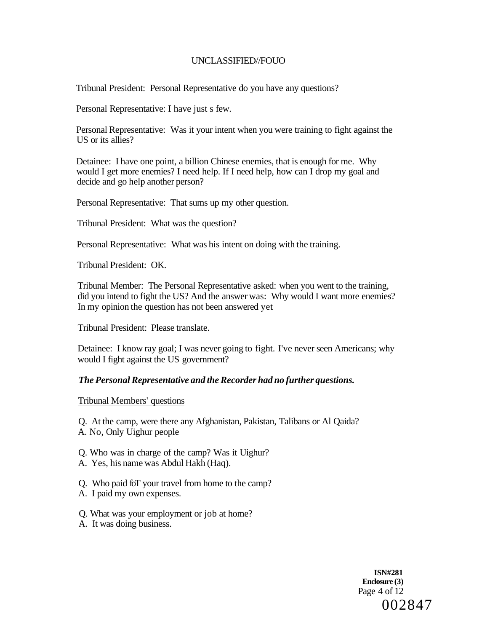Tribunal President: Personal Representative do you have any questions?

Personal Representative: I have just s few.

Personal Representative: Was it your intent when you were training to fight against the US or its allies?

Detainee: I have one point, a billion Chinese enemies, that is enough for me. Why would I get more enemies? I need help. If I need help, how can I drop my goal and decide and go help another person?

Personal Representative: That sums up my other question.

Tribunal President: What was the question?

Personal Representative: What was his intent on doing with the training.

Tribunal President: OK.

Tribunal Member: The Personal Representative asked: when you went to the training, did you intend to fight the US? And the answer was: Why would I want more enemies? In my opinion the question has not been answered yet

Tribunal President: Please translate.

Detainee: I know ray goal; I was never going to fight. I've never seen Americans; why would I fight against the US government?

# *The Personal Representative and the Recorder had no further questions.*

Tribunal Members' questions

Q. At the camp, were there any Afghanistan, Pakistan, Talibans or Al Qaida?

- A. No, Only Uighur people
- Q. Who was in charge of the camp? Was it Uighur?
- A. Yes, his name was Abdul Hakh (Haq).
- Q. Who paid foT your travel from home to the camp?
- A. I paid my own expenses.
- Q. What was your employment or job at home?
- A. It was doing business.

**ISN#281 Enclosure (3)**  Page 4 of 12 002847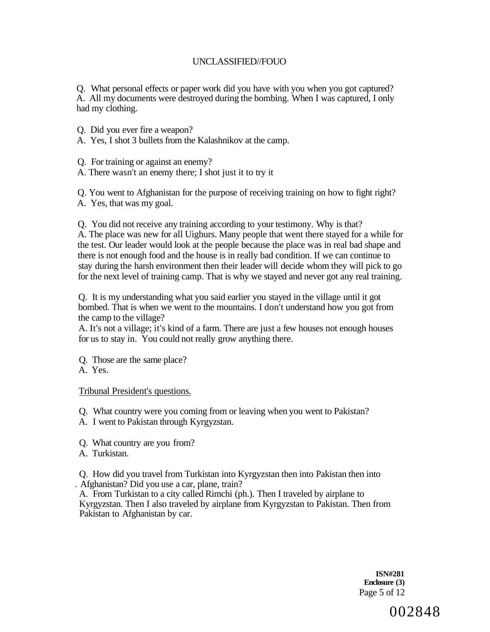Q. What personal effects or paper work did you have with you when you got captured? A. All my documents were destroyed during the bombing. When I was captured, I only had my clothing.

Q. Did you ever fire a weapon?

A. Yes, I shot 3 bullets from the Kalashnikov at the camp.

Q. For training or against an enemy?

A. There wasn't an enemy there; I shot just it to try it

Q. You went to Afghanistan for the purpose of receiving training on how to fight right? A. Yes, that was my goal.

Q. You did not receive any training according to your testimony. Why is that?

A. The place was new for all Uighurs. Many people that went there stayed for a while for the test. Our leader would look at the people because the place was in real bad shape and there is not enough food and the house is in really bad condition. If we can continue to stay during the harsh environment then their leader will decide whom they will pick to go for the next level of training camp. That is why we stayed and never got any real training.

Q. It is my understanding what you said earlier you stayed in the village until it got bombed. That is when we went to the mountains. I don't understand how you got from the camp to the village?

A. It's not a village; it's kind of a farm. There are just a few houses not enough houses for us to stay in. You could not really grow anything there.

Q. Those are the same place?

A. Yes.

Tribunal President's questions.

Q. What country were you coming from or leaving when you went to Pakistan?

A. I went to Pakistan through Kyrgyzstan.

Q. What country are you from?

A. Turkistan.

Q. How did you travel from Turkistan into Kyrgyzstan then into Pakistan then into . Afghanistan? Did you use a car, plane, train?

A. From Turkistan to a city called Rimchi (ph.). Then I traveled by airplane to Kyrgyzstan. Then I also traveled by airplane from Kyrgyzstan to Pakistan. Then from Pakistan to Afghanistan by car.

> **ISN#281 Enclosure (3)**  Page 5 of 12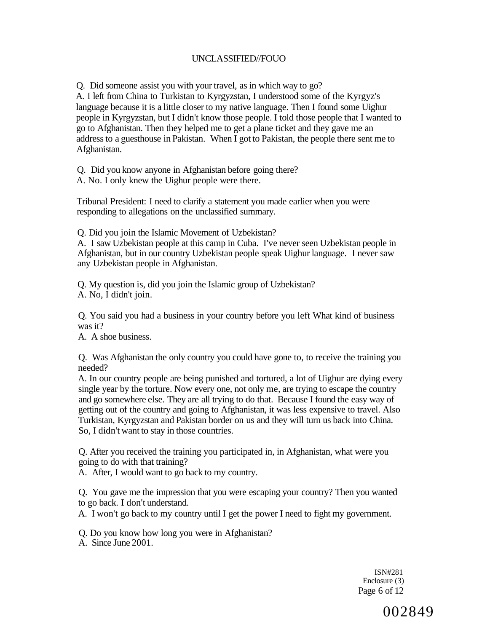Q. Did someone assist you with your travel, as in which way to go?

A. I left from China to Turkistan to Kyrgyzstan, I understood some of the Kyrgyz's language because it is a little closer to my native language. Then I found some Uighur people in Kyrgyzstan, but I didn't know those people. I told those people that I wanted to go to Afghanistan. Then they helped me to get a plane ticket and they gave me an address to a guesthouse in Pakistan. When I got to Pakistan, the people there sent me to Afghanistan.

Q. Did you know anyone in Afghanistan before going there?

A. No. I only knew the Uighur people were there.

Tribunal President: I need to clarify a statement you made earlier when you were responding to allegations on the unclassified summary.

Q. Did you join the Islamic Movement of Uzbekistan?

A. I saw Uzbekistan people at this camp in Cuba. I've never seen Uzbekistan people in Afghanistan, but in our country Uzbekistan people speak Uighur language. I never saw any Uzbekistan people in Afghanistan.

Q. My question is, did you join the Islamic group of Uzbekistan? A. No, I didn't join.

Q. You said you had a business in your country before you left What kind of business was it?

A. A shoe business.

Q. Was Afghanistan the only country you could have gone to, to receive the training you needed?

A. In our country people are being punished and tortured, a lot of Uighur are dying every single year by the torture. Now every one, not only me, are trying to escape the country and go somewhere else. They are all trying to do that. Because I found the easy way of getting out of the country and going to Afghanistan, it was less expensive to travel. Also Turkistan, Kyrgyzstan and Pakistan border on us and they will turn us back into China. So, I didn't want to stay in those countries.

Q. After you received the training you participated in, in Afghanistan, what were you going to do with that training?

A. After, I would want to go back to my country.

Q. You gave me the impression that you were escaping your country? Then you wanted to go back. I don't understand.

A. I won't go back to my country until I get the power I need to fight my government.

Q. Do you know how long you were in Afghanistan?

A. Since June 2001.

ISN#281 Enclosure (3) Page 6 of 12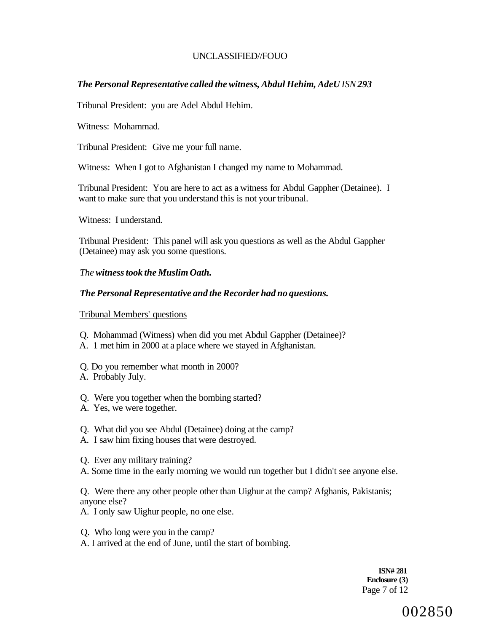# *The Personal Representative called the witness, Abdul Hehim, AdeU ISN 293*

Tribunal President: you are Adel Abdul Hehim.

Witness: Mohammad.

Tribunal President: Give me your full name.

Witness: When I got to Afghanistan I changed my name to Mohammad.

Tribunal President: You are here to act as a witness for Abdul Gappher (Detainee). I want to make sure that you understand this is not your tribunal.

Witness: I understand.

Tribunal President: This panel will ask you questions as well as the Abdul Gappher (Detainee) may ask you some questions.

# *The witness took the Muslim Oath.*

# *The Personal Representative and the Recorder had no questions.*

Tribunal Members' questions

- Q. Mohammad (Witness) when did you met Abdul Gappher (Detainee)?
- A. 1 met him in 2000 at a place where we stayed in Afghanistan.
- Q. Do you remember what month in 2000?
- A. Probably July.
- Q. Were you together when the bombing started?
- A. Yes, we were together.
- Q. What did you see Abdul (Detainee) doing at the camp?
- A. I saw him fixing houses that were destroyed.
- Q. Ever any military training?
- A. Some time in the early morning we would run together but I didn't see anyone else.

Q. Were there any other people other than Uighur at the camp? Afghanis, Pakistanis; anyone else?

- A. I only saw Uighur people, no one else.
- Q. Who long were you in the camp?
- A. I arrived at the end of June, until the start of bombing.

**ISN# 281 Enclosure (3)**  Page 7 of 12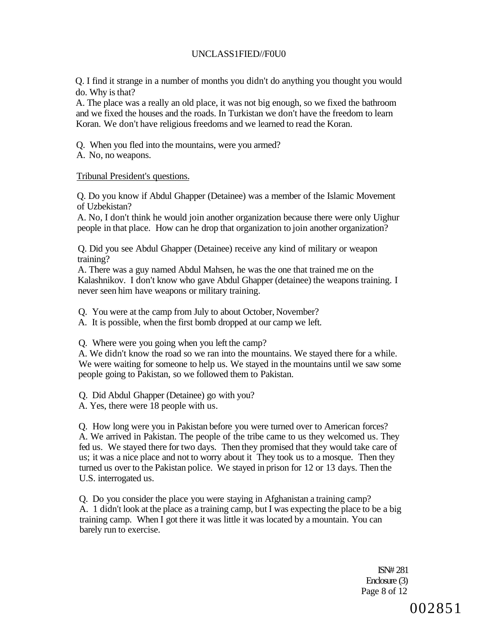# UNCLASS1FIED//F0U0

Q. I find it strange in a number of months you didn't do anything you thought you would do. Why is that?

A. The place was a really an old place, it was not big enough, so we fixed the bathroom and we fixed the houses and the roads. In Turkistan we don't have the freedom to learn Koran. We don't have religious freedoms and we learned to read the Koran.

Q. When you fled into the mountains, were you armed?

A. No, no weapons.

### Tribunal President's questions.

Q. Do you know if Abdul Ghapper (Detainee) was a member of the Islamic Movement of Uzbekistan?

A. No, I don't think he would join another organization because there were only Uighur people in that place. How can he drop that organization to join another organization?

Q. Did you see Abdul Ghapper (Detainee) receive any kind of military or weapon training?

A. There was a guy named Abdul Mahsen, he was the one that trained me on the Kalashnikov. I don't know who gave Abdul Ghapper (detainee) the weapons training. I never seen him have weapons or military training.

Q. You were at the camp from July to about October, November?

A. It is possible, when the first bomb dropped at our camp we left.

Q. Where were you going when you left the camp?

A. We didn't know the road so we ran into the mountains. We stayed there for a while. We were waiting for someone to help us. We stayed in the mountains until we saw some people going to Pakistan, so we followed them to Pakistan.

Q. Did Abdul Ghapper (Detainee) go with you?

A. Yes, there were 18 people with us.

Q. How long were you in Pakistan before you were turned over to American forces? A. We arrived in Pakistan. The people of the tribe came to us they welcomed us. They fed us. We stayed there for two days. Then they promised that they would take care of us; it was a nice place and not to worry about it They took us to a mosque. Then they turned us over to the Pakistan police. We stayed in prison for 12 or 13 days. Then the U.S. interrogated us.

Q. Do you consider the place you were staying in Afghanistan a training camp? A. 1 didn't look at the place as a training camp, but I was expecting the place to be a big training camp. When I got there it was little it was located by a mountain. You can barely run to exercise.

> ISN# 281 Enclosure (3) Page 8 of 12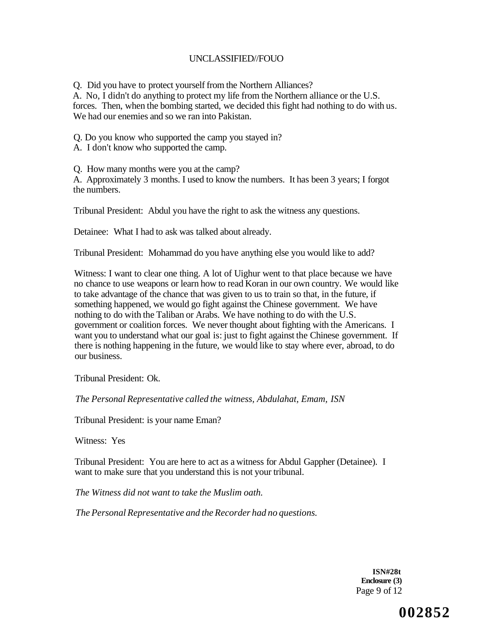Q. Did you have to protect yourself from the Northern Alliances?

A. No, I didn't do anything to protect my life from the Northern alliance or the U.S. forces. Then, when the bombing started, we decided this fight had nothing to do with us. We had our enemies and so we ran into Pakistan.

Q. Do you know who supported the camp you stayed in?

A. I don't know who supported the camp.

Q. How many months were you at the camp?

A. Approximately 3 months. I used to know the numbers. It has been 3 years; I forgot the numbers.

Tribunal President: Abdul you have the right to ask the witness any questions.

Detainee: What I had to ask was talked about already.

Tribunal President: Mohammad do you have anything else you would like to add?

Witness: I want to clear one thing. A lot of Uighur went to that place because we have no chance to use weapons or learn how to read Koran in our own country. We would like to take advantage of the chance that was given to us to train so that, in the future, if something happened, we would go fight against the Chinese government. We have nothing to do with the Taliban or Arabs. We have nothing to do with the U.S. government or coalition forces. We never thought about fighting with the Americans. I want you to understand what our goal is: just to fight against the Chinese government. If there is nothing happening in the future, we would like to stay where ever, abroad, to do our business.

Tribunal President: Ok.

*The Personal Representative called the witness, Abdulahat, Emam, ISN* 

Tribunal President: is your name Eman?

Witness: Yes

Tribunal President: You are here to act as a witness for Abdul Gappher (Detainee). I want to make sure that you understand this is not your tribunal.

*The Witness did not want to take the Muslim oath.* 

*The Personal Representative and the Recorder had no questions.* 

**ISN#28t Enclosure (3)**  Page 9 of 12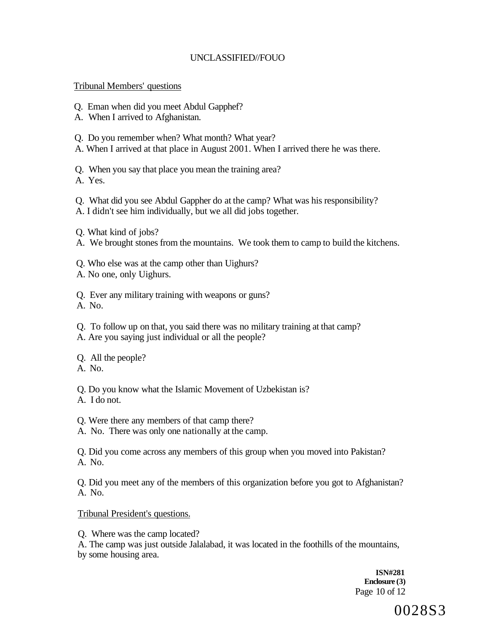### Tribunal Members' questions

- Q. Eman when did you meet Abdul Gapphef?
- A. When I arrived to Afghanistan.
- Q. Do you remember when? What month? What year?
- A. When I arrived at that place in August 2001. When I arrived there he was there.

Q. When you say that place you mean the training area?

A. Yes.

- Q. What did you see Abdul Gappher do at the camp? What was his responsibility?
- A. I didn't see him individually, but we all did jobs together.
- Q. What kind of jobs?
- A. We brought stones from the mountains. We took them to camp to build the kitchens.
- Q. Who else was at the camp other than Uighurs?
- A. No one, only Uighurs.

Q. Ever any military training with weapons or guns?

- A. No.
- Q. To follow up on that, you said there was no military training at that camp?
- A. Are you saying just individual or all the people?

Q. All the people?

A. No.

Q. Do you know what the Islamic Movement of Uzbekistan is?

- A. I do not.
- Q. Were there any members of that camp there?
- A. No. There was only one nationally at the camp.

Q. Did you come across any members of this group when you moved into Pakistan? A. No.

Q. Did you meet any of the members of this organization before you got to Afghanistan? A. No.

Tribunal President's questions.

Q. Where was the camp located?

A. The camp was just outside Jalalabad, it was located in the foothills of the mountains, by some housing area.

> **ISN#281 Enclosure (3)**  Page 10 of 12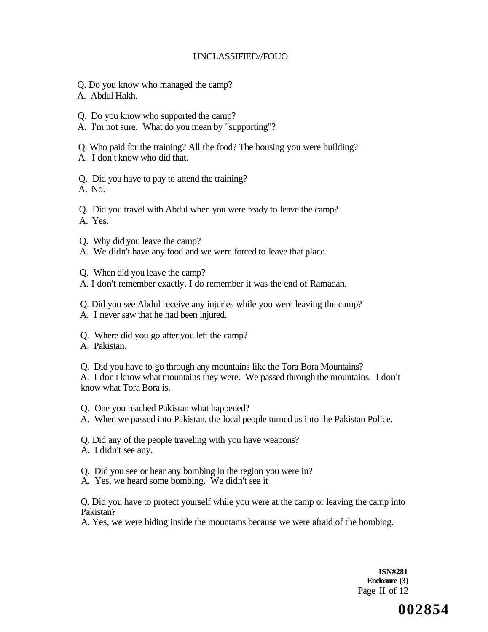- Q. Do you know who managed the camp?
- A. Abdul Hakh.
- Q. Do you know who supported the camp?
- A. I'm not sure. What do you mean by "supporting"?

Q. Who paid for the training? All the food? The housing you were building?

A. I don't know who did that.

Q. Did you have to pay to attend the training?

A. No.

Q. Did you travel with Abdul when you were ready to leave the camp?

A. Yes.

Q. Why did you leave the camp?

A. We didn't have any food and we were forced to leave that place.

Q. When did you leave the camp?

A. I don't remember exactly. I do remember it was the end of Ramadan.

Q. Did you see Abdul receive any injuries while you were leaving the camp?

- A. I never saw that he had been injured.
- Q. Where did you go after you left the camp?
- A. Pakistan.

Q. Did you have to go through any mountains like the Tora Bora Mountains?

A. I don't know what mountains they were. We passed through the mountains. I don't know what Tora Bora is.

Q. One you reached Pakistan what happened?

A. When we passed into Pakistan, the local people turned us into the Pakistan Police.

Q. Did any of the people traveling with you have weapons?

A. I didn't see any.

Q. Did you see or hear any bombing in the region you were in?

A. Yes, we heard some bombing. We didn't see it

Q. Did you have to protect yourself while you were at the camp or leaving the camp into Pakistan?

A. Yes, we were hiding inside the mountams because we were afraid of the bombing.

**ISN#281 Enclosure (3)**  Page II of 12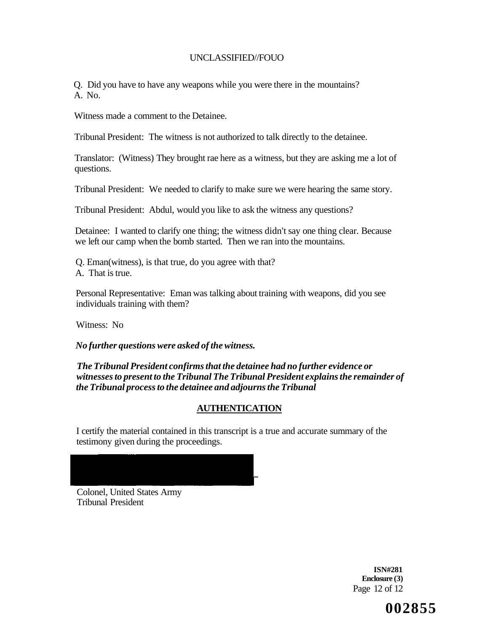Q. Did you have to have any weapons while you were there in the mountains? A. No.

Witness made a comment to the Detainee.

Tribunal President: The witness is not authorized to talk directly to the detainee.

Translator: (Witness) They brought rae here as a witness, but they are asking me a lot of questions.

Tribunal President: We needed to clarify to make sure we were hearing the same story.

Tribunal President: Abdul, would you like to ask the witness any questions?

Detainee: I wanted to clarify one thing; the witness didn't say one thing clear. Because we left our camp when the bomb started. Then we ran into the mountains.

Q. Eman(witness), is that true, do you agree with that?

A. That is true.

Personal Representative: Eman was talking about training with weapons, did you see individuals training with them?

Witness: No

*No further questions were asked of the witness.* 

*The Tribunal President confirms that the detainee had no further evidence or witnesses to present to the Tribunal The Tribunal President explains the remainder of the Tribunal process to the detainee and adjourns the Tribunal* 

# **AUTHENTICATION**

I certify the material contained in this transcript is a true and accurate summary of the testimony given during the proceedings.

Colonel, United States Army Tribunal President

> **ISN#281 Enclosure (3)**  Page 12 of 12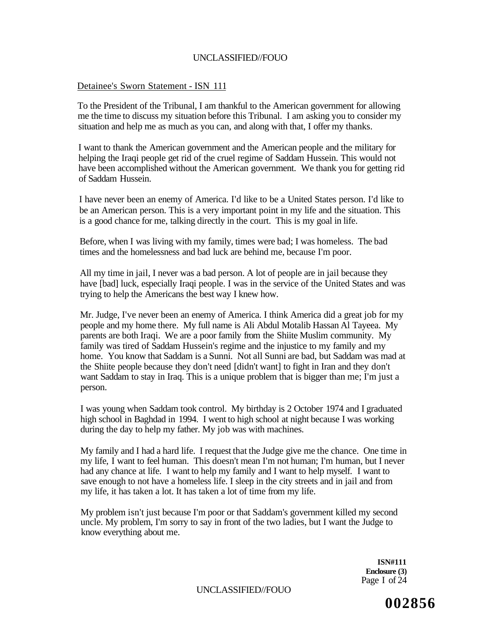### Detainee's Sworn Statement - ISN 111

To the President of the Tribunal, I am thankful to the American government for allowing me the time to discuss my situation before this Tribunal. I am asking you to consider my situation and help me as much as you can, and along with that, I offer my thanks.

I want to thank the American government and the American people and the military for helping the Iraqi people get rid of the cruel regime of Saddam Hussein. This would not have been accomplished without the American government. We thank you for getting rid of Saddam Hussein.

I have never been an enemy of America. I'd like to be a United States person. I'd like to be an American person. This is a very important point in my life and the situation. This is a good chance for me, talking directly in the court. This is my goal in life.

Before, when I was living with my family, times were bad; I was homeless. The bad times and the homelessness and bad luck are behind me, because I'm poor.

All my time in jail, I never was a bad person. A lot of people are in jail because they have [bad] luck, especially Iraqi people. I was in the service of the United States and was trying to help the Americans the best way I knew how.

Mr. Judge, I've never been an enemy of America. I think America did a great job for my people and my home there. My full name is Ali Abdul Motalib Hassan Al Tayeea. My parents are both Iraqi. We are a poor family from the Shiite Muslim community. My family was tired of Saddam Hussein's regime and the injustice to my family and my home. You know that Saddam is a Sunni. Not all Sunni are bad, but Saddam was mad at the Shiite people because they don't need [didn't want] to fight in Iran and they don't want Saddam to stay in Iraq. This is a unique problem that is bigger than me; I'm just a person.

I was young when Saddam took control. My birthday is 2 October 1974 and I graduated high school in Baghdad in 1994. I went to high school at night because I was working during the day to help my father. My job was with machines.

My family and I had a hard life. I request that the Judge give me the chance. One time in my life, I want to feel human. This doesn't mean I'm not human; I'm human, but I never had any chance at life. I want to help my family and I want to help myself. I want to save enough to not have a homeless life. I sleep in the city streets and in jail and from my life, it has taken a lot. It has taken a lot of time from my life.

My problem isn't just because I'm poor or that Saddam's government killed my second uncle. My problem, I'm sorry to say in front of the two ladies, but I want the Judge to know everything about me.

> **ISN#111 Enclosure (3)**  Page I of 24

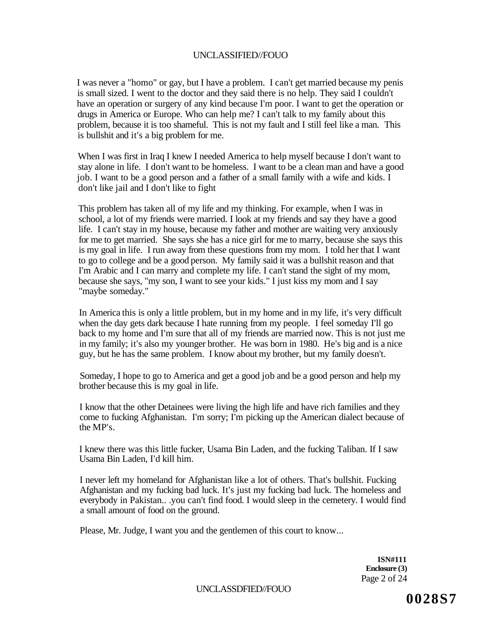I was never a "homo" or gay, but I have a problem. I can't get married because my penis is small sized. I went to the doctor and they said there is no help. They said I couldn't have an operation or surgery of any kind because I'm poor. I want to get the operation or drugs in America or Europe. Who can help me? I can't talk to my family about this problem, because it is too shameful. This is not my fault and I still feel like a man. This is bullshit and it's a big problem for me.

When I was first in Iraq I knew I needed America to help myself because I don't want to stay alone in life. I don't want to be homeless. I want to be a clean man and have a good job. I want to be a good person and a father of a small family with a wife and kids. I don't like jail and I don't like to fight

This problem has taken all of my life and my thinking. For example, when I was in school, a lot of my friends were married. I look at my friends and say they have a good life. I can't stay in my house, because my father and mother are waiting very anxiously for me to get married. She says she has a nice girl for me to marry, because she says this is my goal in life. I run away from these questions from my mom. I told her that I want to go to college and be a good person. My family said it was a bullshit reason and that I'm Arabic and I can marry and complete my life. I can't stand the sight of my mom, because she says, "my son, I want to see your kids." I just kiss my mom and I say "maybe someday."

In America this is only a little problem, but in my home and in my life, it's very difficult when the day gets dark because I hate running from my people. I feel someday I'll go back to my home and I'm sure that all of my friends are married now. This is not just me in my family; it's also my younger brother. He was born in 1980. He's big and is a nice guy, but he has the same problem. I know about my brother, but my family doesn't.

Someday, I hope to go to America and get a good job and be a good person and help my brother because this is my goal in life.

I know that the other Detainees were living the high life and have rich families and they come to fucking Afghanistan. I'm sorry; I'm picking up the American dialect because of the MP's.

I knew there was this little fucker, Usama Bin Laden, and the fucking Taliban. If I saw Usama Bin Laden, I'd kill him.

I never left my homeland for Afghanistan like a lot of others. That's bullshit. Fucking Afghanistan and my fucking bad luck. It's just my fucking bad luck. The homeless and everybody in Pakistan.. .you can't find food. I would sleep in the cemetery. I would find a small amount of food on the ground.

Please, Mr. Judge, I want you and the gentlemen of this court to know...

**ISN#111 Enclosure (3)**  Page 2 of 24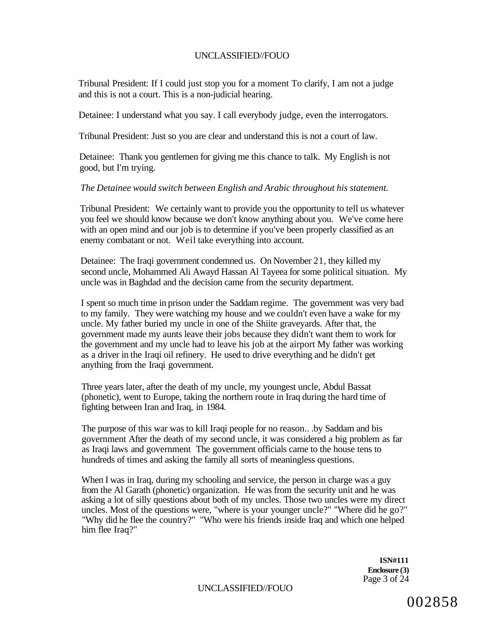Tribunal President: If I could just stop you for a moment To clarify, I am not a judge and this is not a court. This is a non-judicial hearing.

Detainee: I understand what you say. I call everybody judge, even the interrogators.

Tribunal President: Just so you are clear and understand this is not a court of law.

Detainee: Thank you gentlemen for giving me this chance to talk. My English is not good, but I'm trying.

#### *The Detainee would switch between English and Arabic throughout his statement.*

Tribunal President: We certainly want to provide you the opportunity to tell us whatever you feel we should know because we don't know anything about you. We've come here with an open mind and our job is to determine if you've been properly classified as an enemy combatant or not. Weil take everything into account.

Detainee: The Iraqi government condemned us. On November 21, they killed my second uncle, Mohammed Ali Awayd Hassan Al Tayeea for some political situation. My uncle was in Baghdad and the decision came from the security department.

I spent so much time in prison under the Saddam regime. The government was very bad to my family. They were watching my house and we couldn't even have a wake for my uncle. My father buried my uncle in one of the Shiite graveyards. After that, the government made my aunts leave their jobs because they didn't want them to work for the government and my uncle had to leave his job at the airport My father was working as a driver in the Iraqi oil refinery. He used to drive everything and he didn't get anything from the Iraqi government.

Three years later, after the death of my uncle, my youngest uncle, Abdul Bassat (phonetic), went to Europe, taking the northern route in Iraq during the hard time of fighting between Iran and Iraq, in 1984.

The purpose of this war was to kill Iraqi people for no reason.. .by Saddam and bis government After the death of my second uncle, it was considered a big problem as far as Iraqi laws and government The government officials came to the house tens to hundreds of times and asking the family all sorts of meaningless questions.

When I was in Iraq, during my schooling and service, the person in charge was a guy from the Al Garath (phonetic) organization. He was from the security unit and he was asking a lot of silly questions about both of my uncles. Those two uncles were my direct uncles. Most of the questions were, "where is your younger uncle?" "Where did he go?" "Why did he flee the country?" "Who were his friends inside Iraq and which one helped him flee Iraq?"

> **ISN#111 Enclosure (3)**  Page 3 of 24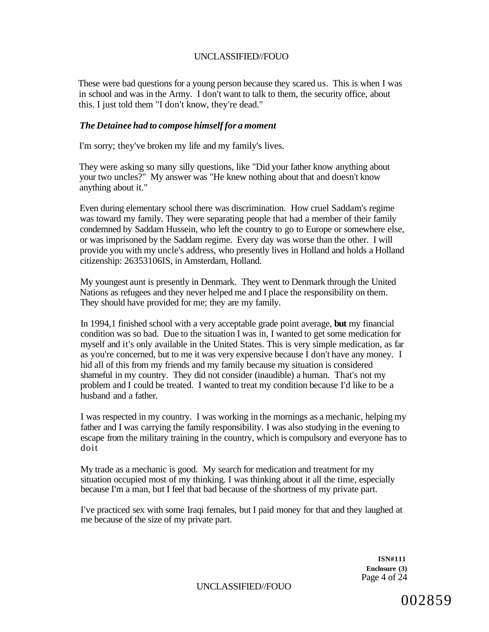These were bad questions for a young person because they scared us. This is when I was in school and was in the Army. I don't want to talk to them, the security office, about this. I just told them "I don't know, they're dead."

#### *The Detainee had to compose himself for a moment*

I'm sorry; they've broken my life and my family's lives.

They were asking so many silly questions, like "Did your father know anything about your two uncles?" My answer was "He knew nothing about that and doesn't know anything about it."

Even during elementary school there was discrimination. How cruel Saddam's regime was toward my family. They were separating people that had a member of their family condemned by Saddam Hussein, who left the country to go to Europe or somewhere else, or was imprisoned by the Saddam regime. Every day was worse than the other. I will provide you with my uncle's address, who presently lives in Holland and holds a Holland citizenship: 26353106IS, in Amsterdam, Holland.

My youngest aunt is presently in Denmark. They went to Denmark through the United Nations as refugees and they never helped me and I place the responsibility on them. They should have provided for me; they are my family.

In 1994,1 finished school with a very acceptable grade point average, **but** my financial condition was so bad. Due to the situation I was in, I wanted to get some medication for myself and it's only available in the United States. This is very simple medication, as far as you're concerned, but to me it was very expensive because I don't have any money. I hid all of this from my friends and my family because my situation is considered shameful in my country. They did not consider (inaudible) a human. That's not my problem and I could be treated. I wanted to treat my condition because I'd like to be a husband and a father.

I was respected in my country. I was working in the mornings as a mechanic, helping my father and I was carrying the family responsibility. I was also studying in the evening to escape from the military training in the country, which is compulsory and everyone has to doit

My trade as a mechanic is good. My search for medication and treatment for my situation occupied most of my thinking. I was thinking about it all the time, especially because I'm a man, but I feel that bad because of the shortness of my private part.

I've practiced sex with some Iraqi females, but I paid money for that and they laughed at me because of the size of my private part.

> **ISN#111 Enclosure (3)**  Page 4 of 24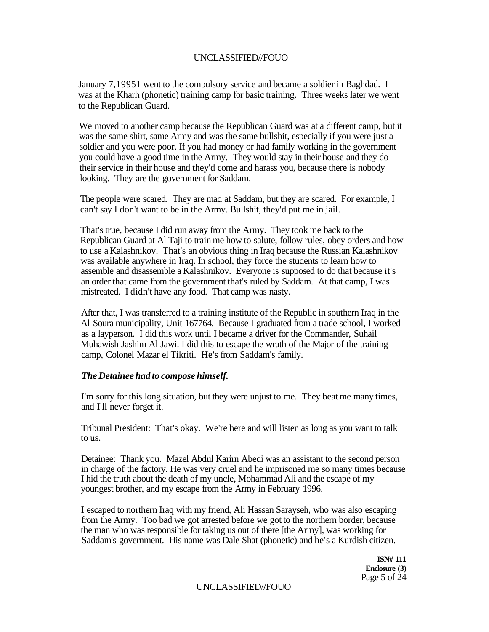January 7,19951 went to the compulsory service and became a soldier in Baghdad. I was at the Kharh (phonetic) training camp for basic training. Three weeks later we went to the Republican Guard.

We moved to another camp because the Republican Guard was at a different camp, but it was the same shirt, same Army and was the same bullshit, especially if you were just a soldier and you were poor. If you had money or had family working in the government you could have a good time in the Army. They would stay in their house and they do their service in their house and they'd come and harass you, because there is nobody looking. They are the government for Saddam.

The people were scared. They are mad at Saddam, but they are scared. For example, I can't say I don't want to be in the Army. Bullshit, they'd put me in jail.

That's true, because I did run away from the Army. They took me back to the Republican Guard at Al Taji to train me how to salute, follow rules, obey orders and how to use a Kalashnikov. That's an obvious thing in Iraq because the Russian Kalashnikov was available anywhere in Iraq. In school, they force the students to learn how to assemble and disassemble a Kalashnikov. Everyone is supposed to do that because it's an order that came from the government that's ruled by Saddam. At that camp, I was mistreated. I didn't have any food. That camp was nasty.

After that, I was transferred to a training institute of the Republic in southern Iraq in the Al Soura municipality, Unit 167764. Because I graduated from a trade school, I worked as a layperson. I did this work until I became a driver for the Commander, Suhail Muhawish Jashim Al Jawi. I did this to escape the wrath of the Major of the training camp, Colonel Mazar el Tikriti. He's from Saddam's family.

#### *The Detainee had to compose himself.*

I'm sorry for this long situation, but they were unjust to me. They beat me many times, and I'll never forget it.

Tribunal President: That's okay. We're here and will listen as long as you want to talk to us.

Detainee: Thank you. Mazel Abdul Karirn Abedi was an assistant to the second person in charge of the factory. He was very cruel and he imprisoned me so many times because I hid the truth about the death of my uncle, Mohammad Ali and the escape of my youngest brother, and my escape from the Army in February 1996.

I escaped to northern Iraq with my friend, Ali Hassan Sarayseh, who was also escaping from the Army. Too bad we got arrested before we got to the northern border, because the man who was responsible for taking us out of there [the Army], was working for Saddam's government. His name was Dale Shat (phonetic) and he's a Kurdish citizen.

> **ISN# 111 Enclosure (3)**  Page 5 of 24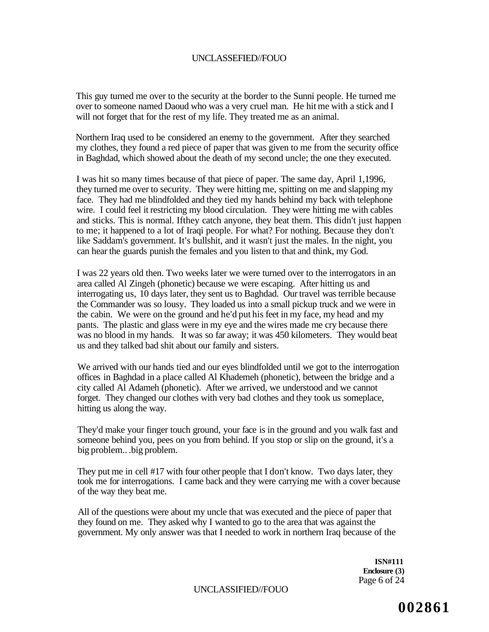This guy turned me over to the security at the border to the Sunni people. He turned me over to someone named Daoud who was a very cruel man. He hit me with a stick and I will not forget that for the rest of my life. They treated me as an animal.

Northern Iraq used to be considered an enemy to the government. After they searched my clothes, they found a red piece of paper that was given to me from the security office in Baghdad, which showed about the death of my second uncle; the one they executed.

I was hit so many times because of that piece of paper. The same day, April 1,1996, they turned me over to security. They were hitting me, spitting on me and slapping my face. They had me blindfolded and they tied my hands behind my back with telephone wire. I could feel it restricting my blood circulation. They were hitting me with cables and sticks. This is normal. Ifthey catch anyone, they beat them. This didn't just happen to me; it happened to a lot of Iraqi people. For what? For nothing. Because they don't like Saddam's government. It's bullshit, and it wasn't just the males. In the night, you can hear the guards punish the females and you listen to that and think, my God.

I was 22 years old then. Two weeks later we were turned over to the interrogators in an area called Al Zingeh (phonetic) because we were escaping. After hitting us and interrogating us, 10 days later, they sent us to Baghdad. Our travel was terrible because the Commander was so lousy. They loaded us into a small pickup truck and we were in the cabin. We were on the ground and he'd put his feet in my face, my head and my pants. The plastic and glass were in my eye and the wires made me cry because there was no blood in my hands. It was so far away; it was 450 kilometers. They would beat us and they talked bad shit about our family and sisters.

We arrived with our hands tied and our eyes blindfolded until we got to the interrogation offices in Baghdad in a place called Al Khademeh (phonetic), between the bridge and a city called Al Adameh (phonetic). After we arrived, we understood and we cannot forget. They changed our clothes with very bad clothes and they took us someplace, hitting us along the way.

They'd make your finger touch ground, your face is in the ground and you walk fast and someone behind you, pees on you from behind. If you stop or slip on the ground, it's a big problem.. .big problem.

They put me in cell #17 with four other people that I don't know. Two days later, they took me for interrogations. I came back and they were carrying me with a cover because of the way they beat me.

All of the questions were about my uncle that was executed and the piece of paper that they found on me. They asked why I wanted to go to the area that was against the government. My only answer was that I needed to work in northern Iraq because of the

> **ISN#111 Enclosure (3)**  Page 6 of 24

UNCLASSIFIED//FOUO

**002861**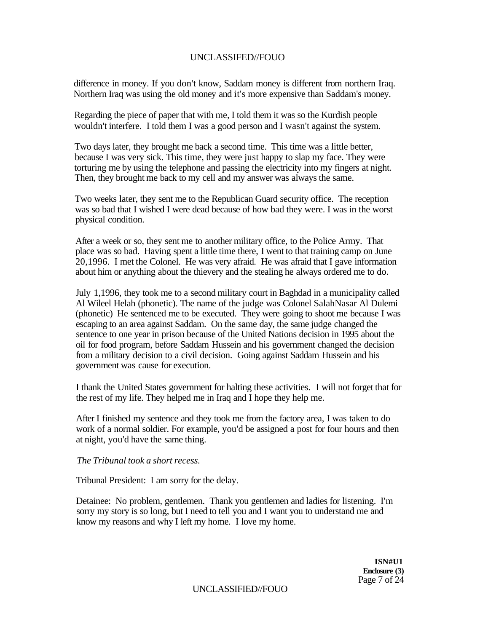difference in money. If you don't know, Saddam money is different from northern Iraq. Northern Iraq was using the old money and it's more expensive than Saddam's money.

Regarding the piece of paper that with me, I told them it was so the Kurdish people wouldn't interfere. I told them I was a good person and I wasn't against the system.

Two days later, they brought me back a second time. This time was a little better, because I was very sick. This time, they were just happy to slap my face. They were torturing me by using the telephone and passing the electricity into my fingers at night. Then, they brought me back to my cell and my answer was always the same.

Two weeks later, they sent me to the Republican Guard security office. The reception was so bad that I wished I were dead because of how bad they were. I was in the worst physical condition.

After a week or so, they sent me to another military office, to the Police Army. That place was so bad. Having spent a little time there, I went to that training camp on June 20,1996. I met the Colonel. He was very afraid. He was afraid that I gave information about him or anything about the thievery and the stealing he always ordered me to do.

July 1,1996, they took me to a second military court in Baghdad in a municipality called Al Wileel Helah (phonetic). The name of the judge was Colonel SalahNasar Al Dulemi (phonetic) He sentenced me to be executed. They were going to shoot me because I was escaping to an area against Saddam. On the same day, the same judge changed the sentence to one year in prison because of the United Nations decision in 1995 about the oil for food program, before Saddam Hussein and his government changed the decision from a military decision to a civil decision. Going against Saddam Hussein and his government was cause for execution.

I thank the United States government for halting these activities. I will not forget that for the rest of my life. They helped me in Iraq and I hope they help me.

After I finished my sentence and they took me from the factory area, I was taken to do work of a normal soldier. For example, you'd be assigned a post for four hours and then at night, you'd have the same thing.

*The Tribunal took a short recess.* 

Tribunal President: I am sorry for the delay.

Detainee: No problem, gentlemen. Thank you gentlemen and ladies for listening. I'm sorry my story is so long, but I need to tell you and I want you to understand me and know my reasons and why I left my home. I love my home.

> **ISN#U1 Enclosure (3)**  Page 7 of 24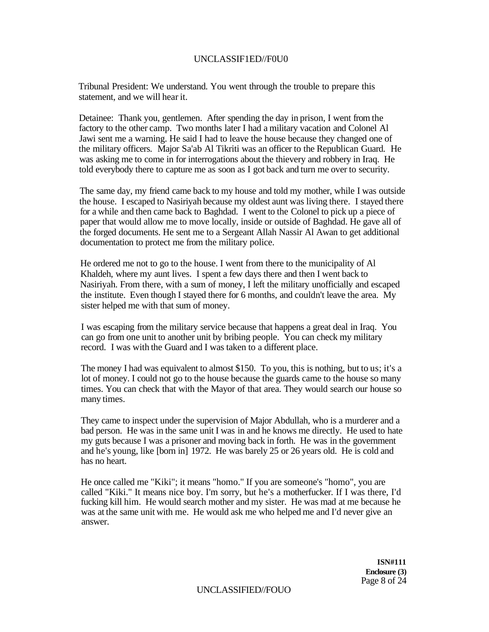### UNCLASSIF1ED//F0U0

Tribunal President: We understand. You went through the trouble to prepare this statement, and we will hear it.

Detainee: Thank you, gentlemen. After spending the day in prison, I went from the factory to the other camp. Two months later I had a military vacation and Colonel Al Jawi sent me a warning. He said I had to leave the house because they changed one of the military officers. Major Sa'ab Al Tikriti was an officer to the Republican Guard. He was asking me to come in for interrogations about the thievery and robbery in Iraq. He told everybody there to capture me as soon as I got back and turn me over to security.

The same day, my friend came back to my house and told my mother, while I was outside the house. I escaped to Nasiriyah because my oldest aunt was living there. I stayed there for a while and then came back to Baghdad. I went to the Colonel to pick up a piece of paper that would allow me to move locally, inside or outside of Baghdad. He gave all of the forged documents. He sent me to a Sergeant Allah Nassir Al Awan to get additional documentation to protect me from the military police.

He ordered me not to go to the house. I went from there to the municipality of Al Khaldeh, where my aunt lives. I spent a few days there and then I went back to Nasiriyah. From there, with a sum of money, I left the military unofficially and escaped the institute. Even though I stayed there for 6 months, and couldn't leave the area. My sister helped me with that sum of money.

I was escaping from the military service because that happens a great deal in Iraq. You can go from one unit to another unit by bribing people. You can check my military record. I was with the Guard and I was taken to a different place.

The money I had was equivalent to almost \$150. To you, this is nothing, but to us; it's a lot of money. I could not go to the house because the guards came to the house so many times. You can check that with the Mayor of that area. They would search our house so many times.

They came to inspect under the supervision of Major Abdullah, who is a murderer and a bad person. He was in the same unit I was in and he knows me directly. He used to hate my guts because I was a prisoner and moving back in forth. He was in the government and he's young, like [born in] 1972. He was barely 25 or 26 years old. He is cold and has no heart.

He once called me "Kiki"; it means "homo." If you are someone's "homo", you are called "Kiki." It means nice boy. I'm sorry, but he's a motherfucker. If I was there, I'd fucking kill him. He would search mother and my sister. He was mad at me because he was at the same unit with me. He would ask me who helped me and I'd never give an answer.

> **ISN#111 Enclosure (3)**  Page 8 of 24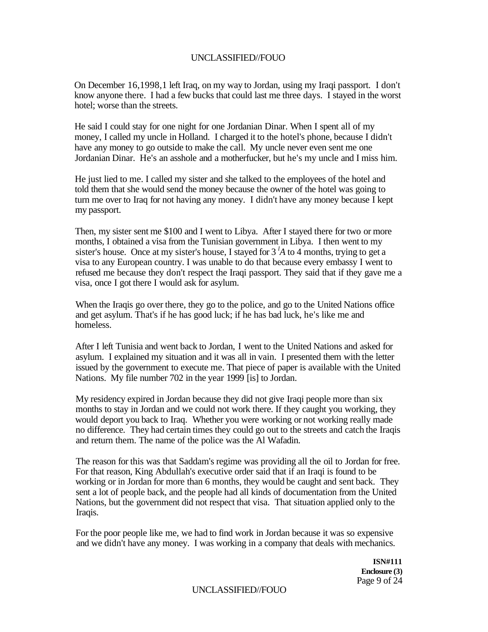On December 16,1998,1 left Iraq, on my way to Jordan, using my Iraqi passport. I don't know anyone there. I had a few bucks that could last me three days. I stayed in the worst hotel; worse than the streets.

He said I could stay for one night for one Jordanian Dinar. When I spent all of my money, I called my uncle in Holland. I charged it to the hotel's phone, because I didn't have any money to go outside to make the call. My uncle never even sent me one Jordanian Dinar. He's an asshole and a motherfucker, but he's my uncle and I miss him.

He just lied to me. I called my sister and she talked to the employees of the hotel and told them that she would send the money because the owner of the hotel was going to turn me over to Iraq for not having any money. I didn't have any money because I kept my passport.

Then, my sister sent me \$100 and I went to Libya. After I stayed there for two or more months, I obtained a visa from the Tunisian government in Libya. I then went to my sister's house. Once at my sister's house, I stayed for 3 *<sup>l</sup>A* to 4 months, trying to get a visa to any European country. I was unable to do that because every embassy I went to refused me because they don't respect the Iraqi passport. They said that if they gave me a visa, once I got there I would ask for asylum.

When the Iraqis go over there, they go to the police, and go to the United Nations office and get asylum. That's if he has good luck; if he has bad luck, he's like me and homeless.

After I left Tunisia and went back to Jordan, I went to the United Nations and asked for asylum. I explained my situation and it was all in vain. I presented them with the letter issued by the government to execute me. That piece of paper is available with the United Nations. My file number 702 in the year 1999 [is] to Jordan.

My residency expired in Jordan because they did not give Iraqi people more than six months to stay in Jordan and we could not work there. If they caught you working, they would deport you back to Iraq. Whether you were working or not working really made no difference. They had certain times they could go out to the streets and catch the Iraqis and return them. The name of the police was the Al Wafadin.

The reason for this was that Saddam's regime was providing all the oil to Jordan for free. For that reason, King Abdullah's executive order said that if an Iraqi is found to be working or in Jordan for more than 6 months, they would be caught and sent back. They sent a lot of people back, and the people had all kinds of documentation from the United Nations, but the government did not respect that visa. That situation applied only to the Iraqis.

For the poor people like me, we had to find work in Jordan because it was so expensive and we didn't have any money. I was working in a company that deals with mechanics.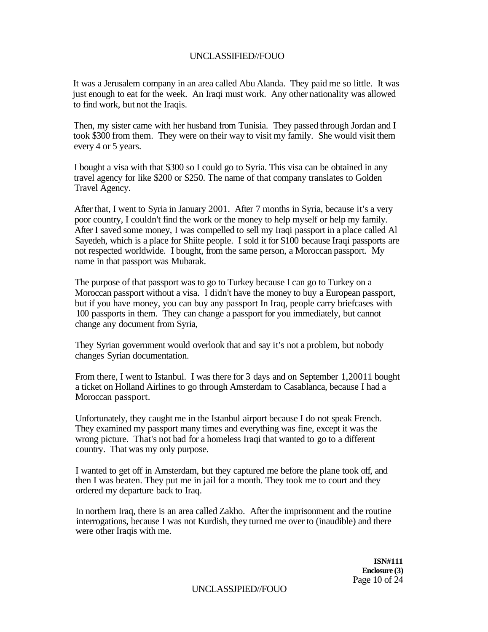It was a Jerusalem company in an area called Abu Alanda. They paid me so little. It was just enough to eat for the week. An Iraqi must work. Any other nationality was allowed to find work, but not the Iraqis.

Then, my sister came with her husband from Tunisia. They passed through Jordan and I took \$300 from them. They were on their way to visit my family. She would visit them every 4 or 5 years.

I bought a visa with that \$300 so I could go to Syria. This visa can be obtained in any travel agency for like \$200 or \$250. The name of that company translates to Golden Travel Agency.

After that, I went to Syria in January 2001. After 7 months in Syria, because it's a very poor country, I couldn't find the work or the money to help myself or help my family. After I saved some money, I was compelled to sell my Iraqi passport in a place called Al Sayedeh, which is a place for Shiite people. I sold it for \$100 because Iraqi passports are not respected worldwide. I bought, from the same person, a Moroccan passport. My name in that passport was Mubarak.

The purpose of that passport was to go to Turkey because I can go to Turkey on a Moroccan passport without a visa. I didn't have the money to buy a European passport, but if you have money, you can buy any passport In Iraq, people carry briefcases with 100 passports in them. They can change a passport for you immediately, but cannot change any document from Syria,

They Syrian government would overlook that and say it's not a problem, but nobody changes Syrian documentation.

From there, I went to Istanbul. I was there for 3 days and on September 1,20011 bought a ticket on Holland Airlines to go through Amsterdam to Casablanca, because I had a Moroccan passport.

Unfortunately, they caught me in the Istanbul airport because I do not speak French. They examined my passport many times and everything was fine, except it was the wrong picture. That's not bad for a homeless Iraqi that wanted to go to a different country. That was my only purpose.

I wanted to get off in Amsterdam, but they captured me before the plane took off, and then I was beaten. They put me in jail for a month. They took me to court and they ordered my departure back to Iraq.

In northern Iraq, there is an area called Zakho. After the imprisonment and the routine interrogations, because I was not Kurdish, they turned me over to (inaudible) and there were other Iraqis with me.

> **ISN#111 Enclosure (3)**  Page 10 of 24

UNCLASSJPIED//FOUO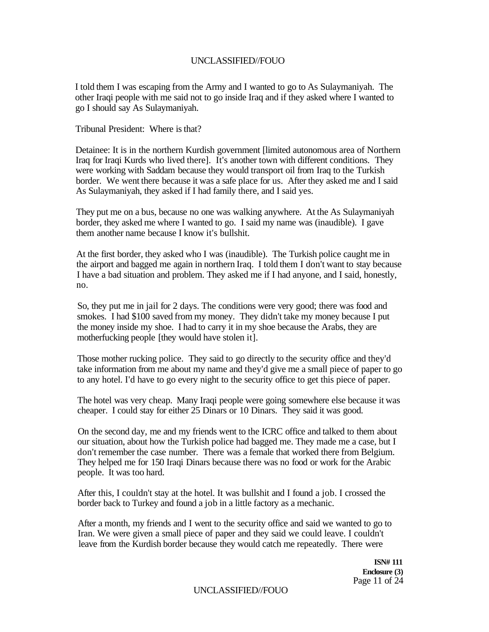I told them I was escaping from the Army and I wanted to go to As Sulaymaniyah. The other Iraqi people with me said not to go inside Iraq and if they asked where I wanted to go I should say As Sulaymaniyah.

Tribunal President: Where is that?

Detainee: It is in the northern Kurdish government [limited autonomous area of Northern Iraq for Iraqi Kurds who lived there]. It's another town with different conditions. They were working with Saddam because they would transport oil from Iraq to the Turkish border. We went there because it was a safe place for us. After they asked me and I said As Sulaymaniyah, they asked if I had family there, and I said yes.

They put me on a bus, because no one was walking anywhere. At the As Sulaymaniyah border, they asked me where I wanted to go. I said my name was (inaudible). I gave them another name because I know it's bullshit.

At the first border, they asked who I was (inaudible). The Turkish police caught me in the airport and bagged me again in northern Iraq. I told them I don't want to stay because I have a bad situation and problem. They asked me if I had anyone, and I said, honestly, no.

So, they put me in jail for 2 days. The conditions were very good; there was food and smokes. I had \$100 saved from my money. They didn't take my money because I put the money inside my shoe. I had to carry it in my shoe because the Arabs, they are motherfucking people [they would have stolen it].

Those mother rucking police. They said to go directly to the security office and they'd take information from me about my name and they'd give me a small piece of paper to go to any hotel. I'd have to go every night to the security office to get this piece of paper.

The hotel was very cheap. Many Iraqi people were going somewhere else because it was cheaper. I could stay for either 25 Dinars or 10 Dinars. They said it was good.

On the second day, me and my friends went to the ICRC office and talked to them about our situation, about how the Turkish police had bagged me. They made me a case, but I don't remember the case number. There was a female that worked there from Belgium. They helped me for 150 Iraqi Dinars because there was no food or work for the Arabic people. It was too hard.

After this, I couldn't stay at the hotel. It was bullshit and I found a job. I crossed the border back to Turkey and found a job in a little factory as a mechanic.

After a month, my friends and I went to the security office and said we wanted to go to Iran. We were given a small piece of paper and they said we could leave. I couldn't leave from the Kurdish border because they would catch me repeatedly. There were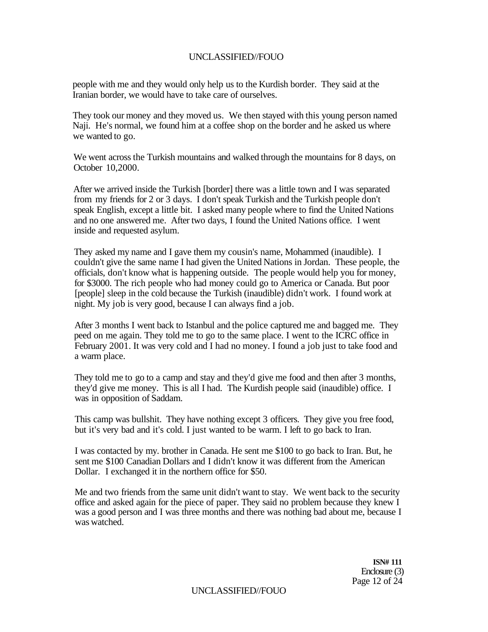people with me and they would only help us to the Kurdish border. They said at the Iranian border, we would have to take care of ourselves.

They took our money and they moved us. We then stayed with this young person named Naji. He's normal, we found him at a coffee shop on the border and he asked us where we wanted to go.

We went across the Turkish mountains and walked through the mountains for 8 days, on October 10,2000.

After we arrived inside the Turkish [border] there was a little town and I was separated from my friends for 2 or 3 days. I don't speak Turkish and the Turkish people don't speak English, except a little bit. I asked many people where to find the United Nations and no one answered me. After two days, I found the United Nations office. I went inside and requested asylum.

They asked my name and I gave them my cousin's name, Mohammed (inaudible). I couldn't give the same name I had given the United Nations in Jordan. These people, the officials, don't know what is happening outside. The people would help you for money, for \$3000. The rich people who had money could go to America or Canada. But poor [people] sleep in the cold because the Turkish (inaudible) didn't work. I found work at night. My job is very good, because I can always find a job.

After 3 months I went back to Istanbul and the police captured me and bagged me. They peed on me again. They told me to go to the same place. I went to the ICRC office in February 2001. It was very cold and I had no money. I found a job just to take food and a warm place.

They told me to go to a camp and stay and they'd give me food and then after 3 months, they'd give me money. This is all I had. The Kurdish people said (inaudible) office. I was in opposition of Saddam.

This camp was bullshit. They have nothing except 3 officers. They give you free food, but it's very bad and it's cold. I just wanted to be warm. I left to go back to Iran.

I was contacted by my. brother in Canada. He sent me \$100 to go back to Iran. But, he sent me \$100 Canadian Dollars and I didn't know it was different from the American Dollar. I exchanged it in the northern office for \$50.

Me and two friends from the same unit didn't want to stay. We went back to the security office and asked again for the piece of paper. They said no problem because they knew I was a good person and I was three months and there was nothing bad about me, because I was watched.

> **ISN# 111**  Enclosure (3) Page 12 of 24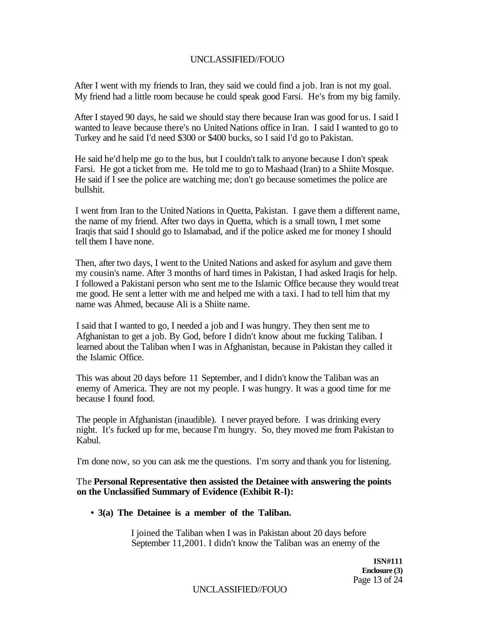After I went with my friends to Iran, they said we could find a job. Iran is not my goal. My friend had a little room because he could speak good Farsi. He's from my big family.

After I stayed 90 days, he said we should stay there because Iran was good for us. I said I wanted to leave because there's no United Nations office in Iran. I said I wanted to go to Turkey and he said I'd need \$300 or \$400 bucks, so I said I'd go to Pakistan.

He said he'd help me go to the bus, but I couldn't talk to anyone because I don't speak Farsi. He got a ticket from me. He told me to go to Mashaad (Iran) to a Shiite Mosque. He said if I see the police are watching me; don't go because sometimes the police are bullshit.

I went from Iran to the United Nations in Quetta, Pakistan. I gave them a different name, the name of my friend. After two days in Quetta, which is a small town, I met some Iraqis that said I should go to Islamabad, and if the police asked me for money I should tell them I have none.

Then, after two days, I went to the United Nations and asked for asylum and gave them my cousin's name. After 3 months of hard times in Pakistan, I had asked Iraqis for help. I followed a Pakistani person who sent me to the Islamic Office because they would treat me good. He sent a letter with me and helped me with a taxi. I had to tell him that my name was Ahmed, because Ali is a Shiite name.

I said that I wanted to go, I needed a job and I was hungry. They then sent me to Afghanistan to get a job. By God, before I didn't know about me fucking Taliban. I learned about the Taliban when I was in Afghanistan, because in Pakistan they called it the Islamic Office.

This was about 20 days before 11 September, and I didn't know the Taliban was an enemy of America. They are not my people. I was hungry. It was a good time for me because I found food.

The people in Afghanistan (inaudible). I never prayed before. I was drinking every night. It's fucked up for me, because I'm hungry. So, they moved me from Pakistan to Kabul.

I'm done now, so you can ask me the questions. I'm sorry and thank you for listening.

### The **Personal Representative then assisted the Detainee with answering the points on the Unclassified Summary of Evidence (Exhibit R-l):**

**• 3(a) The Detainee is a member of the Taliban.** 

I joined the Taliban when I was in Pakistan about 20 days before September 11,2001. I didn't know the Taliban was an enemy of the

> **ISN#111 Enclosure (3)**  Page 13 of 24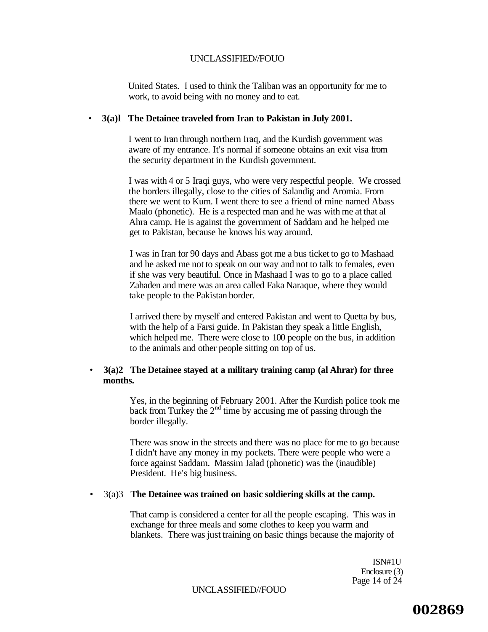United States. I used to think the Taliban was an opportunity for me to work, to avoid being with no money and to eat.

#### • **3(a)l The Detainee traveled from Iran to Pakistan in July 2001.**

I went to Iran through northern Iraq, and the Kurdish government was aware of my entrance. It's normal if someone obtains an exit visa from the security department in the Kurdish government.

I was with 4 or 5 Iraqi guys, who were very respectful people. We crossed the borders illegally, close to the cities of Salandig and Aromia. From there we went to Kum. I went there to see a friend of mine named Abass Maalo (phonetic). He is a respected man and he was with me at that al Ahra camp. He is against the government of Saddam and he helped me get to Pakistan, because he knows his way around.

I was in Iran for 90 days and Abass got me a bus ticket to go to Mashaad and he asked me not to speak on our way and not to talk to females, even if she was very beautiful. Once in Mashaad I was to go to a place called Zahaden and mere was an area called Faka Naraque, where they would take people to the Pakistan border.

I arrived there by myself and entered Pakistan and went to Quetta by bus, with the help of a Farsi guide. In Pakistan they speak a little English, which helped me. There were close to 100 people on the bus, in addition to the animals and other people sitting on top of us.

### • **3(a)2 The Detainee stayed at a military training camp (al Ahrar) for three months.**

Yes, in the beginning of February 2001. After the Kurdish police took me back from Turkey the  $2<sup>nd</sup>$  time by accusing me of passing through the border illegally.

There was snow in the streets and there was no place for me to go because I didn't have any money in my pockets. There were people who were a force against Saddam. Massim Jalad (phonetic) was the (inaudible) President. He's big business.

#### • 3(a)3 **The Detainee was trained on basic soldiering skills at the camp.**

That camp is considered a center for all the people escaping. This was in exchange for three meals and some clothes to keep you warm and blankets. There was just training on basic things because the majority of

> ISN#1U Enclosure (3) Page 14 of 24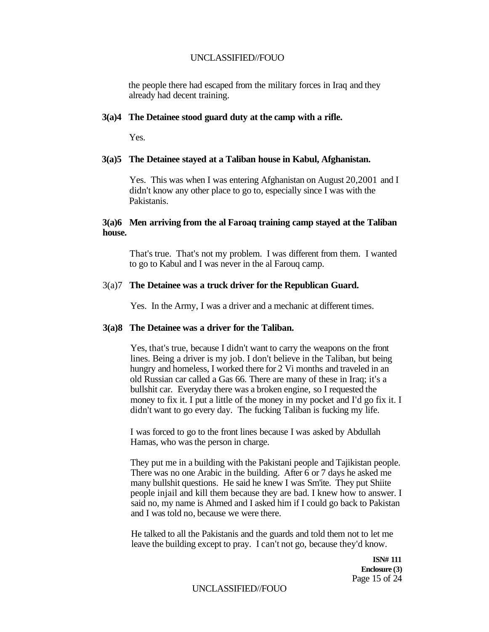the people there had escaped from the military forces in Iraq and they already had decent training.

#### **3(a)4 The Detainee stood guard duty at the camp with a rifle.**

Yes.

#### **3(a)5 The Detainee stayed at a Taliban house in Kabul, Afghanistan.**

Yes. This was when I was entering Afghanistan on August 20,2001 and I didn't know any other place to go to, especially since I was with the Pakistanis.

### **3(a)6 Men arriving from the al Faroaq training camp stayed at the Taliban house.**

That's true. That's not my problem. I was different from them. I wanted to go to Kabul and I was never in the al Farouq camp.

#### 3(a)7 **The Detainee was a truck driver for the Republican Guard.**

Yes. In the Army, I was a driver and a mechanic at different times.

#### **3(a)8 The Detainee was a driver for the Taliban.**

Yes, that's true, because I didn't want to carry the weapons on the front lines. Being a driver is my job. I don't believe in the Taliban, but being hungry and homeless, I worked there for 2 Vi months and traveled in an old Russian car called a Gas 66. There are many of these in Iraq; it's a bullshit car. Everyday there was a broken engine, so I requested the money to fix it. I put a little of the money in my pocket and I'd go fix it. I didn't want to go every day. The fucking Taliban is fucking my life.

I was forced to go to the front lines because I was asked by Abdullah Hamas, who was the person in charge.

They put me in a building with the Pakistani people and Tajikistan people. There was no one Arabic in the building. After 6 or 7 days he asked me many bullshit questions. He said he knew I was Sm'ite. They put Shiite people injail and kill them because they are bad. I knew how to answer. I said no, my name is Ahmed and I asked him if I could go back to Pakistan and I was told no, because we were there.

He talked to all the Pakistanis and the guards and told them not to let me leave the building except to pray. I can't not go, because they'd know.

> **ISN# 111 Enclosure (3)**  Page 15 of 24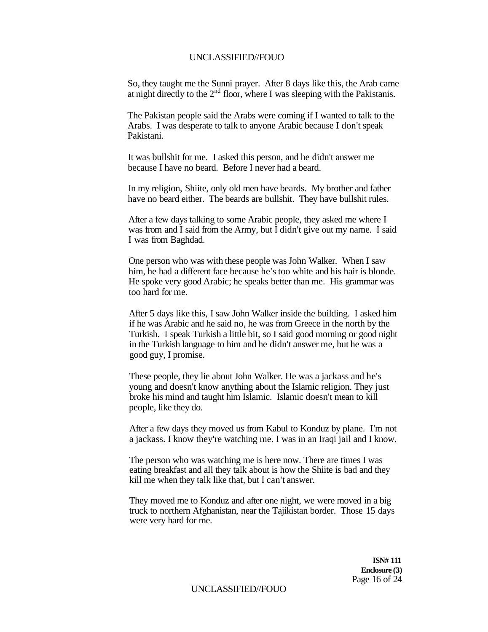So, they taught me the Sunni prayer. After 8 days like this, the Arab came at night directly to the  $2<sup>nd</sup>$  floor, where I was sleeping with the Pakistanis.

The Pakistan people said the Arabs were coming if I wanted to talk to the Arabs. I was desperate to talk to anyone Arabic because I don't speak Pakistani.

It was bullshit for me. I asked this person, and he didn't answer me because I have no beard. Before I never had a beard.

In my religion, Shiite, only old men have beards. My brother and father have no beard either. The beards are bullshit. They have bullshit rules.

After a few days talking to some Arabic people, they asked me where I was from and I said from the Army, but I didn't give out my name. I said I was from Baghdad.

One person who was with these people was John Walker. When I saw him, he had a different face because he's too white and his hair is blonde. He spoke very good Arabic; he speaks better than me. His grammar was too hard for me.

After 5 days like this, I saw John Walker inside the building. I asked him if he was Arabic and he said no, he was from Greece in the north by the Turkish. I speak Turkish a little bit, so I said good morning or good night in the Turkish language to him and he didn't answer me, but he was a good guy, I promise.

These people, they lie about John Walker. He was a jackass and he's young and doesn't know anything about the Islamic religion. They just broke his mind and taught him Islamic. Islamic doesn't mean to kill people, like they do.

After a few days they moved us from Kabul to Konduz by plane. I'm not a jackass. I know they're watching me. I was in an Iraqi jail and I know.

The person who was watching me is here now. There are times I was eating breakfast and all they talk about is how the Shiite is bad and they kill me when they talk like that, but I can't answer.

They moved me to Konduz and after one night, we were moved in a big truck to northern Afghanistan, near the Tajikistan border. Those 15 days were very hard for me.

> **ISN# 111 Enclosure (3)**  Page 16 of 24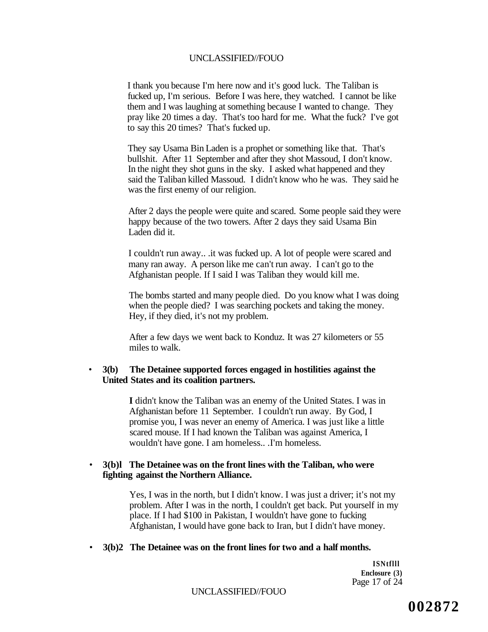I thank you because I'm here now and it's good luck. The Taliban is fucked up, I'm serious. Before I was here, they watched. I cannot be like them and I was laughing at something because I wanted to change. They pray like 20 times a day. That's too hard for me. What the fuck? I've got to say this 20 times? That's fucked up.

They say Usama Bin Laden is a prophet or something like that. That's bullshit. After 11 September and after they shot Massoud, I don't know. In the night they shot guns in the sky. I asked what happened and they said the Taliban killed Massoud. I didn't know who he was. They said he was the first enemy of our religion.

After 2 days the people were quite and scared. Some people said they were happy because of the two towers. After 2 days they said Usama Bin Laden did it.

I couldn't run away.. .it was fucked up. A lot of people were scared and many ran away. A person like me can't run away. I can't go to the Afghanistan people. If I said I was Taliban they would kill me.

The bombs started and many people died. Do you know what I was doing when the people died? I was searching pockets and taking the money. Hey, if they died, it's not my problem.

After a few days we went back to Konduz. It was 27 kilometers or 55 miles to walk.

### • **3(b) The Detainee supported forces engaged in hostilities against the United States and its coalition partners.**

**I** didn't know the Taliban was an enemy of the United States. I was in Afghanistan before 11 September. I couldn't run away. By God, I promise you, I was never an enemy of America. I was just like a little scared mouse. If I had known the Taliban was against America, I wouldn't have gone. I am homeless.. .I'm homeless.

### • **3(b)l The Detainee was on the front lines with the Taliban, who were fighting against the Northern Alliance.**

Yes, I was in the north, but I didn't know. I was just a driver; it's not my problem. After I was in the north, I couldn't get back. Put yourself in my place. If I had \$100 in Pakistan, I wouldn't have gone to fucking Afghanistan, I would have gone back to Iran, but I didn't have money.

#### • **3(b)2 The Detainee was on the front lines for two and a half months.**

**ISNtflll Enclosure (3)**  Page 17 of 24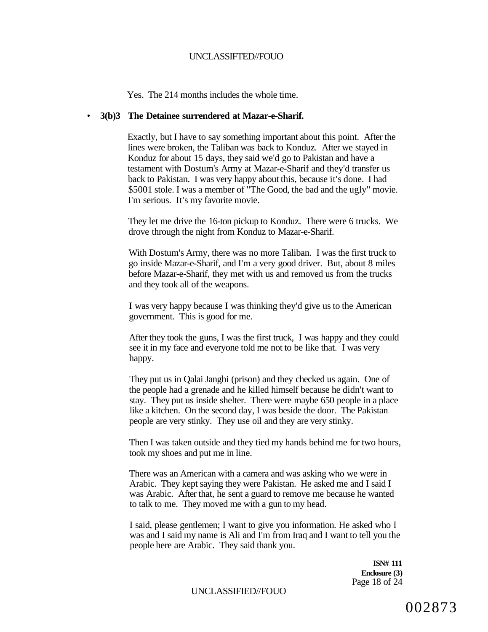Yes. The 214 months includes the whole time.

### • **3(b)3 The Detainee surrendered at Mazar-e-Sharif.**

Exactly, but I have to say something important about this point. After the lines were broken, the Taliban was back to Konduz. After we stayed in Konduz for about 15 days, they said we'd go to Pakistan and have a testament with Dostum's Army at Mazar-e-Sharif and they'd transfer us back to Pakistan. I was very happy about this, because it's done. I had \$5001 stole. I was a member of "The Good, the bad and the ugly" movie. I'm serious. It's my favorite movie.

They let me drive the 16-ton pickup to Konduz. There were 6 trucks. We drove through the night from Konduz to Mazar-e-Sharif.

With Dostum's Army, there was no more Taliban. I was the first truck to go inside Mazar-e-Sharif, and I'm a very good driver. But, about 8 miles before Mazar-e-Sharif, they met with us and removed us from the trucks and they took all of the weapons.

I was very happy because I was thinking they'd give us to the American government. This is good for me.

After they took the guns, I was the first truck, I was happy and they could see it in my face and everyone told me not to be like that. I was very happy.

They put us in Qalai Janghi (prison) and they checked us again. One of the people had a grenade and he killed himself because he didn't want to stay. They put us inside shelter. There were maybe 650 people in a place like a kitchen. On the second day, I was beside the door. The Pakistan people are very stinky. They use oil and they are very stinky.

Then I was taken outside and they tied my hands behind me for two hours, took my shoes and put me in line.

There was an American with a camera and was asking who we were in Arabic. They kept saying they were Pakistan. He asked me and I said I was Arabic. After that, he sent a guard to remove me because he wanted to talk to me. They moved me with a gun to my head.

I said, please gentlemen; I want to give you information. He asked who I was and I said my name is Ali and I'm from Iraq and I want to tell you the people here are Arabic. They said thank you.

> **ISN# 111 Enclosure (3)**  Page 18 of 24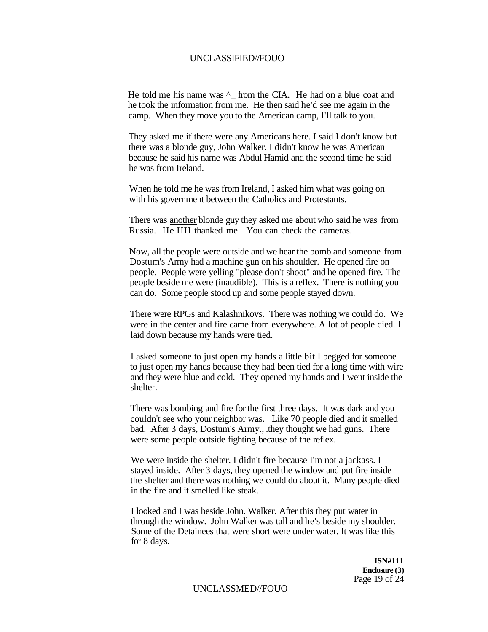He told me his name was  $\wedge$  from the CIA. He had on a blue coat and he took the information from me. He then said he'd see me again in the camp. When they move you to the American camp, I'll talk to you.

They asked me if there were any Americans here. I said I don't know but there was a blonde guy, John Walker. I didn't know he was American because he said his name was Abdul Hamid and the second time he said he was from Ireland.

When he told me he was from Ireland, I asked him what was going on with his government between the Catholics and Protestants.

There was another blonde guy they asked me about who said he was from Russia. He HH thanked me. You can check the cameras.

Now, all the people were outside and we hear the bomb and someone from Dostum's Army had a machine gun on his shoulder. He opened fire on people. People were yelling "please don't shoot" and he opened fire. The people beside me were (inaudible). This is a reflex. There is nothing you can do. Some people stood up and some people stayed down.

There were RPGs and Kalashnikovs. There was nothing we could do. We were in the center and fire came from everywhere. A lot of people died. I laid down because my hands were tied.

I asked someone to just open my hands a little bit I begged for someone to just open my hands because they had been tied for a long time with wire and they were blue and cold. They opened my hands and I went inside the shelter.

There was bombing and fire for the first three days. It was dark and you couldn't see who your neighbor was. Like 70 people died and it smelled bad. After 3 days, Dostum's Army., .they thought we had guns. There were some people outside fighting because of the reflex.

We were inside the shelter. I didn't fire because I'm not a jackass. I stayed inside. After 3 days, they opened the window and put fire inside the shelter and there was nothing we could do about it. Many people died in the fire and it smelled like steak.

I looked and I was beside John. Walker. After this they put water in through the window. John Walker was tall and he's beside my shoulder. Some of the Detainees that were short were under water. It was like this for 8 days.

> **ISN#111 Enclosure (3)**  Page 19 of 24

UNCLASSMED//FOUO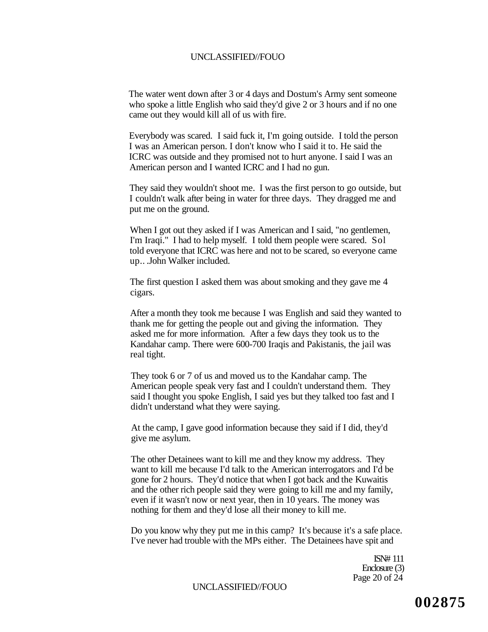The water went down after 3 or 4 days and Dostum's Army sent someone who spoke a little English who said they'd give 2 or 3 hours and if no one came out they would kill all of us with fire.

Everybody was scared. I said fuck it, I'm going outside. I told the person I was an American person. I don't know who I said it to. He said the ICRC was outside and they promised not to hurt anyone. I said I was an American person and I wanted ICRC and I had no gun.

They said they wouldn't shoot me. I was the first person to go outside, but I couldn't walk after being in water for three days. They dragged me and put me on the ground.

When I got out they asked if I was American and I said, "no gentlemen, I'm Iraqi." I had to help myself. I told them people were scared. Sol told everyone that ICRC was here and not to be scared, so everyone came up.. .John Walker included.

The first question I asked them was about smoking and they gave me 4 cigars.

After a month they took me because I was English and said they wanted to thank me for getting the people out and giving the information. They asked me for more information. After a few days they took us to the Kandahar camp. There were 600-700 Iraqis and Pakistanis, the jail was real tight.

They took 6 or 7 of us and moved us to the Kandahar camp. The American people speak very fast and I couldn't understand them. They said I thought you spoke English, I said yes but they talked too fast and I didn't understand what they were saying.

At the camp, I gave good information because they said if I did, they'd give me asylum.

The other Detainees want to kill me and they know my address. They want to kill me because I'd talk to the American interrogators and I'd be gone for 2 hours. They'd notice that when I got back and the Kuwaitis and the other rich people said they were going to kill me and my family, even if it wasn't now or next year, then in 10 years. The money was nothing for them and they'd lose all their money to kill me.

Do you know why they put me in this camp? It's because it's a safe place. I've never had trouble with the MPs either. The Detainees have spit and

> ISN# 111 Enclosure (3) Page 20 of 24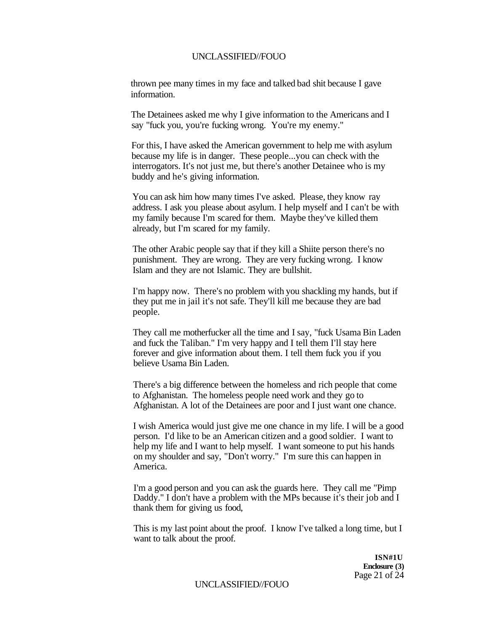thrown pee many times in my face and talked bad shit because I gave information.

The Detainees asked me why I give information to the Americans and I say "fuck you, you're fucking wrong. You're my enemy."

For this, I have asked the American government to help me with asylum because my life is in danger. These people...you can check with the interrogators. It's not just me, but there's another Detainee who is my buddy and he's giving information.

You can ask him how many times I've asked. Please, they know ray address. I ask you please about asylum. I help myself and I can't be with my family because I'm scared for them. Maybe they've killed them already, but I'm scared for my family.

The other Arabic people say that if they kill a Shiite person there's no punishment. They are wrong. They are very fucking wrong. I know Islam and they are not Islamic. They are bullshit.

I'm happy now. There's no problem with you shackling my hands, but if they put me in jail it's not safe. They'll kill me because they are bad people.

They call me motherfucker all the time and I say, "fuck Usama Bin Laden and fuck the Taliban." I'm very happy and I tell them I'll stay here forever and give information about them. I tell them fuck you if you believe Usama Bin Laden.

There's a big difference between the homeless and rich people that come to Afghanistan. The homeless people need work and they go to Afghanistan. A lot of the Detainees are poor and I just want one chance.

I wish America would just give me one chance in my life. I will be a good person. I'd like to be an American citizen and a good soldier. I want to help my life and I want to help myself. I want someone to put his hands on my shoulder and say, "Don't worry." I'm sure this can happen in America.

I'm a good person and you can ask the guards here. They call me "Pimp Daddy." I don't have a problem with the MPs because it's their job and I thank them for giving us food,

This is my last point about the proof. I know I've talked a long time, but I want to talk about the proof.

> **ISN#1U Enclosure (3)**  Page 21 of 24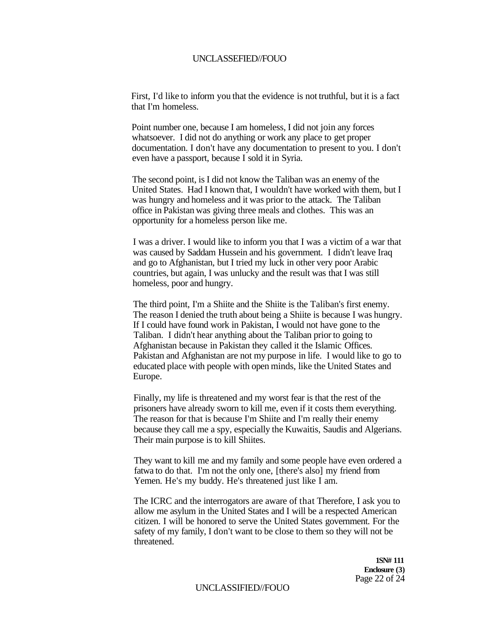First, I'd like to inform you that the evidence is not truthful, but it is a fact that I'm homeless.

Point number one, because I am homeless, I did not join any forces whatsoever. I did not do anything or work any place to get proper documentation. I don't have any documentation to present to you. I don't even have a passport, because I sold it in Syria.

The second point, is I did not know the Taliban was an enemy of the United States. Had I known that, I wouldn't have worked with them, but I was hungry and homeless and it was prior to the attack. The Taliban office in Pakistan was giving three meals and clothes. This was an opportunity for a homeless person like me.

I was a driver. I would like to inform you that I was a victim of a war that was caused by Saddam Hussein and his government. I didn't leave Iraq and go to Afghanistan, but I tried my luck in other very poor Arabic countries, but again, I was unlucky and the result was that I was still homeless, poor and hungry.

The third point, I'm a Shiite and the Shiite is the Taliban's first enemy. The reason I denied the truth about being a Shiite is because I was hungry. If I could have found work in Pakistan, I would not have gone to the Taliban. I didn't hear anything about the Taliban prior to going to Afghanistan because in Pakistan they called it the Islamic Offices. Pakistan and Afghanistan are not my purpose in life. I would like to go to educated place with people with open minds, like the United States and Europe.

Finally, my life is threatened and my worst fear is that the rest of the prisoners have already sworn to kill me, even if it costs them everything. The reason for that is because I'm Shiite and I'm really their enemy because they call me a spy, especially the Kuwaitis, Saudis and Algerians. Their main purpose is to kill Shiites.

They want to kill me and my family and some people have even ordered a fatwa to do that. I'm not the only one, [there's also] my friend from Yemen. He's my buddy. He's threatened just like I am.

The ICRC and the interrogators are aware of that Therefore, I ask you to allow me asylum in the United States and I will be a respected American citizen. I will be honored to serve the United States government. For the safety of my family, I don't want to be close to them so they will not be threatened.

> **1SN# 111 Enclosure (3)**  Page 22 of 24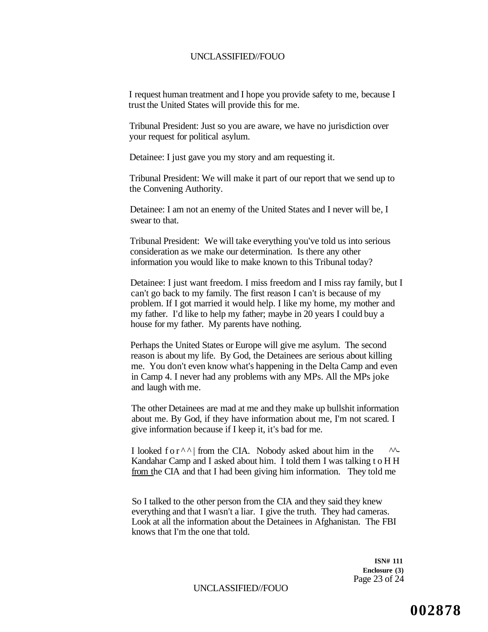I request human treatment and I hope you provide safety to me, because I trust the United States will provide this for me.

Tribunal President: Just so you are aware, we have no jurisdiction over your request for political asylum.

Detainee: I just gave you my story and am requesting it.

Tribunal President: We will make it part of our report that we send up to the Convening Authority.

Detainee: I am not an enemy of the United States and I never will be, I swear to that.

Tribunal President: We will take everything you've told us into serious consideration as we make our determination. Is there any other information you would like to make known to this Tribunal today?

Detainee: I just want freedom. I miss freedom and I miss ray family, but I can't go back to my family. The first reason I can't is because of my problem. If I got married it would help. I like my home, my mother and my father. I'd like to help my father; maybe in 20 years I could buy a house for my father. My parents have nothing.

Perhaps the United States or Europe will give me asylum. The second reason is about my life. By God, the Detainees are serious about killing me. You don't even know what's happening in the Delta Camp and even in Camp 4. I never had any problems with any MPs. All the MPs joke and laugh with me.

The other Detainees are mad at me and they make up bullshit information about me. By God, if they have information about me, I'm not scared. I give information because if I keep it, it's bad for me.

I looked for^^ | from the CIA. Nobody asked about him in the *^^-* Kandahar Camp and I asked about him. I told them I was talking to H H from the CIA and that I had been giving him information. They told me

So I talked to the other person from the CIA and they said they knew everything and that I wasn't a liar. I give the truth. They had cameras. Look at all the information about the Detainees in Afghanistan. The FBI knows that I'm the one that told.

> **ISN# 111 Enclosure (3)**  Page 23 of 24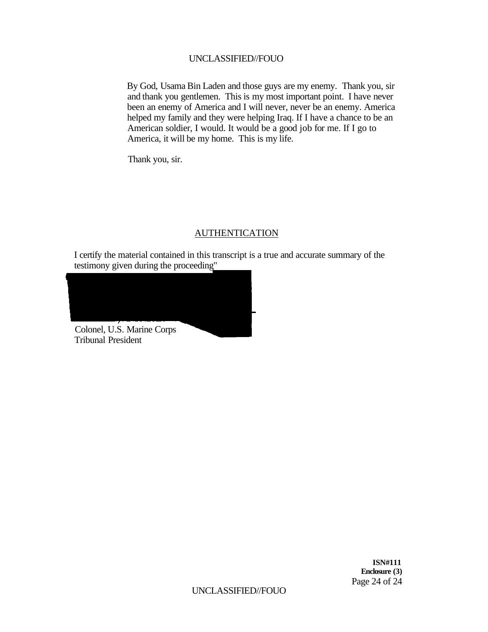By God, Usama Bin Laden and those guys are my enemy. Thank you, sir and thank you gentlemen. This is my most important point. I have never been an enemy of America and I will never, never be an enemy. America helped my family and they were helping Iraq. If I have a chance to be an American soldier, I would. It would be a good job for me. If I go to America, it will be my home. This is my life.

Thank you, sir.

### AUTHENTICATION

I certify the material contained in this transcript is a true and accurate summary of the testimony given during the proceeding"

Colonel, U.S. Marine Corps Tribunal President

**ISN#111 Enclosure (3)**  Page 24 of 24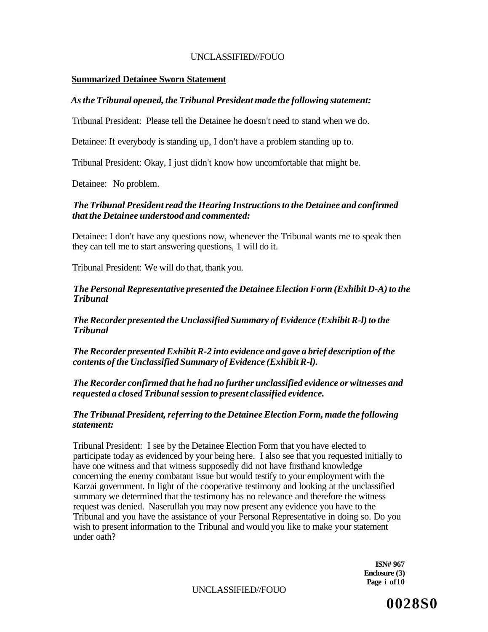### **Summarized Detainee Sworn Statement**

# *As the Tribunal opened, the Tribunal President made the following statement:*

Tribunal President: Please tell the Detainee he doesn't need to stand when we do.

Detainee: If everybody is standing up, I don't have a problem standing up to.

Tribunal President: Okay, I just didn't know how uncomfortable that might be.

Detainee: No problem.

# *The Tribunal President read the Hearing Instructions to the Detainee and confirmed that the Detainee understood and commented:*

Detainee: I don't have any questions now, whenever the Tribunal wants me to speak then they can tell me to start answering questions, 1 will do it.

Tribunal President: We will do that, thank you.

### *The Personal Representative presented the Detainee Election Form (Exhibit D-A) to the Tribunal*

*The Recorder presented the Unclassified Summary of Evidence (Exhibit R-l) to the Tribunal* 

*The Recorder presented Exhibit R-2 into evidence and gave a brief description of the contents of the Unclassified Summary of Evidence (Exhibit R-l).* 

*The Recorder confirmed that he had no further unclassified evidence or witnesses and requested a closed Tribunal session to present classified evidence.* 

### *The Tribunal President, referring to the Detainee Election Form, made the following statement:*

Tribunal President: I see by the Detainee Election Form that you have elected to participate today as evidenced by your being here. I also see that you requested initially to have one witness and that witness supposedly did not have firsthand knowledge concerning the enemy combatant issue but would testify to your employment with the Karzai government. In light of the cooperative testimony and looking at the unclassified summary we determined that the testimony has no relevance and therefore the witness request was denied. Naserullah you may now present any evidence you have to the Tribunal and you have the assistance of your Personal Representative in doing so. Do you wish to present information to the Tribunal and would you like to make your statement under oath?

> **ISN# 967 Enclosure (3) Page i of10**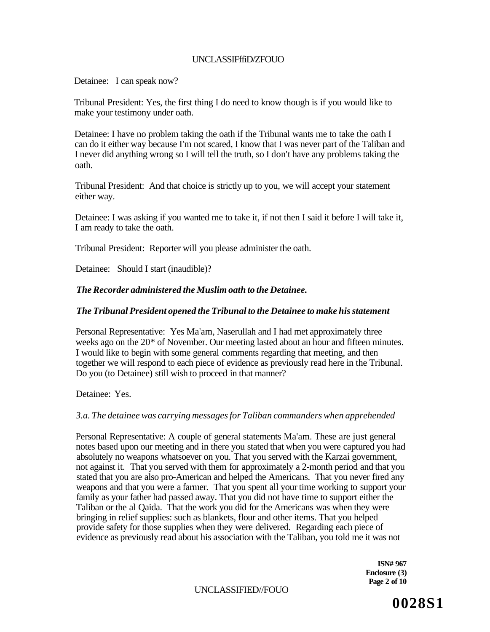# UNCLASSIFffiD/ZFOUO

Detainee: I can speak now?

Tribunal President: Yes, the first thing I do need to know though is if you would like to make your testimony under oath.

Detainee: I have no problem taking the oath if the Tribunal wants me to take the oath I can do it either way because I'm not scared, I know that I was never part of the Taliban and I never did anything wrong so I will tell the truth, so I don't have any problems taking the oath.

Tribunal President: And that choice is strictly up to you, we will accept your statement either way.

Detainee: I was asking if you wanted me to take it, if not then I said it before I will take it, I am ready to take the oath.

Tribunal President: Reporter will you please administer the oath.

Detainee: Should I start (inaudible)?

# *The Recorder administered the Muslim oath to the Detainee.*

### *The Tribunal President opened the Tribunal to the Detainee to make his statement*

Personal Representative: Yes Ma'am, Naserullah and I had met approximately three weeks ago on the 20\* of November. Our meeting lasted about an hour and fifteen minutes. I would like to begin with some general comments regarding that meeting, and then together we will respond to each piece of evidence as previously read here in the Tribunal. Do you (to Detainee) still wish to proceed in that manner?

Detainee: Yes.

### *3.a. The detainee was carrying messages for Taliban commanders when apprehended*

Personal Representative: A couple of general statements Ma'am. These are just general notes based upon our meeting and in there you stated that when you were captured you had absolutely no weapons whatsoever on you. That you served with the Karzai government, not against it. That you served with them for approximately a 2-month period and that you stated that you are also pro-American and helped the Americans. That you never fired any weapons and that you were a farmer. That you spent all your time working to support your family as your father had passed away. That you did not have time to support either the Taliban or the al Qaida. That the work you did for the Americans was when they were bringing in relief supplies: such as blankets, flour and other items. That you helped provide safety for those supplies when they were delivered. Regarding each piece of evidence as previously read about his association with the Taliban, you told me it was not

> **ISN# 967 Enclosure (3) Page 2 of 10**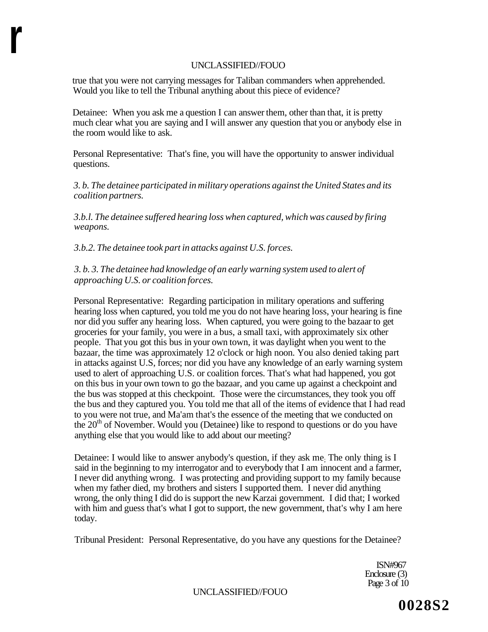true that you were not carrying messages for Taliban commanders when apprehended. Would you like to tell the Tribunal anything about this piece of evidence?

Detainee: When you ask me a question I can answer them, other than that, it is pretty much clear what you are saying and I will answer any question that you or anybody else in the room would like to ask.

Personal Representative: That's fine, you will have the opportunity to answer individual questions.

*3. b. The detainee participated in military operations against the United States and its coalition partners.* 

*3.b.l. The detainee suffered hearing loss when captured, which was caused by firing weapons.* 

*3.b.2. The detainee took part in attacks against U.S. forces.* 

**r** 

*3. b. 3. The detainee had knowledge of an early warning system used to alert of approaching U.S. or coalition forces.* 

Personal Representative: Regarding participation in military operations and suffering hearing loss when captured, you told me you do not have hearing loss, your hearing is fine nor did you suffer any hearing loss. When captured, you were going to the bazaar to get groceries for your family, you were in a bus, a small taxi, with approximately six other people. That you got this bus in your own town, it was daylight when you went to the bazaar, the time was approximately 12 o'clock or high noon. You also denied taking part in attacks against U.S, forces; nor did you have any knowledge of an early warning system used to alert of approaching U.S. or coalition forces. That's what had happened, you got on this bus in your own town to go the bazaar, and you came up against a checkpoint and the bus was stopped at this checkpoint. Those were the circumstances, they took you off the bus and they captured you. You told me that all of the items of evidence that I had read to you were not true, and Ma'am that's the essence of the meeting that we conducted on the  $20<sup>th</sup>$  of November. Would you (Detainee) like to respond to questions or do you have anything else that you would like to add about our meeting?

Detainee: I would like to answer anybody's question, if they ask me; The only thing is I said in the beginning to my interrogator and to everybody that I am innocent and a farmer, I never did anything wrong. I was protecting and providing support to my family because when my father died, my brothers and sisters I supported them. I never did anything wrong, the only thing I did do is support the new Karzai government. I did that; I worked with him and guess that's what I got to support, the new government, that's why I am here today.

Tribunal President: Personal Representative, do you have any questions for the Detainee?

ISN#967 Enclosure (3) Page 3 of 10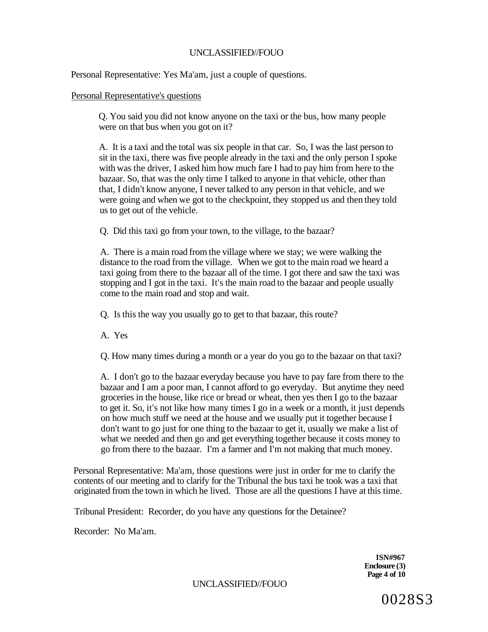Personal Representative: Yes Ma'am, just a couple of questions.

### Personal Representative's questions

Q. You said you did not know anyone on the taxi or the bus, how many people were on that bus when you got on it?

A. It is a taxi and the total was six people in that car. So, I was the last person to sit in the taxi, there was five people already in the taxi and the only person I spoke with was the driver, I asked him how much fare I had to pay him from here to the bazaar. So, that was the only time I talked to anyone in that vehicle, other than that, I didn't know anyone, I never talked to any person in that vehicle, and we were going and when we got to the checkpoint, they stopped us and then they told us to get out of the vehicle.

Q. Did this taxi go from your town, to the village, to the bazaar?

A. There is a main road from the village where we stay; we were walking the distance to the road from the village. When we got to the main road we heard a taxi going from there to the bazaar all of the time. I got there and saw the taxi was stopping and I got in the taxi. It's the main road to the bazaar and people usually come to the main road and stop and wait.

Q. Is this the way you usually go to get to that bazaar, this route?

A. Yes

Q. How many times during a month or a year do you go to the bazaar on that taxi?

A. I don't go to the bazaar everyday because you have to pay fare from there to the bazaar and I am a poor man, I cannot afford to go everyday. But anytime they need groceries in the house, like rice or bread or wheat, then yes then I go to the bazaar to get it. So, it's not like how many times I go in a week or a month, it just depends on how much stuff we need at the house and we usually put it together because I don't want to go just for one thing to the bazaar to get it, usually we make a list of what we needed and then go and get everything together because it costs money to go from there to the bazaar. I'm a farmer and I'm not making that much money.

Personal Representative: Ma'am, those questions were just in order for me to clarify the contents of our meeting and to clarify for the Tribunal the bus taxi he took was a taxi that originated from the town in which he lived. Those are all the questions I have at this time.

Tribunal President: Recorder, do you have any questions for the Detainee?

Recorder: No Ma'am.

**ISN#967 Enclosure (3) Page 4 of 10**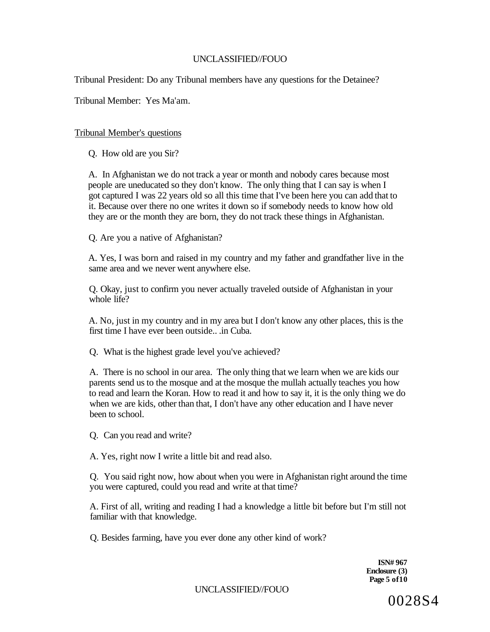Tribunal President: Do any Tribunal members have any questions for the Detainee?

Tribunal Member: Yes Ma'am.

# Tribunal Member's questions

Q. How old are you Sir?

A. In Afghanistan we do not track a year or month and nobody cares because most people are uneducated so they don't know. The only thing that I can say is when I got captured I was 22 years old so all this time that I've been here you can add that to it. Because over there no one writes it down so if somebody needs to know how old they are or the month they are born, they do not track these things in Afghanistan.

Q. Are you a native of Afghanistan?

A. Yes, I was born and raised in my country and my father and grandfather live in the same area and we never went anywhere else.

Q. Okay, just to confirm you never actually traveled outside of Afghanistan in your whole life?

A. No, just in my country and in my area but I don't know any other places, this is the first time I have ever been outside.. .in Cuba.

Q. What is the highest grade level you've achieved?

A. There is no school in our area. The only thing that we learn when we are kids our parents send us to the mosque and at the mosque the mullah actually teaches you how to read and learn the Koran. How to read it and how to say it, it is the only thing we do when we are kids, other than that, I don't have any other education and I have never been to school.

Q. Can you read and write?

A. Yes, right now I write a little bit and read also.

Q. You said right now, how about when you were in Afghanistan right around the time you were captured, could you read and write at that time?

A. First of all, writing and reading I had a knowledge a little bit before but I'm still not familiar with that knowledge.

Q. Besides farming, have you ever done any other kind of work?

**ISN# 967 Enclosure (3) Page 5 of10**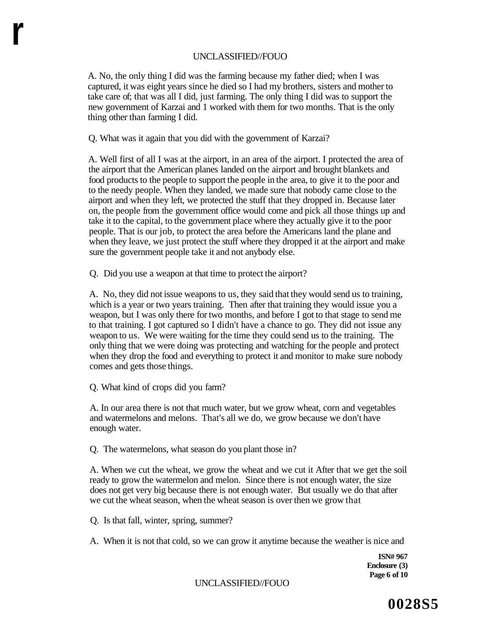A. No, the only thing I did was the farming because my father died; when I was captured, it was eight years since he died so I had my brothers, sisters and mother to take care of; that was all I did, just farming. The only thing I did was to support the new government of Karzai and 1 worked with them for two months. That is the only thing other than farming I did.

Q. What was it again that you did with the government of Karzai?

A. Well first of all I was at the airport, in an area of the airport. I protected the area of the airport that the American planes landed on the airport and brought blankets and food products to the people to support the people in the area, to give it to the poor and to the needy people. When they landed, we made sure that nobody came close to the airport and when they left, we protected the stuff that they dropped in. Because later on, the people from the government office would come and pick all those things up and take it to the capital, to the government place where they actually give it to the poor people. That is our job, to protect the area before the Americans land the plane and when they leave, we just protect the stuff where they dropped it at the airport and make sure the government people take it and not anybody else.

Q. Did you use a weapon at that time to protect the airport?

A. No, they did not issue weapons to us, they said that they would send us to training, which is a year or two years training. Then after that training they would issue you a weapon, but I was only there for two months, and before I got to that stage to send me to that training. I got captured so I didn't have a chance to go. They did not issue any weapon to us. We were waiting for the time they could send us to the training. The only thing that we were doing was protecting and watching for the people and protect when they drop the food and everything to protect it and monitor to make sure nobody comes and gets those things.

Q. What kind of crops did you farm?

**r** 

A. In our area there is not that much water, but we grow wheat, corn and vegetables and watermelons and melons. That's all we do, we grow because we don't have enough water.

Q. The watermelons, what season do you plant those in?

A. When we cut the wheat, we grow the wheat and we cut it After that we get the soil ready to grow the watermelon and melon. Since there is not enough water, the size does not get very big because there is not enough water. But usually we do that after we cut the wheat season, when the wheat season is over then we grow that

Q. Is that fall, winter, spring, summer?

A. When it is not that cold, so we can grow it anytime because the weather is nice and

**ISN# 967 Enclosure (3) Page 6 of 10**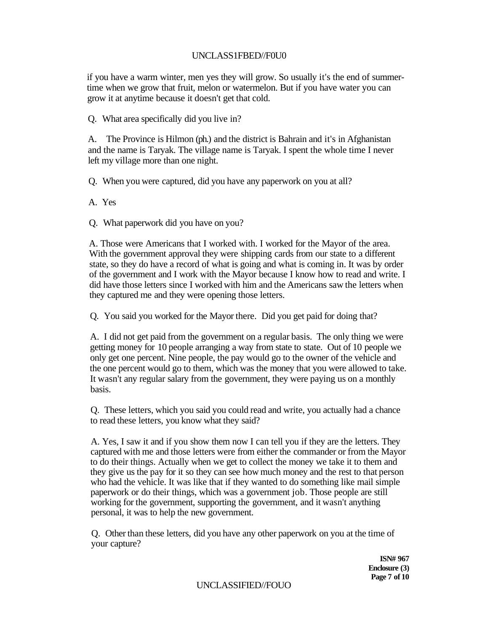# UNCLASS1FBED//F0U0

if you have a warm winter, men yes they will grow. So usually it's the end of summertime when we grow that fruit, melon or watermelon. But if you have water you can grow it at anytime because it doesn't get that cold.

Q. What area specifically did you live in?

A. The Province is Hilmon (ph.) and the district is Bahrain and it's in Afghanistan and the name is Taryak. The village name is Taryak. I spent the whole time I never left my village more than one night.

Q. When you were captured, did you have any paperwork on you at all?

A. Yes

Q. What paperwork did you have on you?

A. Those were Americans that I worked with. I worked for the Mayor of the area. With the government approval they were shipping cards from our state to a different state, so they do have a record of what is going and what is coming in. It was by order of the government and I work with the Mayor because I know how to read and write. I did have those letters since I worked with him and the Americans saw the letters when they captured me and they were opening those letters.

Q. You said you worked for the Mayor there. Did you get paid for doing that?

A. I did not get paid from the government on a regular basis. The only thing we were getting money for 10 people arranging a way from state to state. Out of 10 people we only get one percent. Nine people, the pay would go to the owner of the vehicle and the one percent would go to them, which was the money that you were allowed to take. It wasn't any regular salary from the government, they were paying us on a monthly basis.

Q. These letters, which you said you could read and write, you actually had a chance to read these letters, you know what they said?

A. Yes, I saw it and if you show them now I can tell you if they are the letters. They captured with me and those letters were from either the commander or from the Mayor to do their things. Actually when we get to collect the money we take it to them and they give us the pay for it so they can see how much money and the rest to that person who had the vehicle. It was like that if they wanted to do something like mail simple paperwork or do their things, which was a government job. Those people are still working for the government, supporting the government, and it wasn't anything personal, it was to help the new government.

Q. Other than these letters, did you have any other paperwork on you at the time of your capture?

> **ISN# 967 Enclosure (3) Page 7 of 10**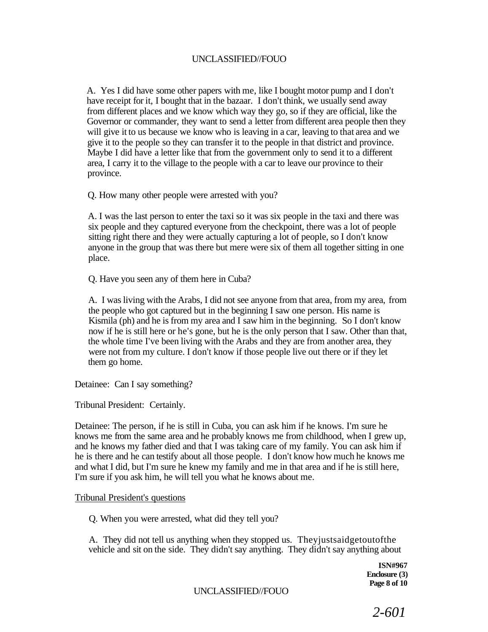A. Yes I did have some other papers with me, like I bought motor pump and I don't have receipt for it, I bought that in the bazaar. I don't think, we usually send away from different places and we know which way they go, so if they are official, like the Governor or commander, they want to send a letter from different area people then they will give it to us because we know who is leaving in a car, leaving to that area and we give it to the people so they can transfer it to the people in that district and province. Maybe I did have a letter like that from the government only to send it to a different area, I carry it to the village to the people with a car to leave our province to their province.

Q. How many other people were arrested with you?

A. I was the last person to enter the taxi so it was six people in the taxi and there was six people and they captured everyone from the checkpoint, there was a lot of people sitting right there and they were actually capturing a lot of people, so I don't know anyone in the group that was there but mere were six of them all together sitting in one place.

Q. Have you seen any of them here in Cuba?

A. I was living with the Arabs, I did not see anyone from that area, from my area, from the people who got captured but in the beginning I saw one person. His name is Kismila (ph) and he is from my area and I saw him in the beginning. So I don't know now if he is still here or he's gone, but he is the only person that I saw. Other than that, the whole time I've been living with the Arabs and they are from another area, they were not from my culture. I don't know if those people live out there or if they let them go home.

Detainee: Can I say something?

Tribunal President: Certainly.

Detainee: The person, if he is still in Cuba, you can ask him if he knows. I'm sure he knows me from the same area and he probably knows me from childhood, when I grew up, and he knows my father died and that I was taking care of my family. You can ask him if he is there and he can testify about all those people. I don't know how much he knows me and what I did, but I'm sure he knew my family and me in that area and if he is still here, I'm sure if you ask him, he will tell you what he knows about me.

### Tribunal President's questions

Q. When you were arrested, what did they tell you?

A. They did not tell us anything when they stopped us. Theyjustsaidgetoutofthe vehicle and sit on the side. They didn't say anything. They didn't say anything about

> **ISN#967 Enclosure (3) Page 8 of 10**

UNCLASSIFIED//FOUO

*2-601*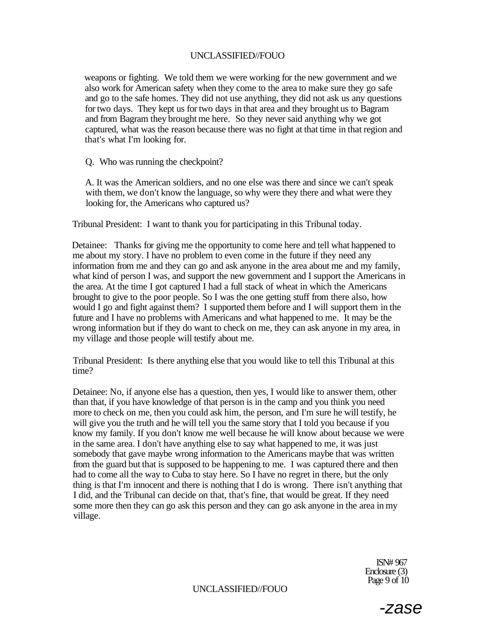weapons or fighting. We told them we were working for the new government and we also work for American safety when they come to the area to make sure they go safe and go to the safe homes. They did not use anything, they did not ask us any questions for two days. They kept us for two days in that area and they brought us to Bagram and from Bagram they brought me here. So they never said anything why we got captured, what was the reason because there was no fight at that time in that region and that's what I'm looking for.

Q. Who was running the checkpoint?

A. It was the American soldiers, and no one else was there and since we can't speak with them, we don't know the language, so why were they there and what were they looking for, the Americans who captured us?

Tribunal President: I want to thank you for participating in this Tribunal today.

Detainee: Thanks for giving me the opportunity to come here and tell what happened to me about my story. I have no problem to even come in the future if they need any information from me and they can go and ask anyone in the area about me and my family, what kind of person I was, and support the new government and I support the Americans in the area. At the time I got captured I had a full stack of wheat in which the Americans brought to give to the poor people. So I was the one getting stuff from there also, how would I go and fight against them? I supported them before and I will support them in the future and I have no problems with Americans and what happened to me. It may be the wrong information but if they do want to check on me, they can ask anyone in my area, in my village and those people will testify about me.

Tribunal President: Is there anything else that you would like to tell this Tribunal at this time?

Detainee: No, if anyone else has a question, then yes, I would like to answer them, other than that, if you have knowledge of that person is in the camp and you think you need more to check on me, then you could ask him, the person, and I'm sure he will testify, he will give you the truth and he will tell you the same story that I told you because if you know my family. If you don't know me well because he will know about because we were in the same area. I don't have anything else to say what happened to me, it was just somebody that gave maybe wrong information to the Americans maybe that was written from the guard but that is supposed to be happening to me. I was captured there and then had to come all the way to Cuba to stay here. So I have no regret in there, but the only thing is that I'm innocent and there is nothing that I do is wrong. There isn't anything that I did, and the Tribunal can decide on that, that's fine, that would be great. If they need some more then they can go ask this person and they can go ask anyone in the area in my village.

> ISN# 967 Enclosure (3) Page 9 of 10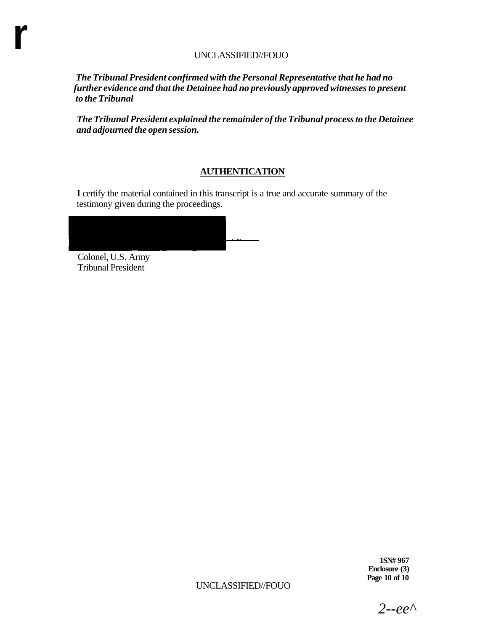*The Tribunal President confirmed with the Personal Representative that he had no further evidence and that the Detainee had no previously approved witnesses to present to the Tribunal* 

*The Tribunal President explained the remainder of the Tribunal process to the Detainee and adjourned the open session.* 

# **AUTHENTICATION**

**I** certify the material contained in this transcript is a true and accurate summary of the testimony given during the proceedings.

Colonel, U.S. Army Tribunal President

**r** 

**1SN# 967 Enclosure (3) Page 10 of 10** 

2--ee<sup> $\wedge$ </sup>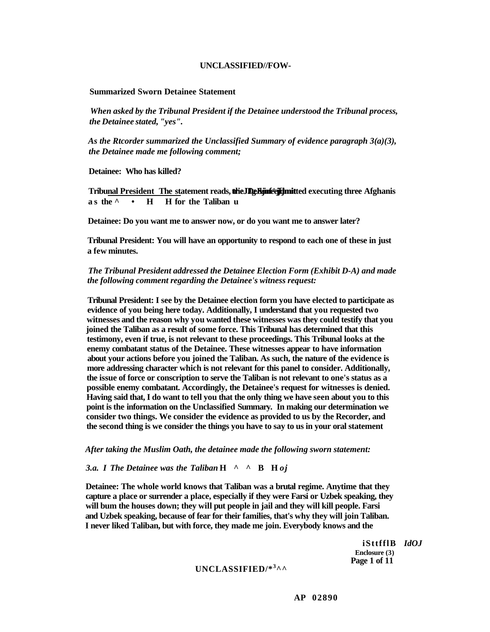#### **UNCLASSIFIED//FOW-**

#### **Summarized Sworn Detainee Statement**

*When asked by the Tribunal President if the Detainee understood the Tribunal process, the Detainee stated, "yes".* 

*As the Rtcorder summarized the Unclassified Summary of evidence paragraph 3(a)(3), the Detainee made me following comment;* 

**Detainee: Who has killed?** 

Tribu<u>nal President The st</u>atement reads, **theJDgBjinfégjfjmit**ted executing three Afghanis **a s the ^•H H for the Taliban u** 

**Detainee: Do you want me to answer now, or do you want me to answer later?** 

**Tribunal President: You will have an opportunity to respond to each one of these in just a few minutes.** 

*The Tribunal President addressed the Detainee Election Form (Exhibit D-A) and made the following comment regarding the Detainee's witness request:* 

**Tribunal President: I see by the Detainee election form you have elected to participate as evidence of you being here today. Additionally, I understand that you requested two witnesses and the reason why you wanted these witnesses was they could testify that you joined the Taliban as a result of some force. This Tribunal has determined that this testimony, even if true, is not relevant to these proceedings. This Tribunal looks at the enemy combatant status of the Detainee. These witnesses appear to have information about your actions before you joined the Taliban. As such, the nature of the evidence is more addressing character which is not relevant for this panel to consider. Additionally, the issue of force or conscription to serve the Taliban is not relevant to one's status as a possible enemy combatant. Accordingly, the Detainee's request for witnesses is denied. Having said that, I do want to tell you that the only thing we have seen about you to this point is the information on the Unclassified Summary. In making our determination we consider two things. We consider the evidence as provided to us by the Recorder, and the second thing is we consider the things you have to say to us in your oral statement** 

*After taking the Muslim Oath, the detainee made the following sworn statement:* 

*3.a. I The Detainee was the Taliban* **H^^B H** *oj* 

**Detainee: The whole world knows that Taliban was a brutal regime. Anytime that they capture a place or surrender a place, especially if they were Farsi or Uzbek speaking, they will bum the houses down; they will put people in jail and they will kill people. Farsi and Uzbek speaking, because of fear for their families, that's why they will join Taliban. I never liked Taliban, but with force, they made me join. Everybody knows and the** 

> **iSttfflB** *IdOJ*  **Enclosure (3) Page 1 of 11**

## **UNCLASSIFIED/\*<sup>3</sup> ^^**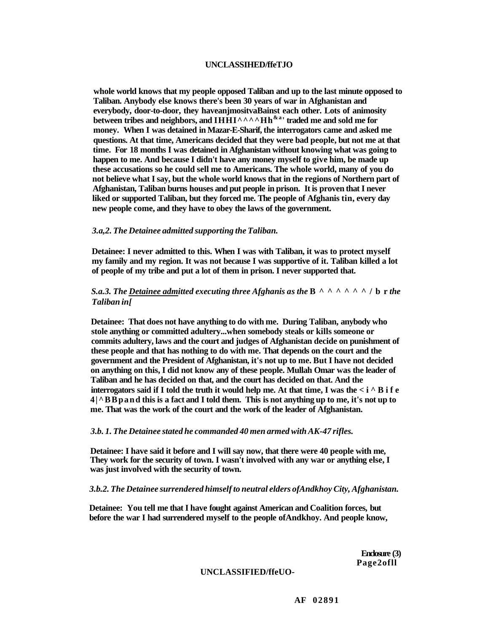#### **UNCLASSIHED/ffeTJO**

**whole world knows that my people opposed Taliban and up to the last minute opposed to Taliban. Anybody else knows there's been 30 years of war in Afghanistan and everybody, door-to-door, they haveanjmositvaBainst each other. Lots of animosity between tribes and neighbors, and IHHI^^^^Hh**<sup>& a</sup> **' traded me and sold me for money. When I was detained in Mazar-E-Sharif, the interrogators came and asked me questions. At that time, Americans decided that they were bad people, but not me at that time. For 18 months I was detained in Afghanistan without knowing what was going to happen to me. And because I didn't have any money myself to give him, be made up these accusations so he could sell me to Americans. The whole world, many of you do not believe what I say, but the whole world knows that in the regions of Northern part of Afghanistan, Taliban burns houses and put people in prison. It is proven that I never liked or supported Taliban, but they forced me. The people of Afghanis tin, every day new people come, and they have to obey the laws of the government.** 

#### *3.a,2. The Detainee admitted supporting the Taliban.*

**Detainee: I never admitted to this. When I was with Taliban, it was to protect myself my family and my region. It was not because I was supportive of it. Taliban killed a lot of people of my tribe and put a lot of them in prison. I never supported that.** 

#### *S.a.3. The Detainee admitted executing three Afghanis as the*  $B^{\wedge}$   $\wedge$   $\wedge$   $\wedge$   $\wedge$   $\wedge$   $\wedge$   $\wedge$   $\wedge$   $\wedge$   $\wedge$   $\wedge$   $\wedge$   $\wedge$   $\wedge$   $\wedge$   $\wedge$   $\wedge$   $\wedge$   $\wedge$   $\wedge$   $\wedge$   $\wedge$   $\wedge$   $\wedge$   $\wedge$ *Taliban in[*

**Detainee: That does not have anything to do with me. During Taliban, anybody who stole anything or committed adultery...when somebody steals or kills someone or commits adultery, laws and the court and judges of Afghanistan decide on punishment of these people and that has nothing to do with me. That depends on the court and the government and the President of Afghanistan, it's not up to me. But I have not decided on anything on this, I did not know any of these people. Mullah Omar was the leader of Taliban and he has decided on that, and the court has decided on that. And the interrogators said if I told the truth it would help me. At that time, I was the**  $\lt$  **i**  $\land$  **B i f e 4|^BBpand this is a fact and I told them. This is not anything up to me, it's not up to me. That was the work of the court and the work of the leader of Afghanistan.** 

#### *3.b. 1. The Detainee stated he commanded 40 men armed with AK-47 rifles.*

**Detainee: I have said it before and I will say now, that there were 40 people with me, They work for the security of town. I wasn't involved with any war or anything else, I was just involved with the security of town.** 

#### *3.b.2. The Detainee surrendered himself to neutral elders ofAndkhoy City, Afghanistan.*

**Detainee: You tell me that I have fought against American and Coalition forces, but before the war I had surrendered myself to the people ofAndkhoy. And people know,** 

> **Enclosure (3) Page2ofll**

#### **UNCLASSIFIED/ffeUO-**

**AF 02891**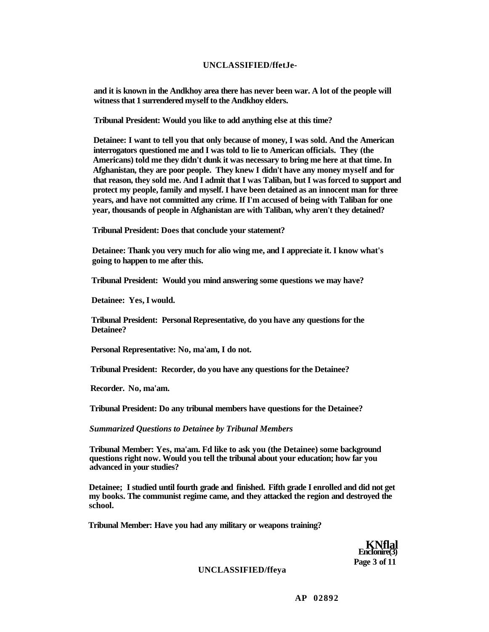#### **UNCLASSIFIED/ffetJe-**

**and it is known in the Andkhoy area there has never been war. A lot of the people will witness that 1 surrendered myself to the Andkhoy elders.** 

**Tribunal President: Would you like to add anything else at this time?** 

**Detainee: I want to tell you that only because of money, I was sold. And the American interrogators questioned me and I was told to lie to American officials. They (the Americans) told me they didn't dunk it was necessary to bring me here at that time. In Afghanistan, they are poor people. They knew I didn't have any money myself and for that reason, they sold me. And I admit that I was Taliban, but I was forced to support and protect my people, family and myself. I have been detained as an innocent man for three years, and have not committed any crime. If I'm accused of being with Taliban for one year, thousands of people in Afghanistan are with Taliban, why aren't they detained?** 

**Tribunal President: Does that conclude your statement?** 

**Detainee: Thank you very much for alio wing me, and I appreciate it. I know what's going to happen to me after this.** 

**Tribunal President: Would you mind answering some questions we may have?** 

**Detainee: Yes, I would.** 

**Tribunal President: Personal Representative, do you have any questions for the Detainee?** 

**Personal Representative: No, ma'am, I do not.** 

**Tribunal President: Recorder, do you have any questions for the Detainee?** 

**Recorder. No, ma'am.** 

**Tribunal President: Do any tribunal members have questions for the Detainee?** 

*Summarized Questions to Detainee by Tribunal Members* 

**Tribunal Member: Yes, ma'am. Fd like to ask you (the Detainee) some background questions right now. Would you tell the tribunal about your education; how far you advanced in your studies?** 

**Detainee; I studied until fourth grade and finished. Fifth grade I enrolled and did not get my books. The communist regime came, and they attacked the region and destroyed the school.** 

**Tribunal Member: Have you had any military or weapons training?** 



#### **UNCLASSIFIED/ffeya**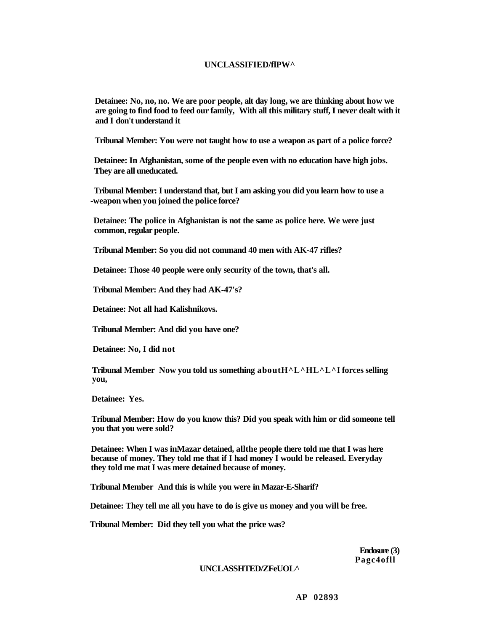#### **UNCLASSIFIED/flPW^**

**Detainee: No, no, no. We are poor people, alt day long, we are thinking about how we are going to find food to feed our family, With all this military stuff, I never dealt with it and I don't understand it** 

**Tribunal Member: You were not taught how to use a weapon as part of a police force?** 

**Detainee: In Afghanistan, some of the people even with no education have high jobs. They are all uneducated.** 

**Tribunal Member: I understand that, but I am asking you did you learn how to use a -weapon when you joined the police force?** 

**Detainee: The police in Afghanistan is not the same as police here. We were just common, regular people.** 

**Tribunal Member: So you did not command 40 men with AK-47 rifles?** 

**Detainee: Those 40 people were only security of the town, that's all.** 

**Tribunal Member: And they had AK-47's?** 

**Detainee: Not all had Kalishnikovs.** 

**Tribunal Member: And did you have one?** 

**Detainee: No, I did not** 

**Tribunal Member Now you told us something aboutH^L^HL^L^I forces selling you,** 

**Detainee: Yes.** 

**Tribunal Member: How do you know this? Did you speak with him or did someone tell you that you were sold?** 

**Detainee: When I was inMazar detained, allthe people there told me that I was here because of money. They told me that if I had money I would be released. Everyday they told me mat I was mere detained because of money.** 

**Tribunal Member And this is while you were in Mazar-E-Sharif?** 

**Detainee: They tell me all you have to do is give us money and you will be free.** 

**Tribunal Member: Did they tell you what the price was?** 

**Enclosure (3) Pagc4ofll** 

#### **UNCLASSHTED/ZFeUOL^**

**AP 02893**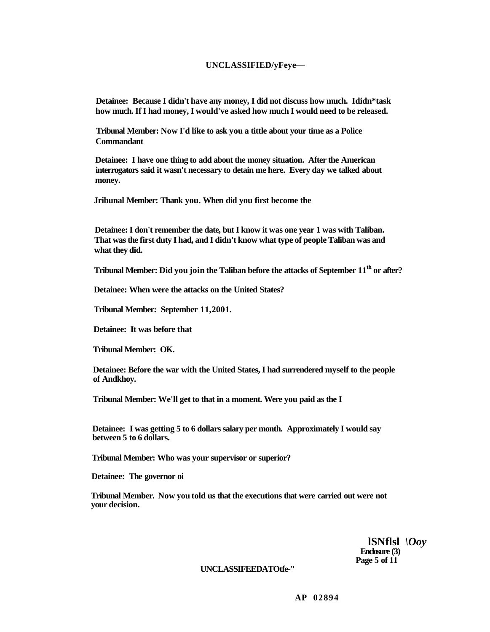#### **UNCLASSIFIED/yFeye—**

**Detainee: Because I didn't have any money, I did not discuss how much. Ididn\*task how much. If I had money, I would've asked how much I would need to be released.** 

**Tribunal Member: Now I'd like to ask you a tittle about your time as a Police Commandant** 

**Detainee: I have one thing to add about the money situation. After the American interrogators said it wasn't necessary to detain me here. Every day we talked about money.** 

**Jribunal Member: Thank you. When did you first become the** 

**Detainee: I don't remember the date, but I know it was one year 1 was with Taliban. That was the first duty I had, and I didn't know what type of people Taliban was and what they did.** 

**Tribunal Member: Did you join the Taliban before the attacks of September 11th or after?** 

**Detainee: When were the attacks on the United States?** 

**Tribunal Member: September 11,2001.** 

**Detainee: It was before that** 

**Tribunal Member: OK.** 

**Detainee: Before the war with the United States, I had surrendered myself to the people of Andkhoy.** 

**Tribunal Member: We'll get to that in a moment. Were you paid as the I** 

**Detainee: I was getting 5 to 6 dollars salary per month. Approximately I would say between 5 to 6 dollars.** 

**Tribunal Member: Who was your supervisor or superior?** 

**Detainee: The governor oi** 

**Tribunal Member. Now you told us that the executions that were carried out were not your decision.** 

> **lSNflsl** *\Ooy*  **Enclosure (3) Page 5 of 11**

**UNCLASSIFEEDATOtfe-"** 

**AP 02894**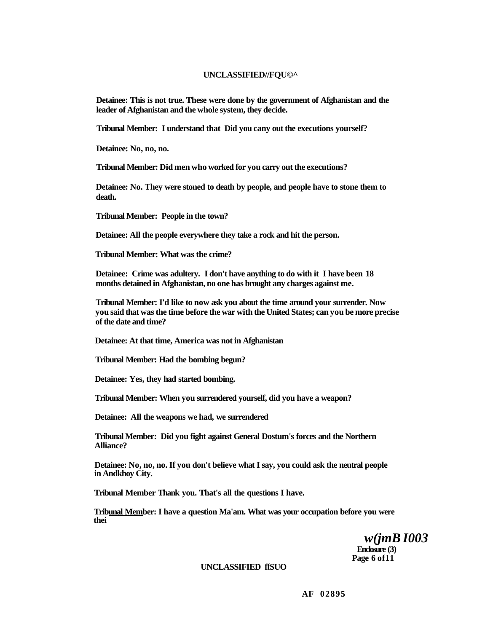#### **UNCLASSIFIED//FQU©^**

**Detainee: This is not true. These were done by the government of Afghanistan and the leader of Afghanistan and the whole system, they decide.** 

**Tribunal Member: I understand that Did you cany out the executions yourself?** 

**Detainee: No, no, no.** 

**Tribunal Member: Did men who worked for you carry out the executions?** 

**Detainee: No. They were stoned to death by people, and people have to stone them to death.** 

**Tribunal Member: People in the town?** 

**Detainee: All the people everywhere they take a rock and hit the person.** 

**Tribunal Member: What was the crime?** 

**Detainee: Crime was adultery. I don't have anything to do with it I have been 18 months detained in Afghanistan, no one has brought any charges against me.** 

**Tribunal Member: I'd like to now ask you about the time around your surrender. Now you said that was the time before the war with the United States; can you be more precise of the date and time?** 

**Detainee: At that time, America was not in Afghanistan** 

**Tribunal Member: Had the bombing begun?** 

**Detainee: Yes, they had started bombing.** 

**Tribunal Member: When you surrendered yourself, did you have a weapon?** 

**Detainee: All the weapons we had, we surrendered** 

**Tribunal Member: Did you fight against General Dostum's forces and the Northern Alliance?** 

**Detainee: No, no, no. If you don't believe what I say, you could ask the neutral people in Andkhoy City.** 

**Tribunal Member Thank you. That's all the questions I have.** 

**Tribunal Member: I have a question Ma'am. What was your occupation before you were thei** 

> *w(jmB I003*  **Enclosure (3) Page 6 of11**

#### **UNCLASSIFIED ffSUO**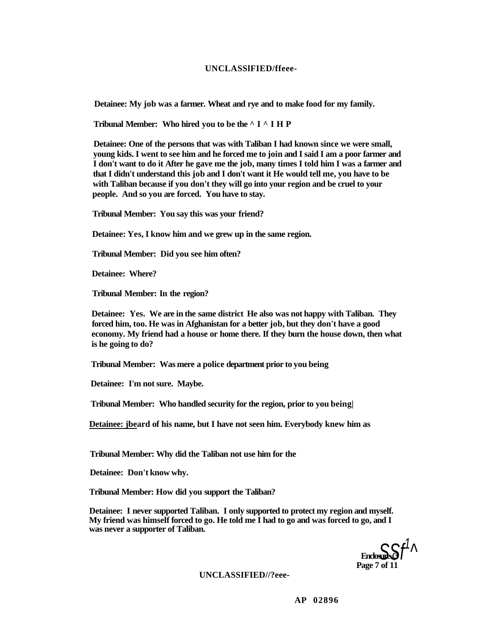#### **UNCLASSlFIED/ffeee-**

**Detainee: My job was a farmer. Wheat and rye and to make food for my family.** 

**Tribunal Member: Who hired you to be the ^I^IH P** 

**Detainee: One of the persons that was with Taliban I had known since we were small, young kids. I went to see him and he forced me to join and I said I am a poor farmer and I don't want to do it After he gave me the job, many times I told him I was a farmer and that I didn't understand this job and I don't want it He would tell me, you have to be with Taliban because if you don't they will go into your region and be cruel to your people. And so you are forced. You have to stay.** 

**Tribunal Member: You say this was your friend?** 

**Detainee: Yes, I know him and we grew up in the same region.** 

**Tribunal Member: Did you see him often?** 

**Detainee: Where?** 

**Tribunal Member: In the region?** 

**Detainee: Yes. We are in the same district He also was not happy with Taliban. They forced him, too. He was in Afghanistan for a better job, but they don't have a good economy. My friend had a house or home there. If they burn the house down, then what is he going to do?** 

**Tribunal Member: Was mere a police department prior to you being** 

**Detainee: I'm not sure. Maybe.** 

**Tribunal Member: Who handled security for the region, prior to you being|** 

**Detainee: jbeard of his name, but I have not seen him. Everybody knew him as** 

**Tribunal Member: Why did the Taliban not use him for the** 

**Detainee: Don't know why.** 

**Tribunal Member: How did you support the Taliban?** 

**Detainee: I never supported Taliban. I only supported to protect my region and myself. My friend was himself forced to go. He told me I had to go and was forced to go, and I was never a supporter of Taliban.** 



**UNCLASSIFIED//?eee-**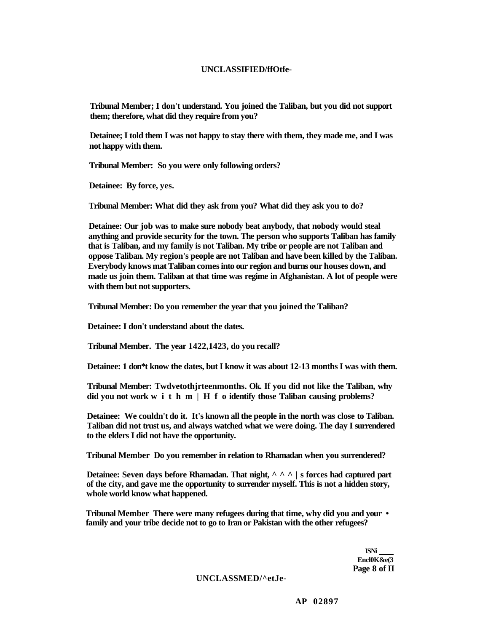#### **UNCLASSIFIED/ffOtfe-**

**Tribunal Member; I don't understand. You joined the Taliban, but you did not support them; therefore, what did they require from you?** 

**Detainee; I told them I was not happy to stay there with them, they made me, and I was not happy with them.** 

**Tribunal Member: So you were only following orders?** 

**Detainee: By force, yes.** 

**Tribunal Member: What did they ask from you? What did they ask you to do?** 

**Detainee: Our job was to make sure nobody beat anybody, that nobody would steal anything and provide security for the town. The person who supports Taliban has family that is Taliban, and my family is not Taliban. My tribe or people are not Taliban and oppose Taliban. My region's people are not Taliban and have been killed by the Taliban. Everybody knows mat Taliban comes into our region and burns our houses down, and made us join them. Taliban at that time was regime in Afghanistan. A lot of people were with them but not supporters.** 

**Tribunal Member: Do you remember the year that you joined the Taliban?** 

**Detainee: I don't understand about the dates.** 

**Tribunal Member. The year 1422,1423, do you recall?** 

**Detainee: 1 don\*t know the dates, but I know it was about 12-13 months I was with them.** 

**Tribunal Member: Twdvetothjrteenmonths. Ok. If you did not like the Taliban, why did you not work withm|Hf o identify those Taliban causing problems?** 

**Detainee: We couldn't do it. It's known all the people in the north was close to Taliban. Taliban did not trust us, and always watched what we were doing. The day I surrendered to the elders I did not have the opportunity.** 

**Tribunal Member Do you remember in relation to Rhamadan when you surrendered?** 

**Detainee: Seven days before Rhamadan. That night, ^^^| s forces had captured part of the city, and gave me the opportunity to surrender myself. This is not a hidden story, whole world know what happened.** 

**Tribunal Member There were many refugees during that time, why did you and your • family and your tribe decide not to go to Iran or Pakistan with the other refugees?** 

> **ISNi Encl0K&e(3 Page 8 of II**

**UNCLASSMED/^etJe-**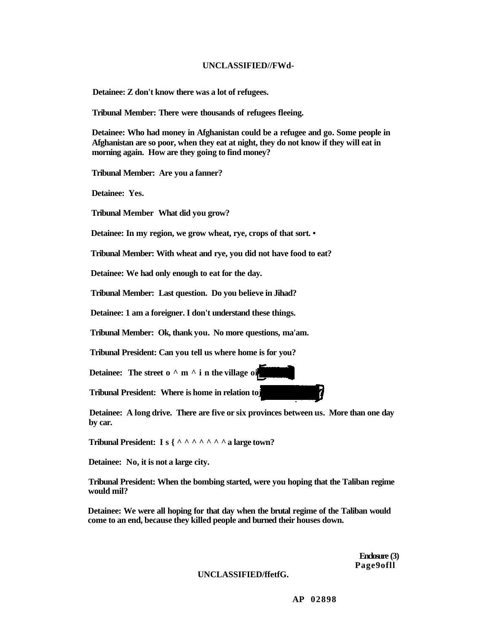#### **UNCLASSIFIED//FWd-**

**Detainee: Z don't know there was a lot of refugees.** 

**Tribunal Member: There were thousands of refugees fleeing.** 

**Detainee: Who had money in Afghanistan could be a refugee and go. Some people in Afghanistan are so poor, when they eat at night, they do not know if they will eat in morning again. How are they going to find money?** 

**Tribunal Member: Are you a fanner?** 

**Detainee: Yes.** 

**Tribunal Member What did you grow?** 

**Detainee: In my region, we grow wheat, rye, crops of that sort. •** 

**Tribunal Member: With wheat and rye, you did not have food to eat?** 

**Detainee: We had only enough to eat for the day.** 

**Tribunal Member: Last question. Do you believe in Jihad?** 

**Detainee: 1 am a foreigner. I don't understand these things.** 

**Tribunal Member: Ok, thank you. No more questions, ma'am.** 

**Tribunal President: Can you tell us where home is for you?** 

**Detainee:** The street  $o^{\wedge}$  m  $\wedge$  **i** n the village oi

**Tribunal President: Where is home in relation toj** 

**Detainee: A long drive. There are five or six provinces between us. More than one day by car.** 

**Tribunal President: Is{^^^^^^ ^ a large town?** 

**Detainee: No, it is not a large city.** 

**Tribunal President: When the bombing started, were you hoping that the Taliban regime would mil?** 

**Detainee: We were all hoping for that day when the brutal regime of the Taliban would come to an end, because they killed people and burned their houses down.** 

> **Enclosure (3) Page9ofll**

**UNCLASSIFIED/ffetfG.**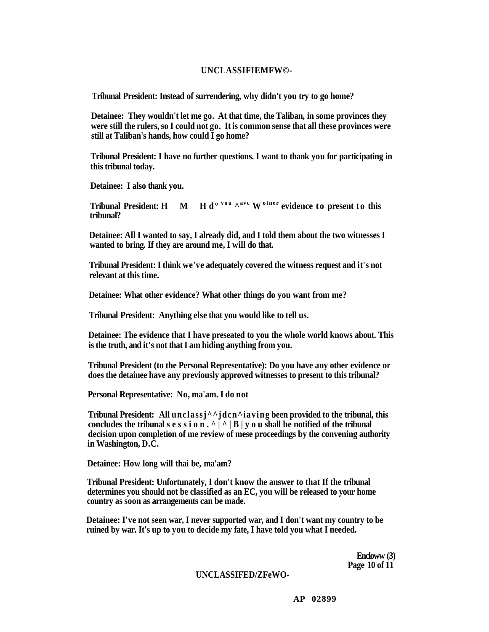#### **UNCLASSIFIEMFW©-**

**Tribunal President: Instead of surrendering, why didn't you try to go home?** 

**Detainee: They wouldn't let me go. At that time, the Taliban, in some provinces they were still the rulers, so I could not go. It is common sense that all these provinces were still at Taliban's hands, how could I go home?** 

**Tribunal President: I have no further questions. I want to thank you for participating in this tribunal today.** 

**Detainee: I also thank you.** 

**Tribunal President: H M v o u ^avc W otne <sup>r</sup> evidence to present to this tribunal?** 

**Detainee: All I wanted to say, I already did, and I told them about the two witnesses I wanted to bring. If they are around me, I will do that.** 

**Tribunal President: I think we've adequately covered the witness request and it's not relevant at this time.** 

**Detainee: What other evidence? What other things do you want from me?** 

**Tribunal President: Anything else that you would like to tell us.** 

**Detainee: The evidence that I have preseated to you the whole world knows about. This is the truth, and it's not that I am hiding anything from you.** 

**Tribunal President (to the Personal Representative): Do you have any other evidence or does the detainee have any previously approved witnesses to present to this tribunal?** 

**Personal Representative: No, ma'am. I do not** 

**Tribunal President: All unclassj^^jdcn^iaving been provided to the tribunal, this**  concludes the tribunal session.<sup> $\wedge$   $\wedge$ </sup>  $\wedge$   $\wedge$   $\wedge$   $\wedge$   $\wedge$   $\wedge$  **u** shall be notified of the tribunal **decision upon completion of me review of mese proceedings by the convening authority in Washington, D.C.** 

**Detainee: How long will thai be, ma'am?** 

**Tribunal President: Unfortunately, I don't know the answer to that If the tribunal determines you should not be classified as an EC, you will be released to your home country as soon as arrangements can be made.** 

**Detainee: I've not seen war, I never supported war, and I don't want my country to be ruined by war. It's up to you to decide my fate, I have told you what I needed.** 

> **Encloww (3) Page 10 of 11**

#### **UNCLASSIFED/ZFeWO-**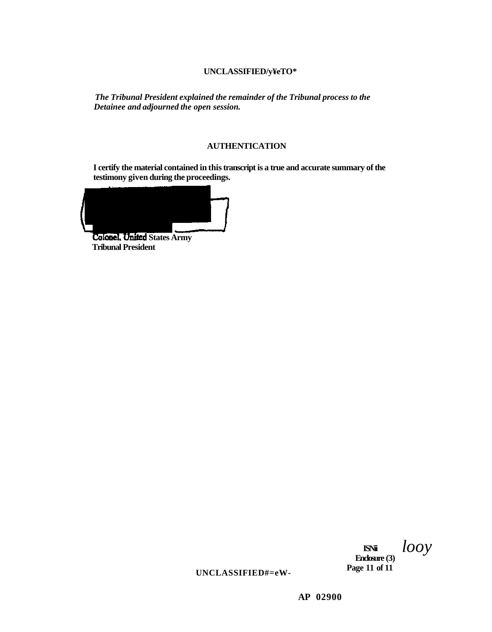# **UNCLASSIFIED/y¥eTO\***

*The Tribunal President explained the remainder of the Tribunal process to the Detainee and adjourned the open session.* 

#### **AUTHENTICATION**

**I certify the material contained in this transcript is a true and accurate summary of the testimony given during the proceedings.** 

**Colonel, United States Army Tribunal President** 

**ISNii Enclosure (3)**  *looy* 

**Page 11 of 11** 

**UNCLASSIFIED#=eW-**

**AP 02900**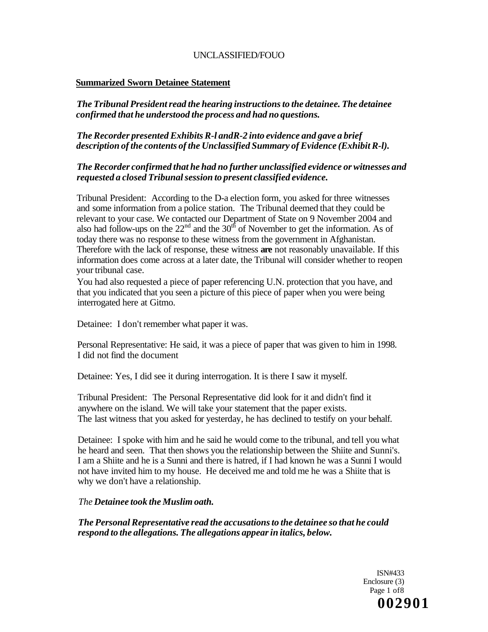# **Summarized Sworn Detainee Statement**

*The Tribunal President read the hearing instructions to the detainee. The detainee confirmed that he understood the process and had no questions.* 

# *The Recorder presented Exhibits R-l andR-2 into evidence and gave a brief description of the contents of the Unclassified Summary of Evidence (Exhibit R-l).*

# *The Recorder confirmed that he had no further unclassified evidence or witnesses and requested a closed Tribunal session to present classified evidence.*

Tribunal President: According to the D-a election form, you asked for three witnesses and some information from a police station. The Tribunal deemed that they could be relevant to your case. We contacted our Department of State on 9 November 2004 and also had follow-ups on the  $22<sup>nd</sup>$  and the  $30<sup>th</sup>$  of November to get the information. As of today there was no response to these witness from the government in Afghanistan. Therefore with the lack of response, these witness **are** not reasonably unavailable. If this information does come across at a later date, the Tribunal will consider whether to reopen your tribunal case.

You had also requested a piece of paper referencing U.N. protection that you have, and that you indicated that you seen a picture of this piece of paper when you were being interrogated here at Gitmo.

Detainee: I don't remember what paper it was.

Personal Representative: He said, it was a piece of paper that was given to him in 1998. I did not find the document

Detainee: Yes, I did see it during interrogation. It is there I saw it myself.

Tribunal President: The Personal Representative did look for it and didn't find it anywhere on the island. We will take your statement that the paper exists. The last witness that you asked for yesterday, he has declined to testify on your behalf.

Detainee: I spoke with him and he said he would come to the tribunal, and tell you what he heard and seen. That then shows you the relationship between the Shiite and Sunni's. I am a Shiite and he is a Sunni and there is hatred, if I had known he was a Sunni I would not have invited him to my house. He deceived me and told me he was a Shiite that is why we don't have a relationship.

# *The Detainee took the Muslim oath.*

*The Personal Representative read the accusations to the detainee so that he could respond to the allegations. The allegations appear in italics, below.* 

> ISN#433 Enclosure (3) Page 1 of8 **002901**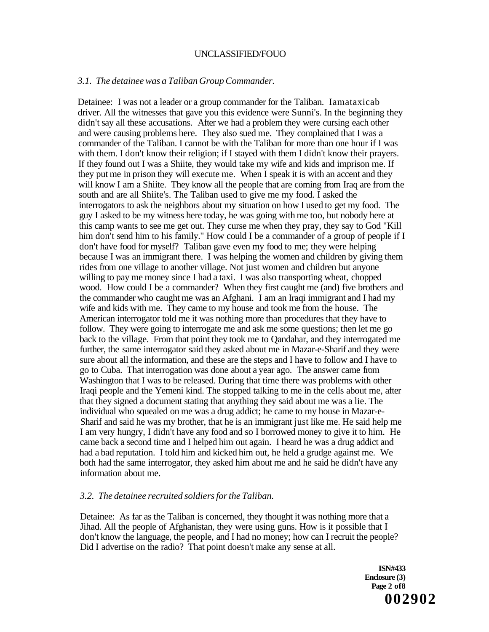#### *3.1. The detainee was a Taliban Group Commander.*

Detainee: I was not a leader or a group commander for the Taliban. Iamataxicab driver. All the witnesses that gave you this evidence were Sunni's. In the beginning they didn't say all these accusations. After we had a problem they were cursing each other and were causing problems here. They also sued me. They complained that I was a commander of the Taliban. I cannot be with the Taliban for more than one hour if I was with them. I don't know their religion; if I stayed with them I didn't know their prayers. If they found out I was a Shiite, they would take my wife and kids and imprison me. If they put me in prison they will execute me. When I speak it is with an accent and they will know I am a Shiite. They know all the people that are coming from Iraq are from the south and are all Shiite's. The Taliban used to give me my food. I asked the interrogators to ask the neighbors about my situation on how I used to get my food. The guy I asked to be my witness here today, he was going with me too, but nobody here at this camp wants to see me get out. They curse me when they pray, they say to God "Kill him don't send him to his family." How could I be a commander of a group of people if I don't have food for myself? Taliban gave even my food to me; they were helping because I was an immigrant there. I was helping the women and children by giving them rides from one village to another village. Not just women and children but anyone willing to pay me money since I had a taxi. I was also transporting wheat, chopped wood. How could I be a commander? When they first caught me (and) five brothers and the commander who caught me was an Afghani. I am an Iraqi immigrant and I had my wife and kids with me. They came to my house and took me from the house. The American interrogator told me it was nothing more than procedures that they have to follow. They were going to interrogate me and ask me some questions; then let me go back to the village. From that point they took me to Qandahar, and they interrogated me further, the same interrogator said they asked about me in Mazar-e-Sharif and they were sure about all the information, and these are the steps and I have to follow and I have to go to Cuba. That interrogation was done about a year ago. The answer came from Washington that I was to be released. During that time there was problems with other Iraqi people and the Yemeni kind. The stopped talking to me in the cells about me, after that they signed a document stating that anything they said about me was a lie. The individual who squealed on me was a drug addict; he came to my house in Mazar-e-Sharif and said he was my brother, that he is an immigrant just like me. He said help me I am very hungry, I didn't have any food and so I borrowed money to give it to him. He came back a second time and I helped him out again. I heard he was a drug addict and had a bad reputation. I told him and kicked him out, he held a grudge against me. We both had the same interrogator, they asked him about me and he said he didn't have any information about me.

#### *3.2. The detainee recruited soldiers for the Taliban.*

Detainee: As far as the Taliban is concerned, they thought it was nothing more that a Jihad. All the people of Afghanistan, they were using guns. How is it possible that I don't know the language, the people, and I had no money; how can I recruit the people? Did I advertise on the radio? That point doesn't make any sense at all.

> **ISN#433 Enclosure (3) Page 2 of8 002902**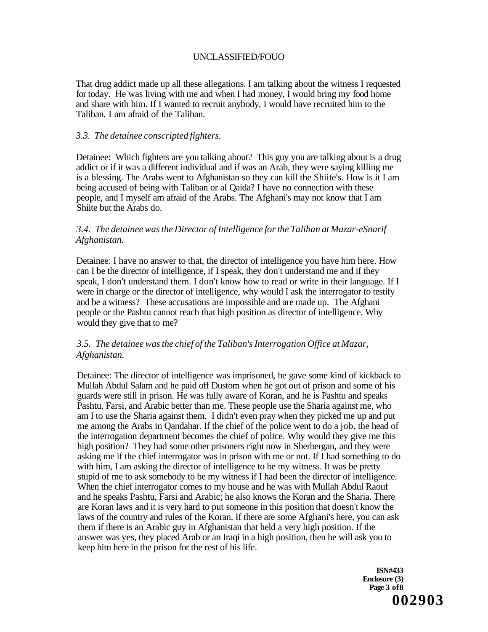That drug addict made up all these allegations. I am talking about the witness I requested for today. He was living with me and when I had money, I would bring my food home and share with him. If I wanted to recruit anybody, I would have recruited him to the Taliban. I am afraid of the Taliban.

### *3.3. The detainee conscripted fighters.*

Detainee: Which fighters are you talking about? This guy you are talking about is a drug addict or if it was a different individual and if was an Arab, they were saying killing me is a blessing. The Arabs went to Afghanistan so they can kill the Shiite's. How is it I am being accused of being with Taliban or al Qaida? I have no connection with these people, and I myself am afraid of the Arabs. The Afghani's may not know that I am Shiite but the Arabs do.

# *3.4. The detainee was the Director of Intelligence for the Taliban at Mazar-eSnarif Afghanistan.*

Detainee: I have no answer to that, the director of intelligence you have him here. How can I be the director of intelligence, if I speak, they don't understand me and if they speak, I don't understand them. I don't know how to read or write in their language. If I were in charge or the director of intelligence, why would I ask the interrogator to testify and be a witness? These accusations are impossible and are made up. The Afghani people or the Pashtu cannot reach that high position as director of intelligence. Why would they give that to me?

# *3.5. The detainee was the chief of the Taliban's Interrogation Office at Mazar, Afghanistan.*

Detainee: The director of intelligence was imprisoned, he gave some kind of kickback to Mullah Abdul Salam and he paid off Dustom when he got out of prison and some of his guards were still in prison. He was fully aware of Koran, and he is Pashtu and speaks Pashtu, Farsi, and Arabic better than me. These people use the Sharia against me, who am I to use the Sharia against them. I didn't even pray when they picked me up and put me among the Arabs in Qandahar. If the chief of the police went to do a job, the head of the interrogation department becomes the chief of police. Why would they give me this high position? They had some other prisoners right now in Sherbergan, and they were asking me if the chief interrogator was in prison with me or not. If I had something to do with him, I am asking the director of intelligence to be my witness. It was be pretty stupid of me to ask somebody to be my witness if I had been the director of intelligence. When the chief interrogator comes to my house and he was with Mullah Abdul Raouf and he speaks Pashtu, Farsi and Arabic; he also knows the Koran and the Sharia. There are Koran laws and it is very hard to put someone in this position that doesn't know the laws of the country and rules of the Koran. If there are some Afghani's here, you can ask them if there is an Arabic guy in Afghanistan that held a very high position. If the answer was yes, they placed Arab or an Iraqi in a high position, then he will ask you to keep him here in the prison for the rest of his life.

> **ISN#433 Enclosure (3) Page 3 of8 002903**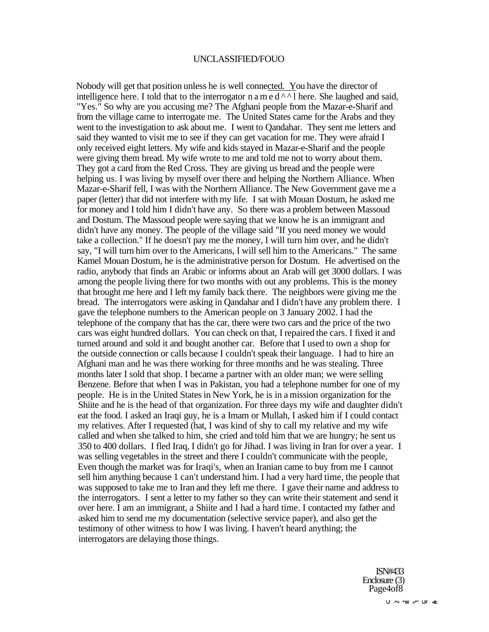Nobody will get that position unless he is well connected. You have the director of intelligence here. I told that to the interrogator n a m  $\overline{e \, d \wedge^{\wedge} 1}$  here. She laughed and said, "Yes." So why are you accusing me? The Afghani people from the Mazar-e-Sharif and from the village came to interrogate me. The United States came for the Arabs and they went to the investigation to ask about me. I went to Qandahar. They sent me letters and said they wanted to visit me to see if they can get vacation for me. They were afraid I only received eight letters. My wife and kids stayed in Mazar-e-Sharif and the people were giving them bread. My wife wrote to me and told me not to worry about them. They got a card from the Red Cross. They are giving us bread and the people were helping us. I was living by myself over there and helping the Northern Alliance. When Mazar-e-Sharif fell, I was with the Northern Alliance. The New Government gave me a paper (letter) that did not interfere with my life. I sat with Mouan Dostum, he asked me for money and I told him I didn't have any. So there was a problem between Massoud and Dostum. The Massoud people were saying that we know he is an immigrant and didn't have any money. The people of the village said "If you need money we would take a collection." If he doesn't pay me the money, I will turn him over, and he didn't say, "I will turn him over to the Americans, I will sell him to the Americans." The same Kamel Mouan Dostum, he is the administrative person for Dostum. He advertised on the radio, anybody that finds an Arabic or informs about an Arab will get 3000 dollars. I was among the people living there for two months with out any problems. This is the money that brought me here and I left my family back there. The neighbors were giving me the bread. The interrogators were asking in Qandahar and I didn't have any problem there. I gave the telephone numbers to the American people on 3 January 2002. I had the telephone of the company that has the car, there were two cars and the price of the two cars was eight hundred dollars. You can check on that, I repaired the cars. I fixed it and turned around and sold it and bought another car. Before that I used to own a shop for the outside connection or calls because I couldn't speak their language. I had to hire an Afghani man and he was there working for three months and he was stealing. Three months later I sold that shop. I became a partner with an older man; we were selling Benzene. Before that when I was in Pakistan, you had a telephone number for one of my people. He is in the United States in New York, he is in a mission organization for the Shiite and he is the head of that organization. For three days my wife and daughter didn't eat the food. I asked an Iraqi guy, he is a Imam or Mullah, I asked him if I could contact my relatives. After I requested (hat, I was kind of shy to call my relative and my wife called and when she talked to him, she cried and told him that we are hungry; he sent us 350 to 400 dollars. I fled Iraq, I didn't go for Jihad. I was living in Iran for over a year. I was selling vegetables in the street and there I couldn't communicate with the people, Even though the market was for Iraqi's, when an Iranian came to buy from me I cannot sell him anything because 1 can't understand him. I had a very hard time, the people that was supposed to take me to Iran and they left me there. I gave their name and address to the interrogators. I sent a letter to my father so they can write their statement and send it over here. I am an immigrant, a Shiite and I had a hard time. I contacted my father and asked him to send me my documentation (selective service paper), and also get the testimony of other witness to how I was living. I haven't heard anything; the interrogators are delaying those things.

> ISN#433 Enclosure (3) Page4of<sub>8</sub>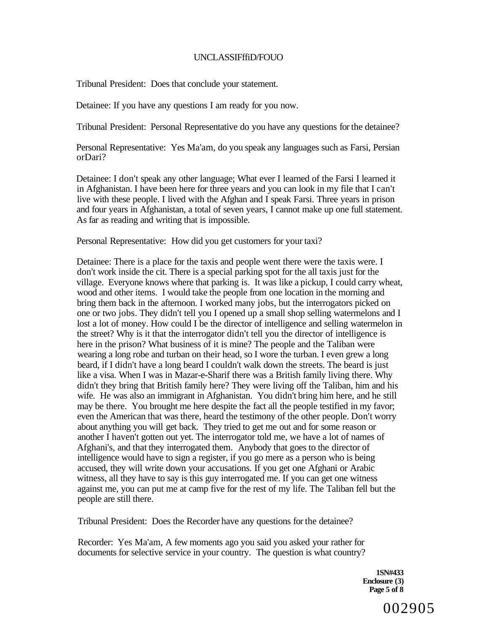### UNCLASSIFffiD/FOUO

Tribunal President: Does that conclude your statement.

Detainee: If you have any questions I am ready for you now.

Tribunal President: Personal Representative do you have any questions for the detainee?

Personal Representative: Yes Ma'am, do you speak any languages such as Farsi, Persian orDari?

Detainee: I don't speak any other language; What ever I learned of the Farsi I learned it in Afghanistan. I have been here for three years and you can look in my file that I can't live with these people. I lived with the Afghan and I speak Farsi. Three years in prison and four years in Afghanistan, a total of seven years, I cannot make up one full statement. As far as reading and writing that is impossible.

Personal Representative: How did you get customers for your taxi?

Detainee: There is a place for the taxis and people went there were the taxis were. I don't work inside the cit. There is a special parking spot for the all taxis just for the village. Everyone knows where that parking is. It was like a pickup, I could carry wheat, wood and other items. I would take the people from one location in the morning and bring them back in the afternoon. I worked many jobs, but the interrogators picked on one or two jobs. They didn't tell you I opened up a small shop selling watermelons and I lost a lot of money. How could I be the director of intelligence and selling watermelon in the street? Why is it that the interrogator didn't tell you the director of intelligence is here in the prison? What business of it is mine? The people and the Taliban were wearing a long robe and turban on their head, so I wore the turban. I even grew a long beard, if I didn't have a long beard I couldn't walk down the streets. The beard is just like a visa. When I was in Mazar-e-Sharif there was a British family living there. Why didn't they bring that British family here? They were living off the Taliban, him and his wife. He was also an immigrant in Afghanistan. You didn't bring him here, and he still may be there. You brought me here despite the fact all the people testified in my favor; even the American that was there, heard the testimony of the other people. Don't worry about anything you will get back. They tried to get me out and for some reason or another I haven't gotten out yet. The interrogator told me, we have a lot of names of Afghani's, and that they interrogated them. Anybody that goes to the director of intelligence would have to sign a register, if you go mere as a person who is being accused, they will write down your accusations. If you get one Afghani or Arabic witness, all they have to say is this guy interrogated me. If you can get one witness against me, you can put me at camp five for the rest of my life. The Taliban fell but the people are still there.

Tribunal President: Does the Recorder have any questions for the detainee?

Recorder: Yes Ma'am, A few moments ago you said you asked your rather for documents for selective service in your country. The question is what country?

> **1SN#433 Enclosure (3) Page 5 of 8**

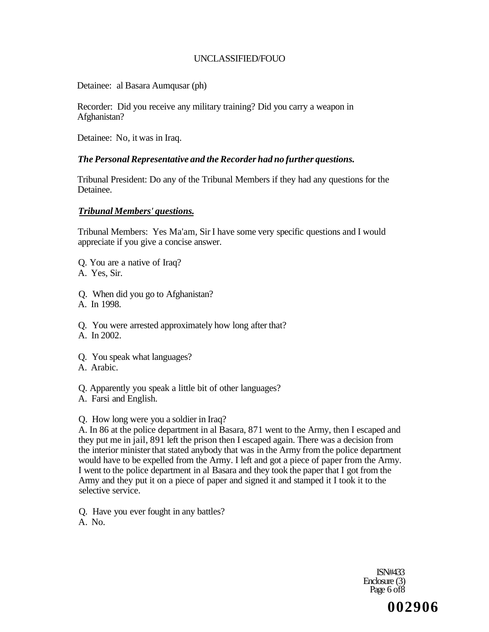Detainee: al Basara Aumqusar (ph)

Recorder: Did you receive any military training? Did you carry a weapon in Afghanistan?

Detainee: No, it was in Iraq.

# *The Personal Representative and the Recorder had no further questions.*

Tribunal President: Do any of the Tribunal Members if they had any questions for the Detainee.

### *Tribunal Members' questions.*

Tribunal Members: Yes Ma'am, Sir I have some very specific questions and I would appreciate if you give a concise answer.

- Q. You are a native of Iraq?
- A. Yes, Sir.
- Q. When did you go to Afghanistan?
- A. In 1998.

Q. You were arrested approximately how long after that? A. In 2002.

- Q. You speak what languages?
- A. Arabic.

# Q. Apparently you speak a little bit of other languages?

A. Farsi and English.

# Q. How long were you a soldier in Iraq?

A. In 86 at the police department in al Basara, 871 went to the Army, then I escaped and they put me in jail, 891 left the prison then I escaped again. There was a decision from the interior minister that stated anybody that was in the Army from the police department would have to be expelled from the Army. I left and got a piece of paper from the Army. I went to the police department in al Basara and they took the paper that I got from the Army and they put it on a piece of paper and signed it and stamped it I took it to the selective service.

- Q. Have you ever fought in any battles?
- A. No.

ISN#433 Enclosure (3) Page 6 of 8

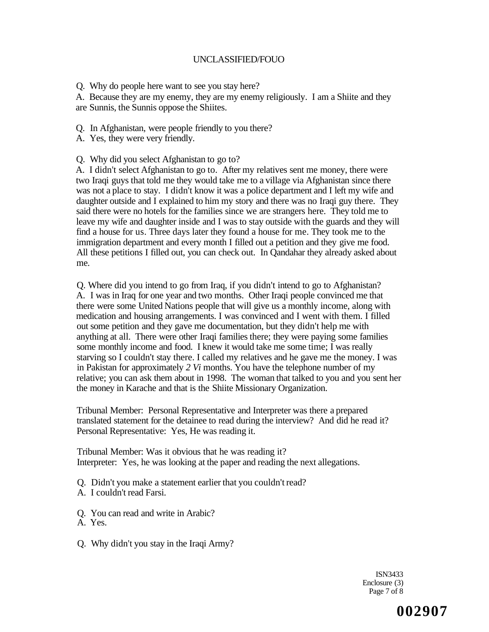Q. Why do people here want to see you stay here?

A. Because they are my enemy, they are my enemy religiously. I am a Shiite and they are Sunnis, the Sunnis oppose the Shiites.

- Q. In Afghanistan, were people friendly to you there?
- A. Yes, they were very friendly.
- Q. Why did you select Afghanistan to go to?

A. I didn't select Afghanistan to go to. After my relatives sent me money, there were two Iraqi guys that told me they would take me to a village via Afghanistan since there was not a place to stay. I didn't know it was a police department and I left my wife and daughter outside and I explained to him my story and there was no Iraqi guy there. They said there were no hotels for the families since we are strangers here. They told me to leave my wife and daughter inside and I was to stay outside with the guards and they will find a house for us. Three days later they found a house for me. They took me to the immigration department and every month I filled out a petition and they give me food. All these petitions I filled out, you can check out. In Qandahar they already asked about me.

Q. Where did you intend to go from Iraq, if you didn't intend to go to Afghanistan? A. I was in Iraq for one year and two months. Other Iraqi people convinced me that there were some United Nations people that will give us a monthly income, along with medication and housing arrangements. I was convinced and I went with them. I filled out some petition and they gave me documentation, but they didn't help me with anything at all. There were other Iraqi families there; they were paying some families some monthly income and food. I knew it would take me some time; I was really starving so I couldn't stay there. I called my relatives and he gave me the money. I was in Pakistan for approximately *2 Vi* months. You have the telephone number of my relative; you can ask them about in 1998. The woman that talked to you and you sent her the money in Karache and that is the Shiite Missionary Organization.

Tribunal Member: Personal Representative and Interpreter was there a prepared translated statement for the detainee to read during the interview? And did he read it? Personal Representative: Yes, He was reading it.

Tribunal Member: Was it obvious that he was reading it? Interpreter: Yes, he was looking at the paper and reading the next allegations.

- Q. Didn't you make a statement earlier that you couldn't read?
- A. I couldn't read Farsi.
- Q. You can read and write in Arabic?
- A. Yes.
- Q. Why didn't you stay in the Iraqi Army?

ISN3433 Enclosure (3) Page 7 of 8

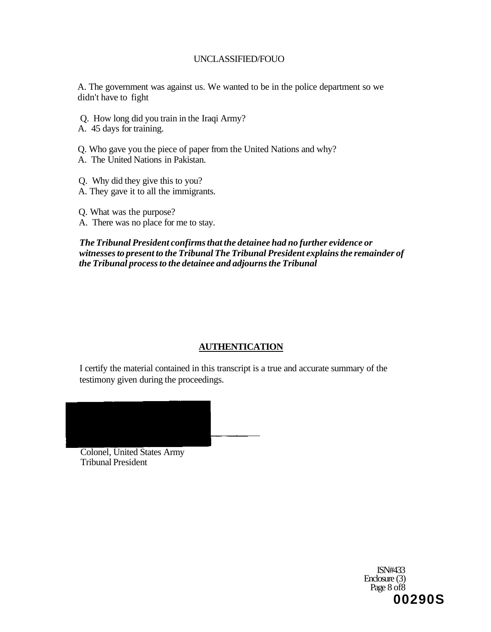A. The government was against us. We wanted to be in the police department so we didn't have to fight

Q. How long did you train in the Iraqi Army?

A. 45 days for training.

- Q. Who gave you the piece of paper from the United Nations and why?
- A. The United Nations in Pakistan.
- Q. Why did they give this to you?
- A. They gave it to all the immigrants.
- Q. What was the purpose?
- A. There was no place for me to stay.

# *The Tribunal President confirms that the detainee had no further evidence or witnesses to present to the Tribunal The Tribunal President explains the remainder of the Tribunal process to the detainee and adjourns the Tribunal*

# **AUTHENTICATION**

I certify the material contained in this transcript is a true and accurate summary of the testimony given during the proceedings.



Colonel, United States Army Tribunal President

> ISN#433 Enclosure (3) Page 8 of 8 **00290S**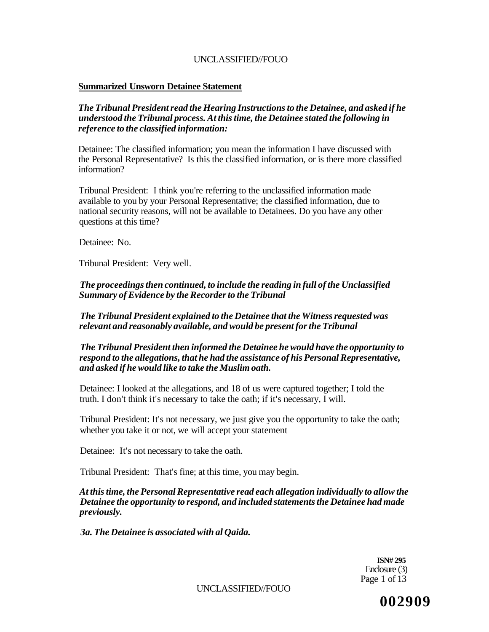### **Summarized Unsworn Detainee Statement**

## *The Tribunal President read the Hearing Instructions to the Detainee, and asked if he understood the Tribunal process. At this time, the Detainee stated the following in reference to the classified information:*

Detainee: The classified information; you mean the information I have discussed with the Personal Representative? Is this the classified information, or is there more classified information?

Tribunal President: I think you're referring to the unclassified information made available to you by your Personal Representative; the classified information, due to national security reasons, will not be available to Detainees. Do you have any other questions at this time?

Detainee: No.

Tribunal President: Very well.

*The proceedings then continued, to include the reading in full of the Unclassified Summary of Evidence by the Recorder to the Tribunal* 

*The Tribunal President explained to the Detainee that the Witness requested was relevant and reasonably available, and would be present for the Tribunal* 

*The Tribunal President then informed the Detainee he would have the opportunity to respond to the allegations, that he had the assistance of his Personal Representative, and asked if he would like to take the Muslim oath.* 

Detainee: I looked at the allegations, and 18 of us were captured together; I told the truth. I don't think it's necessary to take the oath; if it's necessary, I will.

Tribunal President: It's not necessary, we just give you the opportunity to take the oath; whether you take it or not, we will accept your statement

Detainee: It's not necessary to take the oath.

Tribunal President: That's fine; at this time, you may begin.

*At this time, the Personal Representative read each allegation individually to allow the Detainee the opportunity to respond, and included statements the Detainee had made previously.* 

*3a. The Detainee is associated with al Qaida.* 

**ISN# 295**  Enclosure (3) Page 1 of 13

UNCLASSIFIED//FOUO

**002909**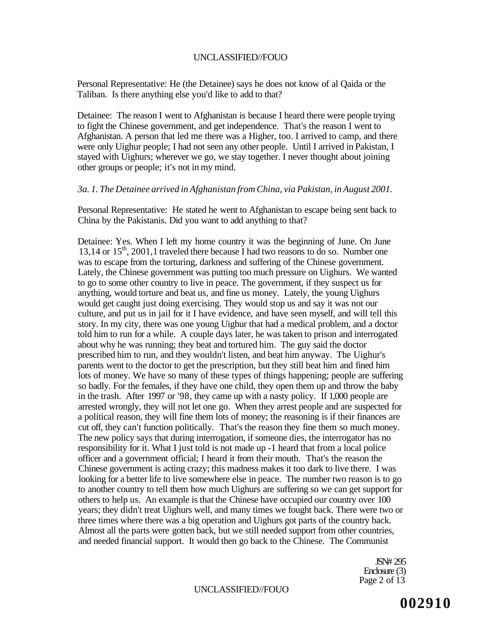Personal Representative: He (the Detainee) says he does not know of al Qaida or the Taliban. Is there anything else you'd like to add to that?

Detainee: The reason I went to Afghanistan is because I heard there were people trying to fight the Chinese government, and get independence. That's the reason I went to Afghanistan. A person that led me there was a Higher, too. I arrived to camp, and there were only Uighur people; I had not seen any other people. Until I arrived in Pakistan, I stayed with Uighurs; wherever we go, we stay together. I never thought about joining other groups or people; it's not in my mind.

### *3a. 1. The Detainee arrived in Afghanistan from China, via Pakistan, in August 2001.*

Personal Representative: He stated he went to Afghanistan to escape being sent back to China by the Pakistanis. Did you want to add anything to that?

Detainee: Yes. When I left my home country it was the beginning of June. On June 13,14 or 15<sup>th</sup>, 2001,1 traveled there because I had two reasons to do so. Number one was to escape from the torturing, darkness and suffering of the Chinese government. Lately, the Chinese government was putting too much pressure on Uighurs. We wanted to go to some other country to live in peace. The government, if they suspect us for anything, would torture and beat us, and fine us money. Lately, the young Uighurs would get caught just doing exercising. They would stop us and say it was not our culture, and put us in jail for it I have evidence, and have seen myself, and will tell this story. In my city, there was one young Uighur that had a medical problem, and a doctor told him to run for a while. A couple days later, he was taken to prison and interrogated about why he was running; they beat and tortured him. The guy said the doctor prescribed him to run, and they wouldn't listen, and beat him anyway. The Uighur's parents went to the doctor to get the prescription, but they still beat him and fined him lots of money. We have so many of these types of things happening; people are suffering so badly. For the females, if they have one child, they open them up and throw the baby in the trash. After 1997 or '98, they came up with a nasty policy. If 1,000 people are arrested wrongly, they will not let one go. When they arrest people and are suspected for a political reason, they will fine them lots of money; the reasoning is if their finances are cut off, they can't function politically. That's the reason they fine them so much money. The new policy says that during interrogation, if someone dies, the interrogator has no responsibility for it. What I just told is not made up -1 heard that from a local police officer and a government official; I heard it from their mouth. That's the reason the Chinese government is acting crazy; this madness makes it too dark to live there. I was looking for a better life to live somewhere else in peace. The number two reason is to go to another country to tell them how much Uighurs are suffering so we can get support for others to help us. An example is that the Chinese have occupied our country over 100 years; they didn't treat Uighurs well, and many times we fought back. There were two or three times where there was a big operation and Uighurs got parts of the country back. Almost all the parts were gotten back, but we still needed support from other countries, and needed financial support. It would then go back to the Chinese. The Communist

> JSN# 295 Enclosure (3) Page 2 of 13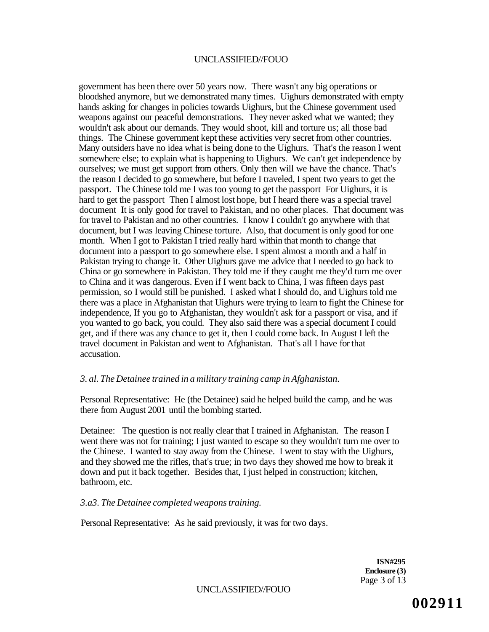government has been there over 50 years now. There wasn't any big operations or bloodshed anymore, but we demonstrated many times. Uighurs demonstrated with empty hands asking for changes in policies towards Uighurs, but the Chinese government used weapons against our peaceful demonstrations. They never asked what we wanted; they wouldn't ask about our demands. They would shoot, kill and torture us; all those bad things. The Chinese government kept these activities very secret from other countries. Many outsiders have no idea what is being done to the Uighurs. That's the reason I went somewhere else; to explain what is happening to Uighurs. We can't get independence by ourselves; we must get support from others. Only then will we have the chance. That's the reason I decided to go somewhere, but before I traveled, I spent two years to get the passport. The Chinese told me I was too young to get the passport For Uighurs, it is hard to get the passport Then I almost lost hope, but I heard there was a special travel document It is only good for travel to Pakistan, and no other places. That document was for travel to Pakistan and no other countries. I know I couldn't go anywhere with that document, but I was leaving Chinese torture. Also, that document is only good for one month. When I got to Pakistan I tried really hard within that month to change that document into a passport to go somewhere else. I spent almost a month and a half in Pakistan trying to change it. Other Uighurs gave me advice that I needed to go back to China or go somewhere in Pakistan. They told me if they caught me they'd turn me over to China and it was dangerous. Even if I went back to China, I was fifteen days past permission, so I would still be punished. I asked what I should do, and Uighurs told me there was a place in Afghanistan that Uighurs were trying to learn to fight the Chinese for independence, If you go to Afghanistan, they wouldn't ask for a passport or visa, and if you wanted to go back, you could. They also said there was a special document I could get, and if there was any chance to get it, then I could come back. In August I left the travel document in Pakistan and went to Afghanistan. That's all I have for that accusation.

# *3. al. The Detainee trained in a military training camp in Afghanistan.*

Personal Representative: He (the Detainee) said he helped build the camp, and he was there from August 2001 until the bombing started.

Detainee: The question is not really clear that I trained in Afghanistan. The reason I went there was not for training; I just wanted to escape so they wouldn't turn me over to the Chinese. I wanted to stay away from the Chinese. I went to stay with the Uighurs, and they showed me the rifles, that's true; in two days they showed me how to break it down and put it back together. Besides that, I just helped in construction; kitchen, bathroom, etc.

*3.a3. The Detainee completed weapons training.* 

Personal Representative: As he said previously, it was for two days.

**ISN#295 Enclosure (3)**  Page 3 of 13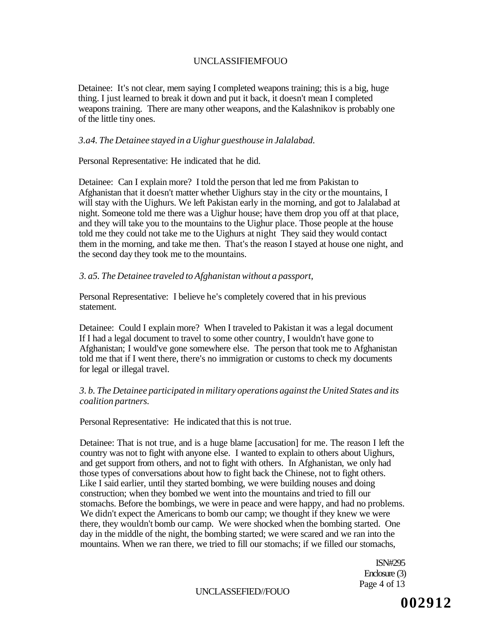Detainee: It's not clear, mem saying I completed weapons training; this is a big, huge thing. I just learned to break it down and put it back, it doesn't mean I completed weapons training. There are many other weapons, and the Kalashnikov is probably one of the little tiny ones.

### *3.a4. The Detainee stayed in a Uighur guesthouse in Jalalabad.*

Personal Representative: He indicated that he did.

Detainee: Can I explain more? I told the person that led me from Pakistan to Afghanistan that it doesn't matter whether Uighurs stay in the city or the mountains, I will stay with the Uighurs. We left Pakistan early in the morning, and got to Jalalabad at night. Someone told me there was a Uighur house; have them drop you off at that place, and they will take you to the mountains to the Uighur place. Those people at the house told me they could not take me to the Uighurs at night They said they would contact them in the morning, and take me then. That's the reason I stayed at house one night, and the second day they took me to the mountains.

## *3. a5. The Detainee traveled to Afghanistan without a passport,*

Personal Representative: I believe he's completely covered that in his previous statement.

Detainee: Could I explain more? When I traveled to Pakistan it was a legal document If I had a legal document to travel to some other country, I wouldn't have gone to Afghanistan; I would've gone somewhere else. The person that took me to Afghanistan told me that if I went there, there's no immigration or customs to check my documents for legal or illegal travel.

# *3. b. The Detainee participated in military operations against the United States and its coalition partners.*

Personal Representative: He indicated that this is not true.

Detainee: That is not true, and is a huge blame [accusation] for me. The reason I left the country was not to fight with anyone else. I wanted to explain to others about Uighurs, and get support from others, and not to fight with others. In Afghanistan, we only had those types of conversations about how to fight back the Chinese, not to fight others. Like I said earlier, until they started bombing, we were building nouses and doing construction; when they bombed we went into the mountains and tried to fill our stomachs. Before the bombings, we were in peace and were happy, and had no problems. We didn't expect the Americans to bomb our camp; we thought if they knew we were there, they wouldn't bomb our camp. We were shocked when the bombing started. One day in the middle of the night, the bombing started; we were scared and we ran into the mountains. When we ran there, we tried to fill our stomachs; if we filled our stomachs,

> ISN#295 Enclosure (3) Page 4 of 13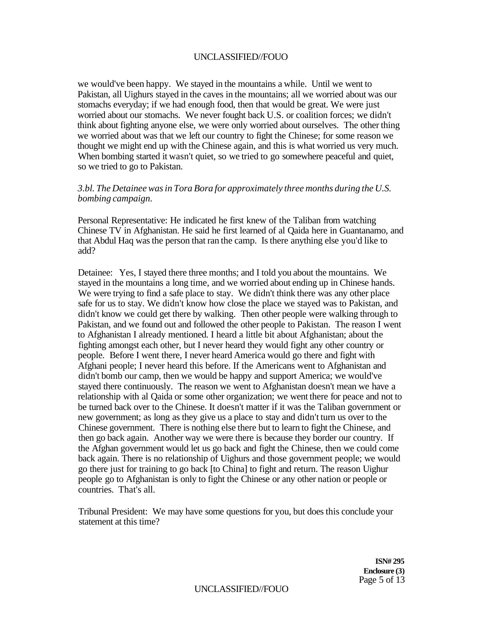we would've been happy. We stayed in the mountains a while. Until we went to Pakistan, all Uighurs stayed in the caves in the mountains; all we worried about was our stomachs everyday; if we had enough food, then that would be great. We were just worried about our stomachs. We never fought back U.S. or coalition forces; we didn't think about fighting anyone else, we were only worried about ourselves. The other thing we worried about was that we left our country to fight the Chinese; for some reason we thought we might end up with the Chinese again, and this is what worried us very much. When bombing started it wasn't quiet, so we tried to go somewhere peaceful and quiet, so we tried to go to Pakistan.

### *3.bl. The Detainee was in Tora Bora for approximately three months during the U.S. bombing campaign.*

Personal Representative: He indicated he first knew of the Taliban from watching Chinese TV in Afghanistan. He said he first learned of al Qaida here in Guantanamo, and that Abdul Haq was the person that ran the camp. Is there anything else you'd like to add?

Detainee: Yes, I stayed there three months; and I told you about the mountains. We stayed in the mountains a long time, and we worried about ending up in Chinese hands. We were trying to find a safe place to stay. We didn't think there was any other place safe for us to stay. We didn't know how close the place we stayed was to Pakistan, and didn't know we could get there by walking. Then other people were walking through to Pakistan, and we found out and followed the other people to Pakistan. The reason I went to Afghanistan I already mentioned. I heard a little bit about Afghanistan; about the fighting amongst each other, but I never heard they would fight any other country or people. Before I went there, I never heard America would go there and fight with Afghani people; I never heard this before. If the Americans went to Afghanistan and didn't bomb our camp, then we would be happy and support America; we would've stayed there continuously. The reason we went to Afghanistan doesn't mean we have a relationship with al Qaida or some other organization; we went there for peace and not to be turned back over to the Chinese. It doesn't matter if it was the Taliban government or new government; as long as they give us a place to stay and didn't turn us over to the Chinese government. There is nothing else there but to learn to fight the Chinese, and then go back again. Another way we were there is because they border our country. If the Afghan government would let us go back and fight the Chinese, then we could come back again. There is no relationship of Uighurs and those government people; we would go there just for training to go back [to China] to fight and return. The reason Uighur people go to Afghanistan is only to fight the Chinese or any other nation or people or countries. That's all.

Tribunal President: We may have some questions for you, but does this conclude your statement at this time?

> **ISN# 295 Enclosure (3)**  Page 5 of 13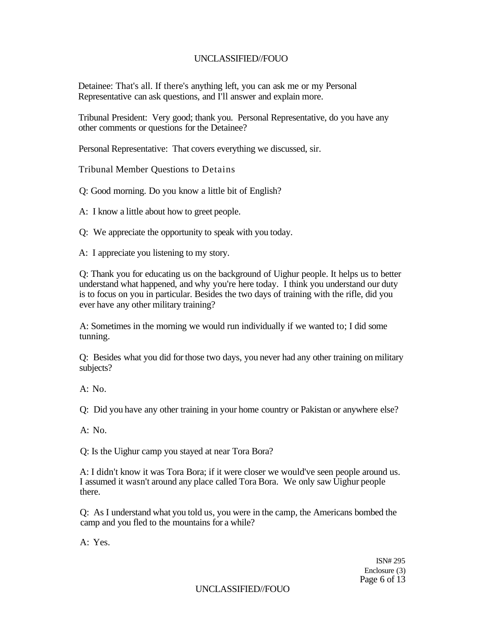Detainee: That's all. If there's anything left, you can ask me or my Personal Representative can ask questions, and I'll answer and explain more.

Tribunal President: Very good; thank you. Personal Representative, do you have any other comments or questions for the Detainee?

Personal Representative: That covers everything we discussed, sir.

Tribunal Member Questions to Detains

Q: Good morning. Do you know a little bit of English?

A: I know a little about how to greet people.

Q: We appreciate the opportunity to speak with you today.

A: I appreciate you listening to my story.

Q: Thank you for educating us on the background of Uighur people. It helps us to better understand what happened, and why you're here today. I think you understand our duty is to focus on you in particular. Besides the two days of training with the rifle, did you ever have any other military training?

A: Sometimes in the morning we would run individually if we wanted to; I did some tunning.

Q: Besides what you did for those two days, you never had any other training on military subjects?

A: No.

Q: Did you have any other training in your home country or Pakistan or anywhere else?

 $A: No.$ 

Q: Is the Uighur camp you stayed at near Tora Bora?

A: I didn't know it was Tora Bora; if it were closer we would've seen people around us. I assumed it wasn't around any place called Tora Bora. We only saw Uighur people there.

Q: As I understand what you told us, you were in the camp, the Americans bombed the camp and you fled to the mountains for a while?

A: Yes.

ISN# 295 Enclosure (3) Page 6 of 13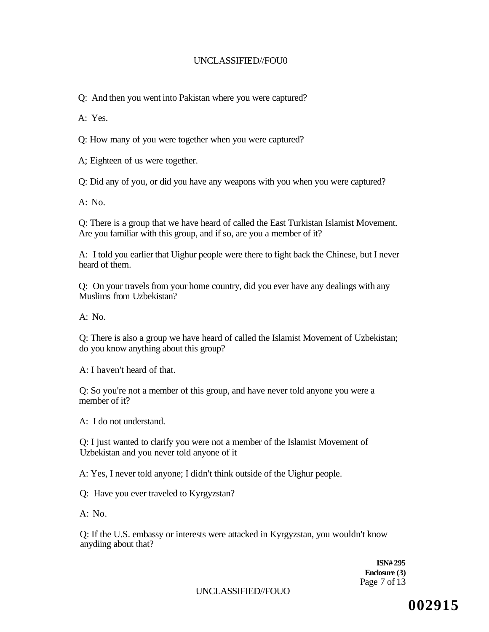Q: And then you went into Pakistan where you were captured?

A: Yes.

Q: How many of you were together when you were captured?

A; Eighteen of us were together.

Q: Did any of you, or did you have any weapons with you when you were captured?

 $A: No.$ 

Q: There is a group that we have heard of called the East Turkistan Islamist Movement. Are you familiar with this group, and if so, are you a member of it?

A: I told you earlier that Uighur people were there to fight back the Chinese, but I never heard of them.

Q: On your travels from your home country, did you ever have any dealings with any Muslims from Uzbekistan?

 $A: No.$ 

Q: There is also a group we have heard of called the Islamist Movement of Uzbekistan; do you know anything about this group?

A: I haven't heard of that.

Q: So you're not a member of this group, and have never told anyone you were a member of it?

A: I do not understand.

Q: I just wanted to clarify you were not a member of the Islamist Movement of Uzbekistan and you never told anyone of it

A: Yes, I never told anyone; I didn't think outside of the Uighur people.

Q: Have you ever traveled to Kyrgyzstan?

A: No.

Q: If the U.S. embassy or interests were attacked in Kyrgyzstan, you wouldn't know anydiing about that?

> **ISN# 295 Enclosure (3)**  Page 7 of 13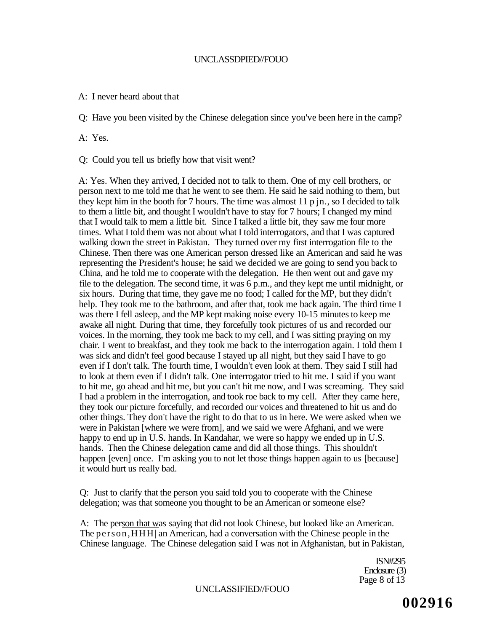### UNCLASSDPIED//FOUO

A: I never heard about that

Q: Have you been visited by the Chinese delegation since you've been here in the camp?

A: Yes.

Q: Could you tell us briefly how that visit went?

A: Yes. When they arrived, I decided not to talk to them. One of my cell brothers, or person next to me told me that he went to see them. He said he said nothing to them, but they kept him in the booth for 7 hours. The time was almost 11 p jn., so I decided to talk to them a little bit, and thought I wouldn't have to stay for 7 hours; I changed my mind that I would talk to mem a little bit. Since I talked a little bit, they saw me four more times. What I told them was not about what I told interrogators, and that I was captured walking down the street in Pakistan. They turned over my first interrogation file to the Chinese. Then there was one American person dressed like an American and said he was representing the President's house; he said we decided we are going to send you back to China, and he told me to cooperate with the delegation. He then went out and gave my file to the delegation. The second time, it was 6 p.m., and they kept me until midnight, or six hours. During that time, they gave me no food; I called for the MP, but they didn't help. They took me to the bathroom, and after that, took me back again. The third time I was there I fell asleep, and the MP kept making noise every 10-15 minutes to keep me awake all night. During that time, they forcefully took pictures of us and recorded our voices. In the morning, they took me back to my cell, and I was sitting praying on my chair. I went to breakfast, and they took me back to the interrogation again. I told them I was sick and didn't feel good because I stayed up all night, but they said I have to go even if I don't talk. The fourth time, I wouldn't even look at them. They said I still had to look at them even if I didn't talk. One interrogator tried to hit me. I said if you want to hit me, go ahead and hit me, but you can't hit me now, and I was screaming. They said I had a problem in the interrogation, and took roe back to my cell. After they came here, they took our picture forcefully, and recorded our voices and threatened to hit us and do other things. They don't have the right to do that to us in here. We were asked when we were in Pakistan [where we were from], and we said we were Afghani, and we were happy to end up in U.S. hands. In Kandahar, we were so happy we ended up in U.S. hands. Then the Chinese delegation came and did all those things. This shouldn't happen [even] once. I'm asking you to not let those things happen again to us [because] it would hurt us really bad.

Q: Just to clarify that the person you said told you to cooperate with the Chinese delegation; was that someone you thought to be an American or someone else?

A: The person that was saying that did not look Chinese, but looked like an American. The person,HHH| an American, had a conversation with the Chinese people in the Chinese language. The Chinese delegation said I was not in Afghanistan, but in Pakistan,

> ISN#295 Enclosure (3) Page 8 of 13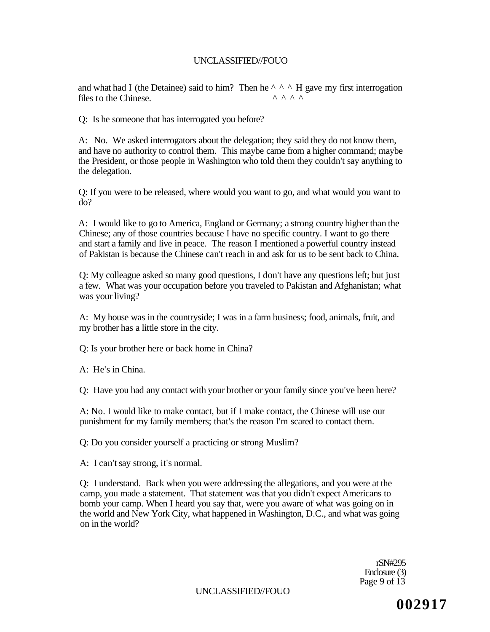and what had I (the Detainee) said to him? Then he  $\wedge \wedge \wedge$  H gave my first interrogation files to the Chinese files to the Chinese.

Q: Is he someone that has interrogated you before?

A: No. We asked interrogators about the delegation; they said they do not know them, and have no authority to control them. This maybe came from a higher command; maybe the President, or those people in Washington who told them they couldn't say anything to the delegation.

Q: If you were to be released, where would you want to go, and what would you want to do?

A: I would like to go to America, England or Germany; a strong country higher than the Chinese; any of those countries because I have no specific country. I want to go there and start a family and live in peace. The reason I mentioned a powerful country instead of Pakistan is because the Chinese can't reach in and ask for us to be sent back to China.

Q: My colleague asked so many good questions, I don't have any questions left; but just a few. What was your occupation before you traveled to Pakistan and Afghanistan; what was your living?

A: My house was in the countryside; I was in a farm business; food, animals, fruit, and my brother has a little store in the city.

Q: Is your brother here or back home in China?

A: He's in China.

Q: Have you had any contact with your brother or your family since you've been here?

A: No. I would like to make contact, but if I make contact, the Chinese will use our punishment for my family members; that's the reason I'm scared to contact them.

Q: Do you consider yourself a practicing or strong Muslim?

A: I can't say strong, it's normal.

Q: I understand. Back when you were addressing the allegations, and you were at the camp, you made a statement. That statement was that you didn't expect Americans to bomb your camp. When I heard you say that, were you aware of what was going on in the world and New York City, what happened in Washington, D.C., and what was going on in the world?

> rSN#295 Enclosure (3) Page 9 of 13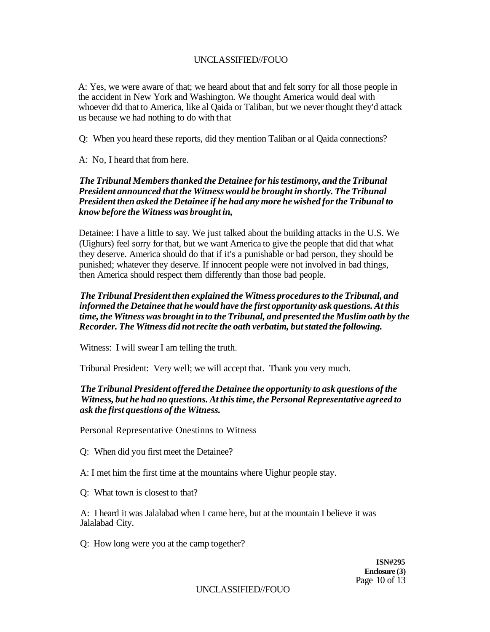A: Yes, we were aware of that; we heard about that and felt sorry for all those people in the accident in New York and Washington. We thought America would deal with whoever did that to America, like al Qaida or Taliban, but we never thought they'd attack us because we had nothing to do with that

Q: When you heard these reports, did they mention Taliban or al Qaida connections?

A: No, I heard that from here.

# *The Tribunal Members thanked the Detainee for his testimony, and the Tribunal President announced that the Witness would be brought in shortly. The Tribunal President then asked the Detainee if he had any more he wished for the Tribunal to know before the Witness was brought in,*

Detainee: I have a little to say. We just talked about the building attacks in the U.S. We (Uighurs) feel sorry for that, but we want America to give the people that did that what they deserve. America should do that if it's a punishable or bad person, they should be punished; whatever they deserve. If innocent people were not involved in bad things, then America should respect them differently than those bad people.

*The Tribunal President then explained the Witness procedures to the Tribunal, and informed the Detainee that he would have the first opportunity ask questions. At this time, the Witness was brought in to the Tribunal, and presented the Muslim oath by the Recorder. The Witness did not recite the oath verbatim, but stated the following.* 

Witness: I will swear I am telling the truth.

Tribunal President: Very well; we will accept that. Thank you very much.

# *The Tribunal President offered the Detainee the opportunity to ask questions of the Witness, but he had no questions. At this time, the Personal Representative agreed to ask the first questions of the Witness.*

Personal Representative Onestinns to Witness

- Q: When did you first meet the Detainee?
- A: I met him the first time at the mountains where Uighur people stay.
- Q: What town is closest to that?

A: I heard it was Jalalabad when I came here, but at the mountain I believe it was Jalalabad City.

Q: How long were you at the camp together?

**ISN#295 Enclosure (3)**  Page 10 of 13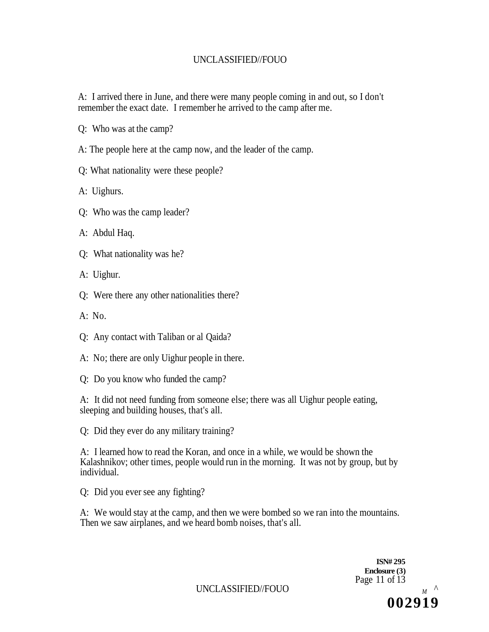## UNCLASSIFIED//FOUO

A: I arrived there in June, and there were many people coming in and out, so I don't remember the exact date. I remember he arrived to the camp after me.

- Q: Who was at the camp?
- A: The people here at the camp now, and the leader of the camp.
- Q: What nationality were these people?
- A: Uighurs.
- Q: Who was the camp leader?
- A: Abdul Haq.
- Q: What nationality was he?
- A: Uighur.
- Q: Were there any other nationalities there?
- $A: No.$
- Q: Any contact with Taliban or al Qaida?
- A: No; there are only Uighur people in there.
- Q: Do you know who funded the camp?

A: It did not need funding from someone else; there was all Uighur people eating, sleeping and building houses, that's all.

Q: Did they ever do any military training?

A: I learned how to read the Koran, and once in a while, we would be shown the Kalashnikov; other times, people would run in the morning. It was not by group, but by individual.

Q: Did you ever see any fighting?

A: We would stay at the camp, and then we were bombed so we ran into the mountains. Then we saw airplanes, and we heard bomb noises, that's all.

> **ISN# 295 Enclosure (3)**  Page 11 of 13 **002919**

UNCLASSIFIED//FOUO *<sup>M</sup> ^*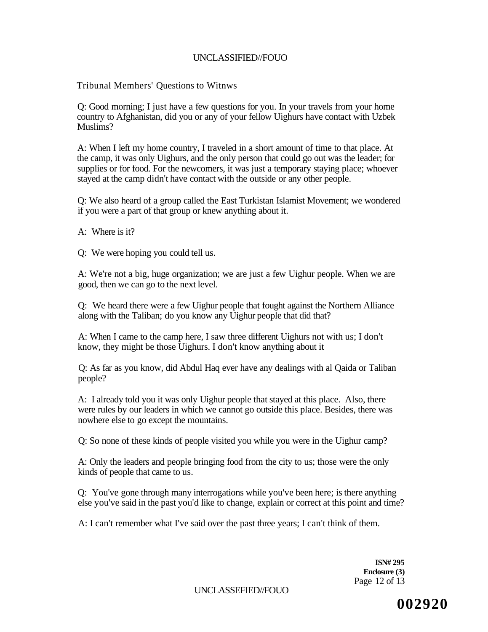## UNCLASSIFIED//FOUO

Tribunal Memhers' Questions to Witnws

Q: Good morning; I just have a few questions for you. In your travels from your home country to Afghanistan, did you or any of your fellow Uighurs have contact with Uzbek Muslims?

A: When I left my home country, I traveled in a short amount of time to that place. At the camp, it was only Uighurs, and the only person that could go out was the leader; for supplies or for food. For the newcomers, it was just a temporary staying place; whoever stayed at the camp didn't have contact with the outside or any other people.

Q: We also heard of a group called the East Turkistan Islamist Movement; we wondered if you were a part of that group or knew anything about it.

A: Where is it?

Q: We were hoping you could tell us.

A: We're not a big, huge organization; we are just a few Uighur people. When we are good, then we can go to the next level.

Q: We heard there were a few Uighur people that fought against the Northern Alliance along with the Taliban; do you know any Uighur people that did that?

A: When I came to the camp here, I saw three different Uighurs not with us; I don't know, they might be those Uighurs. I don't know anything about it

Q: As far as you know, did Abdul Haq ever have any dealings with al Qaida or Taliban people?

A: I already told you it was only Uighur people that stayed at this place. Also, there were rules by our leaders in which we cannot go outside this place. Besides, there was nowhere else to go except the mountains.

Q: So none of these kinds of people visited you while you were in the Uighur camp?

A: Only the leaders and people bringing food from the city to us; those were the only kinds of people that came to us.

Q: You've gone through many interrogations while you've been here; is there anything else you've said in the past you'd like to change, explain or correct at this point and time?

A: I can't remember what I've said over the past three years; I can't think of them.

**ISN# 295 Enclosure (3)**  Page 12 of 13

UNCLASSEFIED//FOUO